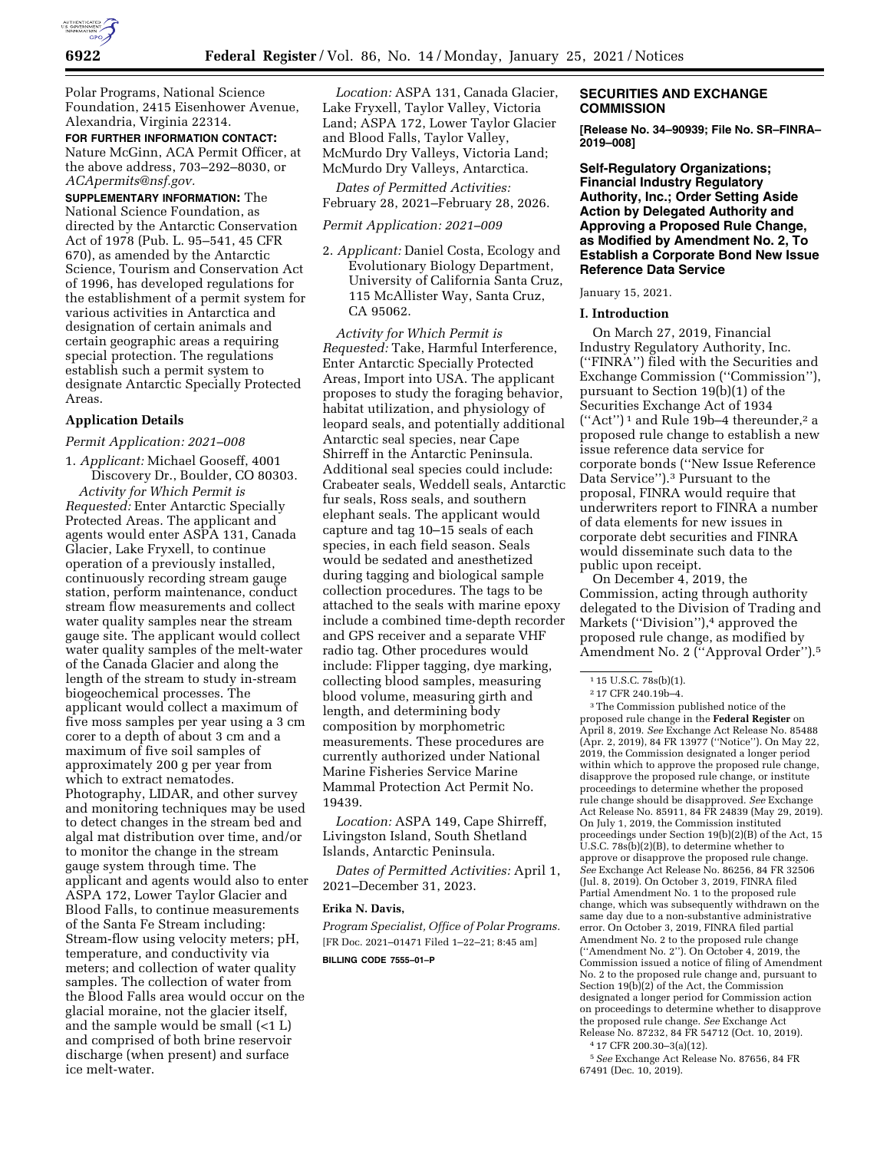

Polar Programs, National Science Foundation, 2415 Eisenhower Avenue, Alexandria, Virginia 22314.

**FOR FURTHER INFORMATION CONTACT:**  Nature McGinn, ACA Permit Officer, at the above address, 703–292–8030, or *[ACApermits@nsf.gov.](mailto:ACApermits@nsf.gov)* 

**SUPPLEMENTARY INFORMATION:** The National Science Foundation, as directed by the Antarctic Conservation Act of 1978 (Pub. L. 95–541, 45 CFR 670), as amended by the Antarctic Science, Tourism and Conservation Act of 1996, has developed regulations for the establishment of a permit system for various activities in Antarctica and designation of certain animals and certain geographic areas a requiring special protection. The regulations establish such a permit system to designate Antarctic Specially Protected Areas.

## **Application Details**

### *Permit Application: 2021–008*

1. *Applicant:* Michael Gooseff, 4001 Discovery Dr., Boulder, CO 80303. *Activity for Which Permit is Requested:* Enter Antarctic Specially Protected Areas. The applicant and agents would enter ASPA 131, Canada Glacier, Lake Fryxell, to continue operation of a previously installed, continuously recording stream gauge station, perform maintenance, conduct stream flow measurements and collect water quality samples near the stream gauge site. The applicant would collect water quality samples of the melt-water of the Canada Glacier and along the length of the stream to study in-stream biogeochemical processes. The applicant would collect a maximum of five moss samples per year using a 3 cm corer to a depth of about 3 cm and a maximum of five soil samples of approximately 200 g per year from which to extract nematodes. Photography, LIDAR, and other survey and monitoring techniques may be used to detect changes in the stream bed and algal mat distribution over time, and/or to monitor the change in the stream gauge system through time. The applicant and agents would also to enter ASPA 172, Lower Taylor Glacier and Blood Falls, to continue measurements of the Santa Fe Stream including: Stream-flow using velocity meters; pH, temperature, and conductivity via meters; and collection of water quality samples. The collection of water from the Blood Falls area would occur on the glacial moraine, not the glacier itself, and the sample would be small (<1 L) and comprised of both brine reservoir discharge (when present) and surface ice melt-water.

*Location:* ASPA 131, Canada Glacier, Lake Fryxell, Taylor Valley, Victoria Land; ASPA 172, Lower Taylor Glacier and Blood Falls, Taylor Valley, McMurdo Dry Valleys, Victoria Land; McMurdo Dry Valleys, Antarctica.

*Dates of Permitted Activities:*  February 28, 2021–February 28, 2026.

*Permit Application: 2021–009* 

2. *Applicant:* Daniel Costa, Ecology and Evolutionary Biology Department, University of California Santa Cruz, 115 McAllister Way, Santa Cruz, CA 95062.

*Activity for Which Permit is Requested:* Take, Harmful Interference, Enter Antarctic Specially Protected Areas, Import into USA. The applicant proposes to study the foraging behavior, habitat utilization, and physiology of leopard seals, and potentially additional Antarctic seal species, near Cape Shirreff in the Antarctic Peninsula. Additional seal species could include: Crabeater seals, Weddell seals, Antarctic fur seals, Ross seals, and southern elephant seals. The applicant would capture and tag 10–15 seals of each species, in each field season. Seals would be sedated and anesthetized during tagging and biological sample collection procedures. The tags to be attached to the seals with marine epoxy include a combined time-depth recorder and GPS receiver and a separate VHF radio tag. Other procedures would include: Flipper tagging, dye marking, collecting blood samples, measuring blood volume, measuring girth and length, and determining body composition by morphometric measurements. These procedures are currently authorized under National Marine Fisheries Service Marine Mammal Protection Act Permit No. 19439.

*Location:* ASPA 149, Cape Shirreff, Livingston Island, South Shetland Islands, Antarctic Peninsula.

*Dates of Permitted Activities:* April 1, 2021–December 31, 2023.

## **Erika N. Davis,**

*Program Specialist, Office of Polar Programs.*  [FR Doc. 2021–01471 Filed 1–22–21; 8:45 am] **BILLING CODE 7555–01–P** 

## **SECURITIES AND EXCHANGE COMMISSION**

**[Release No. 34–90939; File No. SR–FINRA– 2019–008]** 

**Self-Regulatory Organizations; Financial Industry Regulatory Authority, Inc.; Order Setting Aside Action by Delegated Authority and Approving a Proposed Rule Change, as Modified by Amendment No. 2, To Establish a Corporate Bond New Issue Reference Data Service** 

#### January 15, 2021.

#### **I. Introduction**

On March 27, 2019, Financial Industry Regulatory Authority, Inc. (''FINRA'') filed with the Securities and Exchange Commission (''Commission''), pursuant to Section 19(b)(1) of the Securities Exchange Act of 1934  $("Act")^1$  and Rule 19b-4 thereunder,<sup>2</sup> a proposed rule change to establish a new issue reference data service for corporate bonds (''New Issue Reference Data Service'').3 Pursuant to the proposal, FINRA would require that underwriters report to FINRA a number of data elements for new issues in corporate debt securities and FINRA would disseminate such data to the public upon receipt.

On December 4, 2019, the Commission, acting through authority delegated to the Division of Trading and Markets ("Division"),<sup>4</sup> approved the proposed rule change, as modified by Amendment No. 2 (''Approval Order'').5

3The Commission published notice of the proposed rule change in the **Federal Register** on April 8, 2019. *See* Exchange Act Release No. 85488 (Apr. 2, 2019), 84 FR 13977 (''Notice''). On May 22, 2019, the Commission designated a longer period within which to approve the proposed rule change, disapprove the proposed rule change, or institute proceedings to determine whether the proposed rule change should be disapproved. *See* Exchange Act Release No. 85911, 84 FR 24839 (May 29, 2019). On July 1, 2019, the Commission instituted proceedings under Section 19(b)(2)(B) of the Act, 15 U.S.C. 78s(b)(2)(B), to determine whether to approve or disapprove the proposed rule change. *See* Exchange Act Release No. 86256, 84 FR 32506 (Jul. 8, 2019). On October 3, 2019, FINRA filed Partial Amendment No. 1 to the proposed rule change, which was subsequently withdrawn on the same day due to a non-substantive administrative error. On October 3, 2019, FINRA filed partial Amendment No. 2 to the proposed rule change (''Amendment No. 2''). On October 4, 2019, the Commission issued a notice of filing of Amendment No. 2 to the proposed rule change and, pursuant to Section 19(b)(2) of the Act, the Commission designated a longer period for Commission action on proceedings to determine whether to disapprove the proposed rule change. *See* Exchange Act Release No. 87232, 84 FR 54712 (Oct. 10, 2019).

4 17 CFR 200.30–3(a)(12).

5*See* Exchange Act Release No. 87656, 84 FR 67491 (Dec. 10, 2019).

<sup>&</sup>lt;sup>1</sup> 15 U.S.C. 78s(b)(1).

<sup>2</sup> 17 CFR 240.19b–4.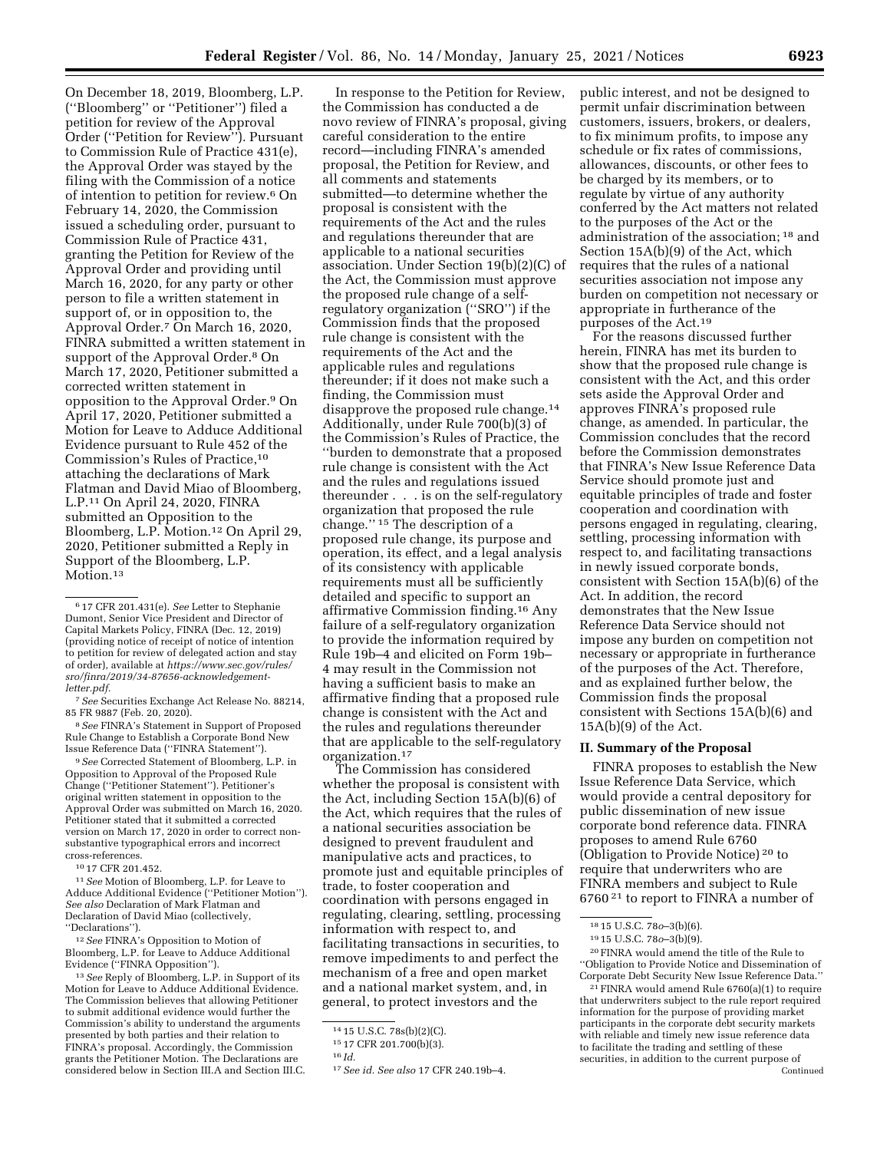On December 18, 2019, Bloomberg, L.P. (''Bloomberg'' or ''Petitioner'') filed a petition for review of the Approval Order (''Petition for Review''). Pursuant to Commission Rule of Practice 431(e), the Approval Order was stayed by the filing with the Commission of a notice of intention to petition for review.6 On February 14, 2020, the Commission issued a scheduling order, pursuant to Commission Rule of Practice 431, granting the Petition for Review of the Approval Order and providing until March 16, 2020, for any party or other person to file a written statement in support of, or in opposition to, the Approval Order.7 On March 16, 2020, FINRA submitted a written statement in support of the Approval Order.<sup>8</sup> On March 17, 2020, Petitioner submitted a corrected written statement in opposition to the Approval Order.9 On April 17, 2020, Petitioner submitted a Motion for Leave to Adduce Additional Evidence pursuant to Rule 452 of the Commission's Rules of Practice,10 attaching the declarations of Mark Flatman and David Miao of Bloomberg, L.P.11 On April 24, 2020, FINRA submitted an Opposition to the Bloomberg, L.P. Motion.12 On April 29, 2020, Petitioner submitted a Reply in Support of the Bloomberg, L.P. Motion.<sup>13</sup>

8*See* FINRA's Statement in Support of Proposed Rule Change to Establish a Corporate Bond New Issue Reference Data (''FINRA Statement'').

9*See* Corrected Statement of Bloomberg, L.P. in Opposition to Approval of the Proposed Rule Change (''Petitioner Statement''). Petitioner's original written statement in opposition to the Approval Order was submitted on March 16, 2020. Petitioner stated that it submitted a corrected version on March 17, 2020 in order to correct nonsubstantive typographical errors and incorrect cross-references.

10 17 CFR 201.452.

11*See* Motion of Bloomberg, L.P. for Leave to Adduce Additional Evidence (''Petitioner Motion''). *See also* Declaration of Mark Flatman and Declaration of David Miao (collectively, ''Declarations'').

12*See* FINRA's Opposition to Motion of Bloomberg, L.P. for Leave to Adduce Additional Evidence (''FINRA Opposition'').

13*See* Reply of Bloomberg, L.P. in Support of its Motion for Leave to Adduce Additional Evidence. The Commission believes that allowing Petitioner to submit additional evidence would further the Commission's ability to understand the arguments presented by both parties and their relation to FINRA's proposal. Accordingly, the Commission grants the Petitioner Motion. The Declarations are considered below in Section III.A and Section III.C.

In response to the Petition for Review, the Commission has conducted a de novo review of FINRA's proposal, giving careful consideration to the entire record—including FINRA's amended proposal, the Petition for Review, and all comments and statements submitted—to determine whether the proposal is consistent with the requirements of the Act and the rules and regulations thereunder that are applicable to a national securities association. Under Section 19(b)(2)(C) of the Act, the Commission must approve the proposed rule change of a selfregulatory organization (''SRO'') if the Commission finds that the proposed rule change is consistent with the requirements of the Act and the applicable rules and regulations thereunder; if it does not make such a finding, the Commission must disapprove the proposed rule change.14 Additionally, under Rule 700(b)(3) of the Commission's Rules of Practice, the ''burden to demonstrate that a proposed rule change is consistent with the Act and the rules and regulations issued thereunder . . . is on the self-regulatory organization that proposed the rule change.'' 15 The description of a proposed rule change, its purpose and operation, its effect, and a legal analysis of its consistency with applicable requirements must all be sufficiently detailed and specific to support an affirmative Commission finding.16 Any failure of a self-regulatory organization to provide the information required by Rule 19b–4 and elicited on Form 19b– 4 may result in the Commission not having a sufficient basis to make an affirmative finding that a proposed rule change is consistent with the Act and the rules and regulations thereunder that are applicable to the self-regulatory organization.17

The Commission has considered whether the proposal is consistent with the Act, including Section 15A(b)(6) of the Act, which requires that the rules of a national securities association be designed to prevent fraudulent and manipulative acts and practices, to promote just and equitable principles of trade, to foster cooperation and coordination with persons engaged in regulating, clearing, settling, processing information with respect to, and facilitating transactions in securities, to remove impediments to and perfect the mechanism of a free and open market and a national market system, and, in general, to protect investors and the

public interest, and not be designed to permit unfair discrimination between customers, issuers, brokers, or dealers, to fix minimum profits, to impose any schedule or fix rates of commissions, allowances, discounts, or other fees to be charged by its members, or to regulate by virtue of any authority conferred by the Act matters not related to the purposes of the Act or the administration of the association; 18 and Section 15A(b)(9) of the Act, which requires that the rules of a national securities association not impose any burden on competition not necessary or appropriate in furtherance of the purposes of the Act.19

For the reasons discussed further herein, FINRA has met its burden to show that the proposed rule change is consistent with the Act, and this order sets aside the Approval Order and approves FINRA's proposed rule change, as amended. In particular, the Commission concludes that the record before the Commission demonstrates that FINRA's New Issue Reference Data Service should promote just and equitable principles of trade and foster cooperation and coordination with persons engaged in regulating, clearing, settling, processing information with respect to, and facilitating transactions in newly issued corporate bonds, consistent with Section 15A(b)(6) of the Act. In addition, the record demonstrates that the New Issue Reference Data Service should not impose any burden on competition not necessary or appropriate in furtherance of the purposes of the Act. Therefore, and as explained further below, the Commission finds the proposal consistent with Sections 15A(b)(6) and 15A(b)(9) of the Act.

#### **II. Summary of the Proposal**

FINRA proposes to establish the New Issue Reference Data Service, which would provide a central depository for public dissemination of new issue corporate bond reference data. FINRA proposes to amend Rule 6760 (Obligation to Provide Notice) 20 to require that underwriters who are FINRA members and subject to Rule 6760 21 to report to FINRA a number of

20FINRA would amend the title of the Rule to ''Obligation to Provide Notice and Dissemination of Corporate Debt Security New Issue Reference Data.''

<sup>6</sup> 17 CFR 201.431(e). *See* Letter to Stephanie Dumont, Senior Vice President and Director of Capital Markets Policy, FINRA (Dec. 12, 2019) (providing notice of receipt of notice of intention to petition for review of delegated action and stay of order), available at *[https://www.sec.gov/rules/](https://www.sec.gov/rules/sro/finra/2019/34-87656-acknowledgement-letter.pdf)  [sro/finra/2019/34-87656-acknowledgement](https://www.sec.gov/rules/sro/finra/2019/34-87656-acknowledgement-letter.pdf)[letter.pdf.](https://www.sec.gov/rules/sro/finra/2019/34-87656-acknowledgement-letter.pdf)* 

<sup>7</sup>*See* Securities Exchange Act Release No. 88214, 85 FR 9887 (Feb. 20, 2020).

<sup>14</sup> 15 U.S.C. 78s(b)(2)(C).

<sup>15</sup> 17 CFR 201.700(b)(3).

<sup>16</sup> *Id.* 

<sup>17</sup>*See id. See also* 17 CFR 240.19b–4.

<sup>18</sup> 15 U.S.C. 78*o*–3(b)(6).

<sup>19</sup> 15 U.S.C. 78*o*–3(b)(9).

<sup>21</sup>FINRA would amend Rule 6760(a)(1) to require that underwriters subject to the rule report required information for the purpose of providing market participants in the corporate debt security markets with reliable and timely new issue reference data to facilitate the trading and settling of these securities, in addition to the current purpose of Continued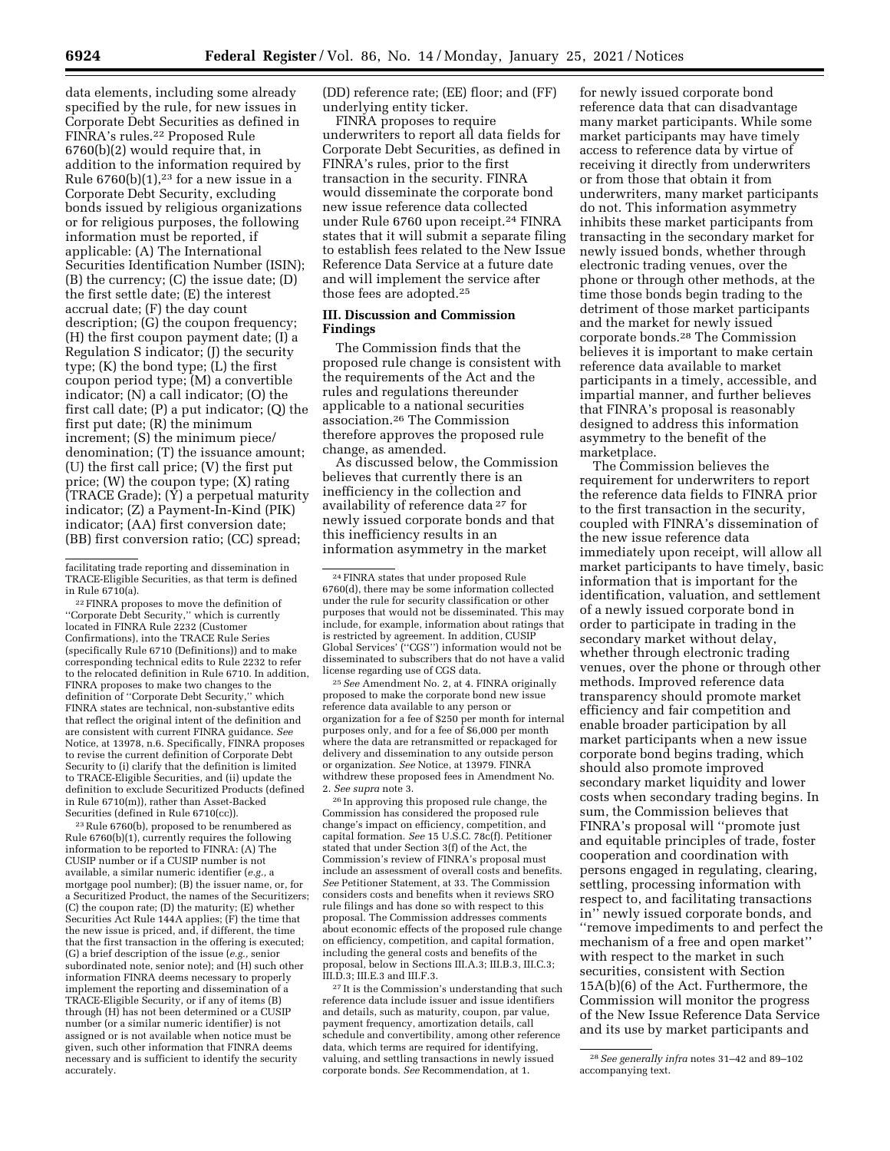data elements, including some already specified by the rule, for new issues in Corporate Debt Securities as defined in FINRA's rules.22 Proposed Rule 6760(b)(2) would require that, in addition to the information required by Rule  $6760(b)(1)$ ,<sup>23</sup> for a new issue in a Corporate Debt Security, excluding bonds issued by religious organizations or for religious purposes, the following information must be reported, if applicable: (A) The International Securities Identification Number (ISIN); (B) the currency; (C) the issue date; (D) the first settle date; (E) the interest accrual date; (F) the day count description; (G) the coupon frequency; (H) the first coupon payment date; (I) a Regulation S indicator; (J) the security type; (K) the bond type; (L) the first coupon period type; (M) a convertible indicator; (N) a call indicator; (O) the first call date; (P) a put indicator; (Q) the first put date; (R) the minimum increment; (S) the minimum piece/ denomination; (T) the issuance amount; (U) the first call price; (V) the first put price; (W) the coupon type; (X) rating (TRACE Grade); (Y) a perpetual maturity indicator; (Z) a Payment-In-Kind (PIK) indicator; (AA) first conversion date; (BB) first conversion ratio; (CC) spread;

22FINRA proposes to move the definition of ''Corporate Debt Security,'' which is currently located in FINRA Rule 2232 (Customer Confirmations), into the TRACE Rule Series (specifically Rule 6710 (Definitions)) and to make corresponding technical edits to Rule 2232 to refer to the relocated definition in Rule 6710. In addition, FINRA proposes to make two changes to the definition of ''Corporate Debt Security,'' which FINRA states are technical, non-substantive edits that reflect the original intent of the definition and are consistent with current FINRA guidance. *See*  Notice, at 13978, n.6. Specifically, FINRA proposes to revise the current definition of Corporate Debt Security to (i) clarify that the definition is limited to TRACE-Eligible Securities, and (ii) update the definition to exclude Securitized Products (defined in Rule 6710(m)), rather than Asset-Backed Securities (defined in Rule 6710(cc)).

23Rule 6760(b), proposed to be renumbered as Rule 6760(b)(1), currently requires the following information to be reported to FINRA: (A) The CUSIP number or if a CUSIP number is not available, a similar numeric identifier (*e.g.,* a mortgage pool number); (B) the issuer name, or, for a Securitized Product, the names of the Securitizers; (C) the coupon rate; (D) the maturity; (E) whether Securities Act Rule 144A applies; (F) the time that the new issue is priced, and, if different, the time that the first transaction in the offering is executed; (G) a brief description of the issue (*e.g.,* senior subordinated note, senior note); and (H) such other information FINRA deems necessary to properly implement the reporting and dissemination of a TRACE-Eligible Security, or if any of items (B) through (H) has not been determined or a CUSIP number (or a similar numeric identifier) is not assigned or is not available when notice must be given, such other information that FINRA deems necessary and is sufficient to identify the security accurately.

(DD) reference rate; (EE) floor; and (FF) underlying entity ticker.

FINRA proposes to require underwriters to report all data fields for Corporate Debt Securities, as defined in FINRA's rules, prior to the first transaction in the security. FINRA would disseminate the corporate bond new issue reference data collected under Rule 6760 upon receipt.24 FINRA states that it will submit a separate filing to establish fees related to the New Issue Reference Data Service at a future date and will implement the service after those fees are adopted.25

## **III. Discussion and Commission Findings**

The Commission finds that the proposed rule change is consistent with the requirements of the Act and the rules and regulations thereunder applicable to a national securities association.26 The Commission therefore approves the proposed rule change, as amended.

As discussed below, the Commission believes that currently there is an inefficiency in the collection and availability of reference data 27 for newly issued corporate bonds and that this inefficiency results in an information asymmetry in the market

25*See* Amendment No. 2, at 4. FINRA originally proposed to make the corporate bond new issue reference data available to any person or organization for a fee of \$250 per month for internal purposes only, and for a fee of \$6,000 per month where the data are retransmitted or repackaged for delivery and dissemination to any outside person or organization. *See* Notice, at 13979. FINRA withdrew these proposed fees in Amendment No. 2. *See supra* note 3.

26 In approving this proposed rule change, the Commission has considered the proposed rule change's impact on efficiency, competition, and capital formation. *See* 15 U.S.C. 78c(f). Petitioner stated that under Section 3(f) of the Act, the Commission's review of FINRA's proposal must include an assessment of overall costs and benefits. *See* Petitioner Statement, at 33. The Commission considers costs and benefits when it reviews SRO rule filings and has done so with respect to this proposal. The Commission addresses comments about economic effects of the proposed rule change on efficiency, competition, and capital formation, including the general costs and benefits of the proposal, below in Sections III.A.3; III.B.3, III.C.3; III.D.3; III.E.3 and III.F.3.

27 It is the Commission's understanding that such reference data include issuer and issue identifiers and details, such as maturity, coupon, par value, payment frequency, amortization details, call schedule and convertibility, among other reference data, which terms are required for identifying, valuing, and settling transactions in newly issued corporate bonds. *See* Recommendation, at 1.

for newly issued corporate bond reference data that can disadvantage many market participants. While some market participants may have timely access to reference data by virtue of receiving it directly from underwriters or from those that obtain it from underwriters, many market participants do not. This information asymmetry inhibits these market participants from transacting in the secondary market for newly issued bonds, whether through electronic trading venues, over the phone or through other methods, at the time those bonds begin trading to the detriment of those market participants and the market for newly issued corporate bonds.28 The Commission believes it is important to make certain reference data available to market participants in a timely, accessible, and impartial manner, and further believes that FINRA's proposal is reasonably designed to address this information asymmetry to the benefit of the marketplace.

The Commission believes the requirement for underwriters to report the reference data fields to FINRA prior to the first transaction in the security, coupled with FINRA's dissemination of the new issue reference data immediately upon receipt, will allow all market participants to have timely, basic information that is important for the identification, valuation, and settlement of a newly issued corporate bond in order to participate in trading in the secondary market without delay, whether through electronic trading venues, over the phone or through other methods. Improved reference data transparency should promote market efficiency and fair competition and enable broader participation by all market participants when a new issue corporate bond begins trading, which should also promote improved secondary market liquidity and lower costs when secondary trading begins. In sum, the Commission believes that FINRA's proposal will ''promote just and equitable principles of trade, foster cooperation and coordination with persons engaged in regulating, clearing, settling, processing information with respect to, and facilitating transactions in'' newly issued corporate bonds, and ''remove impediments to and perfect the mechanism of a free and open market'' with respect to the market in such securities, consistent with Section 15A(b)(6) of the Act. Furthermore, the Commission will monitor the progress of the New Issue Reference Data Service and its use by market participants and

facilitating trade reporting and dissemination in TRACE-Eligible Securities, as that term is defined in Rule 6710(a).

<sup>24</sup>FINRA states that under proposed Rule 6760(d), there may be some information collected under the rule for security classification or other purposes that would not be disseminated. This may include, for example, information about ratings that is restricted by agreement. In addition, CUSIP Global Services' (''CGS'') information would not be disseminated to subscribers that do not have a valid license regarding use of CGS data.

<sup>28</sup>*See generally infra* notes 31–42 and 89–102 accompanying text.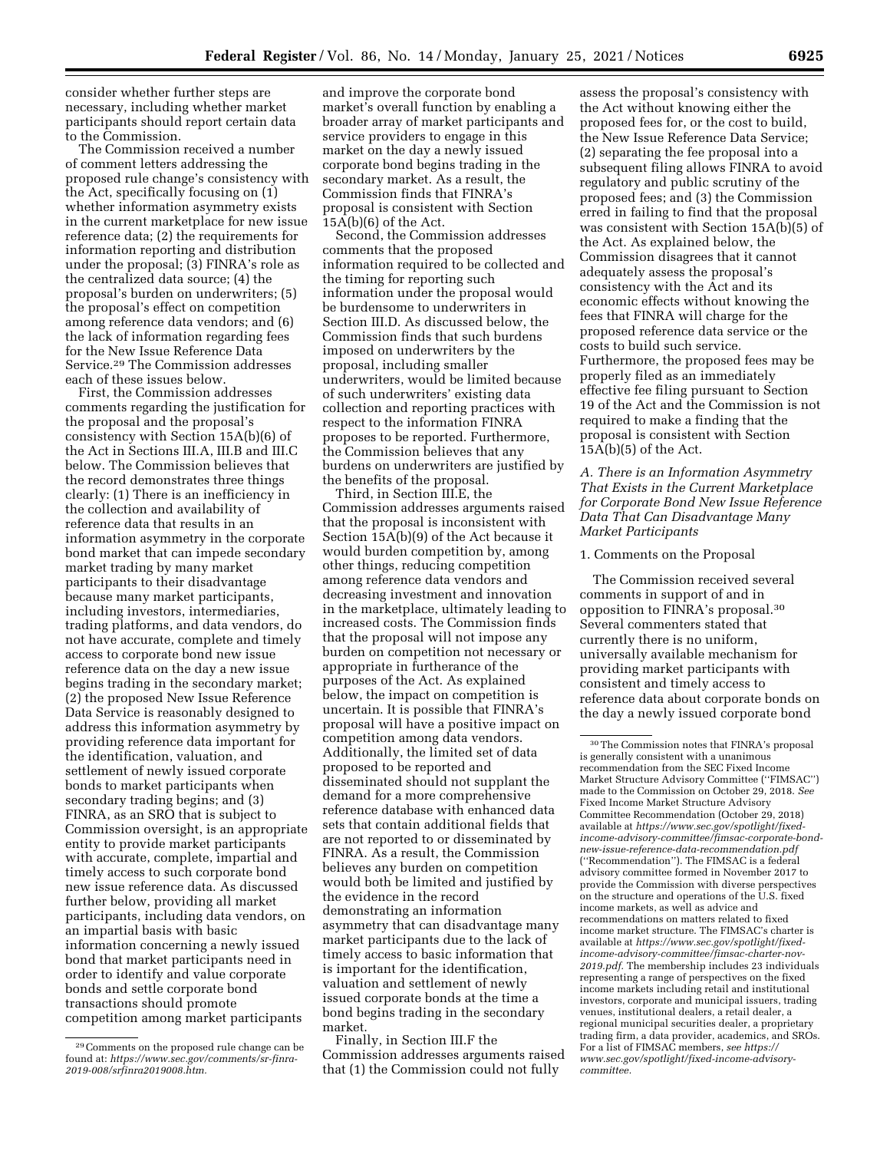consider whether further steps are necessary, including whether market participants should report certain data to the Commission.

The Commission received a number of comment letters addressing the proposed rule change's consistency with the Act, specifically focusing on (1) whether information asymmetry exists in the current marketplace for new issue reference data; (2) the requirements for information reporting and distribution under the proposal; (3) FINRA's role as the centralized data source; (4) the proposal's burden on underwriters; (5) the proposal's effect on competition among reference data vendors; and (6) the lack of information regarding fees for the New Issue Reference Data Service.29 The Commission addresses each of these issues below.

First, the Commission addresses comments regarding the justification for the proposal and the proposal's consistency with Section 15A(b)(6) of the Act in Sections III.A, III.B and III.C below. The Commission believes that the record demonstrates three things clearly: (1) There is an inefficiency in the collection and availability of reference data that results in an information asymmetry in the corporate bond market that can impede secondary market trading by many market participants to their disadvantage because many market participants, including investors, intermediaries, trading platforms, and data vendors, do not have accurate, complete and timely access to corporate bond new issue reference data on the day a new issue begins trading in the secondary market; (2) the proposed New Issue Reference Data Service is reasonably designed to address this information asymmetry by providing reference data important for the identification, valuation, and settlement of newly issued corporate bonds to market participants when secondary trading begins; and (3) FINRA, as an SRO that is subject to Commission oversight, is an appropriate entity to provide market participants with accurate, complete, impartial and timely access to such corporate bond new issue reference data. As discussed further below, providing all market participants, including data vendors, on an impartial basis with basic information concerning a newly issued bond that market participants need in order to identify and value corporate bonds and settle corporate bond transactions should promote competition among market participants

and improve the corporate bond market's overall function by enabling a broader array of market participants and service providers to engage in this market on the day a newly issued corporate bond begins trading in the secondary market. As a result, the Commission finds that FINRA's proposal is consistent with Section  $15A(b)(6)$  of the Act.

Second, the Commission addresses comments that the proposed information required to be collected and the timing for reporting such information under the proposal would be burdensome to underwriters in Section III.D. As discussed below, the Commission finds that such burdens imposed on underwriters by the proposal, including smaller underwriters, would be limited because of such underwriters' existing data collection and reporting practices with respect to the information FINRA proposes to be reported. Furthermore, the Commission believes that any burdens on underwriters are justified by the benefits of the proposal.

Third, in Section III.E, the Commission addresses arguments raised that the proposal is inconsistent with Section 15A(b)(9) of the Act because it would burden competition by, among other things, reducing competition among reference data vendors and decreasing investment and innovation in the marketplace, ultimately leading to increased costs. The Commission finds that the proposal will not impose any burden on competition not necessary or appropriate in furtherance of the purposes of the Act. As explained below, the impact on competition is uncertain. It is possible that FINRA's proposal will have a positive impact on competition among data vendors. Additionally, the limited set of data proposed to be reported and disseminated should not supplant the demand for a more comprehensive reference database with enhanced data sets that contain additional fields that are not reported to or disseminated by FINRA. As a result, the Commission believes any burden on competition would both be limited and justified by the evidence in the record demonstrating an information asymmetry that can disadvantage many market participants due to the lack of timely access to basic information that is important for the identification, valuation and settlement of newly issued corporate bonds at the time a bond begins trading in the secondary market.

Finally, in Section III.F the Commission addresses arguments raised that (1) the Commission could not fully

assess the proposal's consistency with the Act without knowing either the proposed fees for, or the cost to build, the New Issue Reference Data Service; (2) separating the fee proposal into a subsequent filing allows FINRA to avoid regulatory and public scrutiny of the proposed fees; and (3) the Commission erred in failing to find that the proposal was consistent with Section 15A(b)(5) of the Act. As explained below, the Commission disagrees that it cannot adequately assess the proposal's consistency with the Act and its economic effects without knowing the fees that FINRA will charge for the proposed reference data service or the costs to build such service. Furthermore, the proposed fees may be properly filed as an immediately effective fee filing pursuant to Section 19 of the Act and the Commission is not required to make a finding that the proposal is consistent with Section  $15A(b)(5)$  of the Act.

*A. There is an Information Asymmetry That Exists in the Current Marketplace for Corporate Bond New Issue Reference Data That Can Disadvantage Many Market Participants* 

#### 1. Comments on the Proposal

The Commission received several comments in support of and in opposition to FINRA's proposal.30 Several commenters stated that currently there is no uniform, universally available mechanism for providing market participants with consistent and timely access to reference data about corporate bonds on the day a newly issued corporate bond

<sup>29</sup>Comments on the proposed rule change can be found at: *[https://www.sec.gov/comments/sr-finra-](https://www.sec.gov/comments/sr-finra-2019-008/srfinra2019008.htm)[2019-008/srfinra2019008.htm.](https://www.sec.gov/comments/sr-finra-2019-008/srfinra2019008.htm)* 

<sup>30</sup>The Commission notes that FINRA's proposal is generally consistent with a unanimous recommendation from the SEC Fixed Income Market Structure Advisory Committee (''FIMSAC'') made to the Commission on October 29, 2018. *See*  Fixed Income Market Structure Advisory Committee Recommendation (October 29, 2018) available at *[https://www.sec.gov/spotlight/fixed](https://www.sec.gov/spotlight/fixed-income-advisory-committee/fimsac-corporate-bond-new-issue-reference-data-recommendation.pdf)[income-advisory-committee/fimsac-corporate-bond](https://www.sec.gov/spotlight/fixed-income-advisory-committee/fimsac-corporate-bond-new-issue-reference-data-recommendation.pdf)[new-issue-reference-data-recommendation.pdf](https://www.sec.gov/spotlight/fixed-income-advisory-committee/fimsac-corporate-bond-new-issue-reference-data-recommendation.pdf)*  (''Recommendation''). The FIMSAC is a federal advisory committee formed in November 2017 to provide the Commission with diverse perspectives on the structure and operations of the U.S. fixed income markets, as well as advice and recommendations on matters related to fixed income market structure. The FIMSAC's charter is available at *[https://www.sec.gov/spotlight/fixed](https://www.sec.gov/spotlight/fixed-income-advisory-committee/fimsac-charter-nov-2019.pdf)[income-advisory-committee/fimsac-charter-nov-](https://www.sec.gov/spotlight/fixed-income-advisory-committee/fimsac-charter-nov-2019.pdf)[2019.pdf.](https://www.sec.gov/spotlight/fixed-income-advisory-committee/fimsac-charter-nov-2019.pdf)* The membership includes 23 individuals representing a range of perspectives on the fixed income markets including retail and institutional investors, corporate and municipal issuers, trading venues, institutional dealers, a retail dealer, a regional municipal securities dealer, a proprietary trading firm, a data provider, academics, and SROs. For a list of FIMSAC members, *see [https://](https://www.sec.gov/spotlight/fixed-income-advisory-committee) [www.sec.gov/spotlight/fixed-income-advisory](https://www.sec.gov/spotlight/fixed-income-advisory-committee)[committee.](https://www.sec.gov/spotlight/fixed-income-advisory-committee)*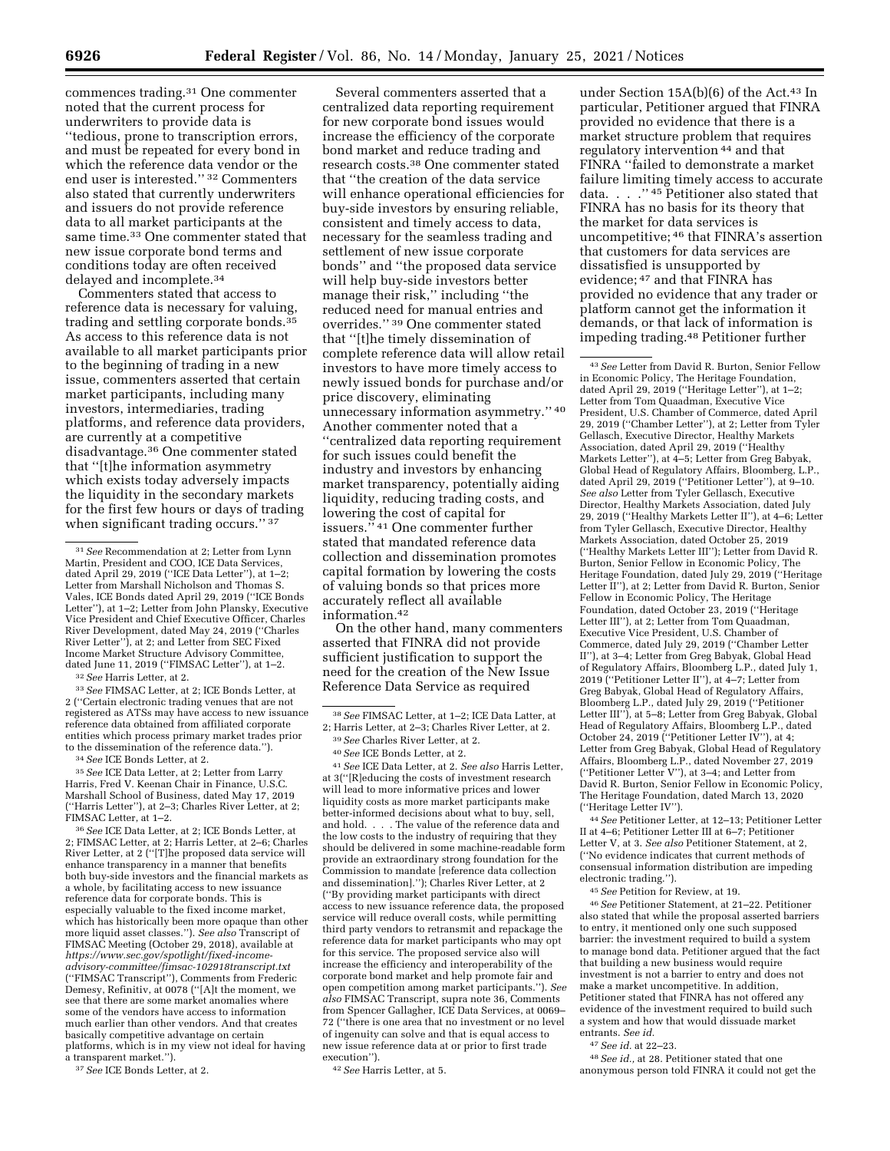commences trading.31 One commenter noted that the current process for underwriters to provide data is ''tedious, prone to transcription errors, and must be repeated for every bond in which the reference data vendor or the end user is interested.'' 32 Commenters also stated that currently underwriters and issuers do not provide reference data to all market participants at the same time.33 One commenter stated that new issue corporate bond terms and conditions today are often received delayed and incomplete.34

Commenters stated that access to reference data is necessary for valuing, trading and settling corporate bonds.35 As access to this reference data is not available to all market participants prior to the beginning of trading in a new issue, commenters asserted that certain market participants, including many investors, intermediaries, trading platforms, and reference data providers, are currently at a competitive disadvantage.36 One commenter stated that ''[t]he information asymmetry which exists today adversely impacts the liquidity in the secondary markets for the first few hours or days of trading when significant trading occurs." 37

<sup>32</sup>*See* Harris Letter, at 2. 33*See* FIMSAC Letter, at 2; ICE Bonds Letter, at 2 (''Certain electronic trading venues that are not registered as ATSs may have access to new issuance reference data obtained from affiliated corporate entities which process primary market trades prior to the dissemination of the reference data.'').<br><sup>34</sup> *See* ICE Bonds Letter, at 2:<br><sup>35</sup> *See* ICE Data Letter, at 2; Letter from Larry

Harris, Fred V. Keenan Chair in Finance, U.S.C. Marshall School of Business, dated May 17, 2019 (''Harris Letter''), at 2–3; Charles River Letter, at 2;

FIMSAC Letter, at 1–2. 36*See* ICE Data Letter, at 2; ICE Bonds Letter, at 2; FIMSAC Letter, at 2; Harris Letter, at 2–6; Charles River Letter, at 2 (''[T]he proposed data service will enhance transparency in a manner that benefits both buy-side investors and the financial markets as a whole, by facilitating access to new issuance reference data for corporate bonds. This is especially valuable to the fixed income market, which has historically been more opaque than other more liquid asset classes.''). *See also* Transcript of FIMSAC Meeting (October 29, 2018), available at *[https://www.sec.gov/spotlight/fixed-income](https://www.sec.gov/spotlight/fixed-income-advisory-committee/fimsac-102918transcript.txt)[advisory-committee/fimsac-102918transcript.txt](https://www.sec.gov/spotlight/fixed-income-advisory-committee/fimsac-102918transcript.txt)*  (''FIMSAC Transcript''), Comments from Frederic Demesy, Refinitiv, at 0078 (''[A]t the moment, we see that there are some market anomalies where some of the vendors have access to information much earlier than other vendors. And that creates basically competitive advantage on certain platforms, which is in my view not ideal for having a transparent market.'').

37*See* ICE Bonds Letter, at 2.

Several commenters asserted that a centralized data reporting requirement for new corporate bond issues would increase the efficiency of the corporate bond market and reduce trading and research costs.38 One commenter stated that ''the creation of the data service will enhance operational efficiencies for buy-side investors by ensuring reliable, consistent and timely access to data, necessary for the seamless trading and settlement of new issue corporate bonds'' and ''the proposed data service will help buy-side investors better manage their risk,'' including ''the reduced need for manual entries and overrides.'' 39 One commenter stated that ''[t]he timely dissemination of complete reference data will allow retail investors to have more timely access to newly issued bonds for purchase and/or price discovery, eliminating unnecessary information asymmetry.'' 40 Another commenter noted that a ''centralized data reporting requirement for such issues could benefit the industry and investors by enhancing market transparency, potentially aiding liquidity, reducing trading costs, and lowering the cost of capital for issuers.'' 41 One commenter further stated that mandated reference data collection and dissemination promotes capital formation by lowering the costs of valuing bonds so that prices more accurately reflect all available information.42

On the other hand, many commenters asserted that FINRA did not provide sufficient justification to support the need for the creation of the New Issue Reference Data Service as required

41*See* ICE Data Letter, at 2. *See also* Harris Letter, at 3(''[R]educing the costs of investment research will lead to more informative prices and lower liquidity costs as more market participants make better-informed decisions about what to buy, sell, and hold. . . . The value of the reference data and the low costs to the industry of requiring that they should be delivered in some machine-readable form provide an extraordinary strong foundation for the Commission to mandate [reference data collection and dissemination].''); Charles River Letter, at 2 (''By providing market participants with direct access to new issuance reference data, the proposed service will reduce overall costs, while permitting third party vendors to retransmit and repackage the reference data for market participants who may opt for this service. The proposed service also will increase the efficiency and interoperability of the corporate bond market and help promote fair and open competition among market participants.''). *See also* FIMSAC Transcript, supra note 36, Comments from Spencer Gallagher, ICE Data Services, at 0069– 72 (''there is one area that no investment or no level of ingenuity can solve and that is equal access to new issue reference data at or prior to first trade execution'').

42*See* Harris Letter, at 5.

under Section  $15A(b)(6)$  of the Act.<sup>43</sup> In particular, Petitioner argued that FINRA provided no evidence that there is a market structure problem that requires regulatory intervention 44 and that FINRA ''failed to demonstrate a market failure limiting timely access to accurate data. . . .'' 45 Petitioner also stated that FINRA has no basis for its theory that the market for data services is uncompetitive; 46 that FINRA's assertion that customers for data services are dissatisfied is unsupported by evidence; 47 and that FINRA has provided no evidence that any trader or platform cannot get the information it demands, or that lack of information is impeding trading.48 Petitioner further

43*See* Letter from David R. Burton, Senior Fellow in Economic Policy, The Heritage Foundation, dated April 29, 2019 (''Heritage Letter''), at 1–2; Letter from Tom Quaadman, Executive Vice President, U.S. Chamber of Commerce, dated April 29, 2019 (''Chamber Letter''), at 2; Letter from Tyler Gellasch, Executive Director, Healthy Markets Association, dated April 29, 2019 (''Healthy Markets Letter''), at 4–5; Letter from Greg Babyak, Global Head of Regulatory Affairs, Bloomberg, L.P., dated April 29, 2019 (''Petitioner Letter''), at 9–10. *See also* Letter from Tyler Gellasch, Executive Director, Healthy Markets Association, dated July 29, 2019 (''Healthy Markets Letter II''), at 4–6; Letter from Tyler Gellasch, Executive Director, Healthy Markets Association, dated October 25, 2019 (''Healthy Markets Letter III''); Letter from David R. Burton, Senior Fellow in Economic Policy, The Heritage Foundation, dated July 29, 2019 (''Heritage Letter II''), at 2; Letter from David R. Burton, Senior Fellow in Economic Policy, The Heritage Foundation, dated October 23, 2019 (''Heritage Letter III''), at 2; Letter from Tom Quaadman, Executive Vice President, U.S. Chamber of Commerce, dated July 29, 2019 (''Chamber Letter II''), at 3–4; Letter from Greg Babyak, Global Head of Regulatory Affairs, Bloomberg L.P., dated July 1, 2019 (''Petitioner Letter II''), at 4–7; Letter from Greg Babyak, Global Head of Regulatory Affairs, Bloomberg L.P., dated July 29, 2019 (''Petitioner Letter III''), at 5–8; Letter from Greg Babyak, Global Head of Regulatory Affairs, Bloomberg L.P., dated October 24, 2019 (''Petitioner Letter IV''), at 4; Letter from Greg Babyak, Global Head of Regulatory Affairs, Bloomberg L.P., dated November 27, 2019 (''Petitioner Letter V''), at 3–4; and Letter from David R. Burton, Senior Fellow in Economic Policy, The Heritage Foundation, dated March 13, 2020 (''Heritage Letter IV'').

44*See* Petitioner Letter, at 12–13; Petitioner Letter II at 4–6; Petitioner Letter III at 6–7; Petitioner Letter V, at 3. *See also* Petitioner Statement, at 2, (''No evidence indicates that current methods of consensual information distribution are impeding electronic trading.'').

45*See* Petition for Review, at 19.

46*See* Petitioner Statement, at 21–22. Petitioner also stated that while the proposal asserted barriers to entry, it mentioned only one such supposed barrier: the investment required to build a system to manage bond data. Petitioner argued that the fact that building a new business would require investment is not a barrier to entry and does not make a market uncompetitive. In addition, Petitioner stated that FINRA has not offered any evidence of the investment required to build such a system and how that would dissuade market entrants. *See id.* 

47*See id.* at 22–23.

48*See id.,* at 28. Petitioner stated that one anonymous person told FINRA it could not get the

<sup>31</sup>*See* Recommendation at 2; Letter from Lynn Martin, President and COO, ICE Data Services, dated April 29, 2019 (''ICE Data Letter''), at 1–2; Letter from Marshall Nicholson and Thomas S. Vales, ICE Bonds dated April 29, 2019 (''ICE Bonds Letter''), at 1–2; Letter from John Plansky, Executive Vice President and Chief Executive Officer, Charles River Development, dated May 24, 2019 (''Charles River Letter''), at 2; and Letter from SEC Fixed Income Market Structure Advisory Committee, dated June 11, 2019 (''FIMSAC Letter''), at 1–2.

<sup>38</sup>*See* FIMSAC Letter, at 1–2; ICE Data Latter, at

<sup>2;</sup> Harris Letter, at 2–3; Charles River Letter, at 2. 39*See* Charles River Letter, at 2.

<sup>40</sup>*See* ICE Bonds Letter, at 2.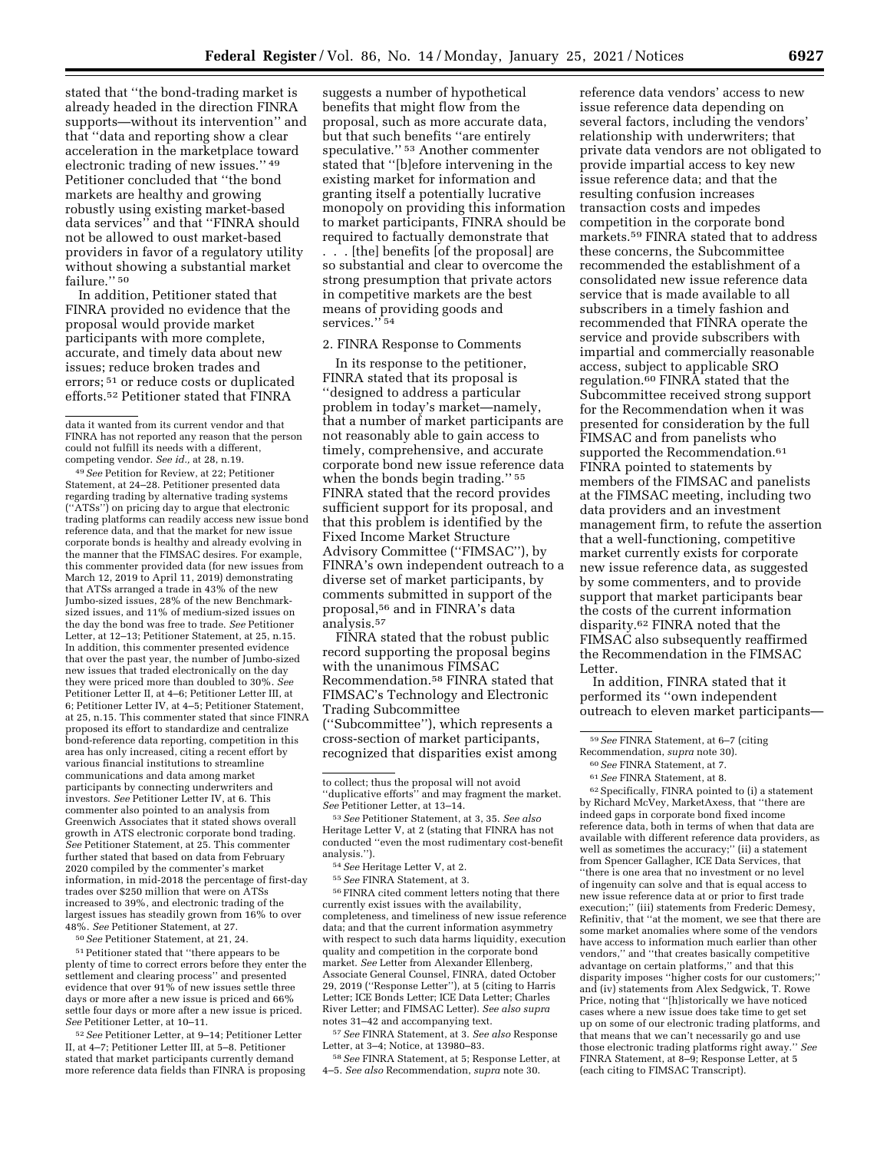stated that ''the bond-trading market is already headed in the direction FINRA supports—without its intervention'' and that ''data and reporting show a clear acceleration in the marketplace toward electronic trading of new issues.'' 49 Petitioner concluded that ''the bond markets are healthy and growing robustly using existing market-based data services'' and that ''FINRA should not be allowed to oust market-based providers in favor of a regulatory utility without showing a substantial market failure."<sup>50</sup>

In addition, Petitioner stated that FINRA provided no evidence that the proposal would provide market participants with more complete, accurate, and timely data about new issues; reduce broken trades and errors; 51 or reduce costs or duplicated efforts.52 Petitioner stated that FINRA

49*See* Petition for Review, at 22; Petitioner Statement, at 24–28. Petitioner presented data regarding trading by alternative trading systems (''ATSs'') on pricing day to argue that electronic trading platforms can readily access new issue bond reference data, and that the market for new issue corporate bonds is healthy and already evolving in the manner that the FIMSAC desires. For example, this commenter provided data (for new issues from March 12, 2019 to April 11, 2019) demonstrating that ATSs arranged a trade in 43% of the new Jumbo-sized issues, 28% of the new Benchmarksized issues, and 11% of medium-sized issues on the day the bond was free to trade. *See* Petitioner Letter, at 12–13; Petitioner Statement, at 25, n.15. In addition, this commenter presented evidence that over the past year, the number of Jumbo-sized new issues that traded electronically on the day they were priced more than doubled to 30%. *See*  Petitioner Letter II, at 4–6; Petitioner Letter III, at 6; Petitioner Letter IV, at 4–5; Petitioner Statement, at 25, n.15. This commenter stated that since FINRA proposed its effort to standardize and centralize bond-reference data reporting, competition in this area has only increased, citing a recent effort by various financial institutions to streamline communications and data among market participants by connecting underwriters and investors. *See* Petitioner Letter IV, at 6. This commenter also pointed to an analysis from Greenwich Associates that it stated shows overall growth in ATS electronic corporate bond trading. *See* Petitioner Statement, at 25. This commenter further stated that based on data from February 2020 compiled by the commenter's market information, in mid-2018 the percentage of first-day trades over \$250 million that were on ATSs increased to 39%, and electronic trading of the largest issues has steadily grown from 16% to over 48%. *See* Petitioner Statement, at 27.

50*See* Petitioner Statement, at 21, 24.

51Petitioner stated that ''there appears to be plenty of time to correct errors before they enter the settlement and clearing process'' and presented evidence that over 91% of new issues settle three days or more after a new issue is priced and 66% settle four days or more after a new issue is priced. *See* Petitioner Letter, at 10–11.

52*See* Petitioner Letter, at 9–14; Petitioner Letter II, at 4–7; Petitioner Letter III, at 5–8. Petitioner stated that market participants currently demand more reference data fields than FINRA is proposing

suggests a number of hypothetical benefits that might flow from the proposal, such as more accurate data, but that such benefits ''are entirely speculative.'' 53 Another commenter stated that ''[b]efore intervening in the existing market for information and granting itself a potentially lucrative monopoly on providing this information to market participants, FINRA should be required to factually demonstrate that . . . [the] benefits [of the proposal] are so substantial and clear to overcome the strong presumption that private actors in competitive markets are the best means of providing goods and services."<sup>54</sup>

## 2. FINRA Response to Comments

In its response to the petitioner, FINRA stated that its proposal is ''designed to address a particular problem in today's market—namely, that a number of market participants are not reasonably able to gain access to timely, comprehensive, and accurate corporate bond new issue reference data when the bonds begin trading.'' 55 FINRA stated that the record provides sufficient support for its proposal, and that this problem is identified by the Fixed Income Market Structure Advisory Committee (''FIMSAC''), by FINRA's own independent outreach to a diverse set of market participants, by comments submitted in support of the proposal,56 and in FINRA's data analysis.57

FINRA stated that the robust public record supporting the proposal begins with the unanimous FIMSAC Recommendation.58 FINRA stated that FIMSAC's Technology and Electronic Trading Subcommittee (''Subcommittee''), which represents a cross-section of market participants, recognized that disparities exist among

56FINRA cited comment letters noting that there currently exist issues with the availability, completeness, and timeliness of new issue reference data; and that the current information asymmetry with respect to such data harms liquidity, execution quality and competition in the corporate bond market. *See* Letter from Alexander Ellenberg, Associate General Counsel, FINRA, dated October 29, 2019 (''Response Letter''), at 5 (citing to Harris Letter; ICE Bonds Letter; ICE Data Letter; Charles River Letter; and FIMSAC Letter). *See also supra*  notes 31–42 and accompanying text.

57*See* FINRA Statement, at 3. *See also* Response Letter, at 3–4; Notice, at 13980–83.

58*See* FINRA Statement, at 5; Response Letter, at 4–5. *See also* Recommendation, *supra* note 30.

reference data vendors' access to new issue reference data depending on several factors, including the vendors' relationship with underwriters; that private data vendors are not obligated to provide impartial access to key new issue reference data; and that the resulting confusion increases transaction costs and impedes competition in the corporate bond markets.59 FINRA stated that to address these concerns, the Subcommittee recommended the establishment of a consolidated new issue reference data service that is made available to all subscribers in a timely fashion and recommended that FINRA operate the service and provide subscribers with impartial and commercially reasonable access, subject to applicable SRO regulation.60 FINRA stated that the Subcommittee received strong support for the Recommendation when it was presented for consideration by the full FIMSAC and from panelists who supported the Recommendation.<sup>61</sup> FINRA pointed to statements by members of the FIMSAC and panelists at the FIMSAC meeting, including two data providers and an investment management firm, to refute the assertion that a well-functioning, competitive market currently exists for corporate new issue reference data, as suggested by some commenters, and to provide support that market participants bear the costs of the current information disparity.62 FINRA noted that the FIMSAC also subsequently reaffirmed the Recommendation in the FIMSAC Letter.

In addition, FINRA stated that it performed its ''own independent outreach to eleven market participants—

62Specifically, FINRA pointed to (i) a statement by Richard McVey, MarketAxess, that ''there are indeed gaps in corporate bond fixed income reference data, both in terms of when that data are available with different reference data providers, as well as sometimes the accuracy;'' (ii) a statement from Spencer Gallagher, ICE Data Services, that ''there is one area that no investment or no level of ingenuity can solve and that is equal access to new issue reference data at or prior to first trade execution;'' (iii) statements from Frederic Demesy, Refinitiv, that ''at the moment, we see that there are some market anomalies where some of the vendors have access to information much earlier than other vendors,'' and ''that creates basically competitive advantage on certain platforms,'' and that this disparity imposes ''higher costs for our customers;'' and (iv) statements from Alex Sedgwick, T. Rowe Price, noting that ''[h]istorically we have noticed cases where a new issue does take time to get set up on some of our electronic trading platforms, and that means that we can't necessarily go and use those electronic trading platforms right away.'' *See*  FINRA Statement, at 8–9; Response Letter, at 5 (each citing to FIMSAC Transcript).

data it wanted from its current vendor and that FINRA has not reported any reason that the person could not fulfill its needs with a different, competing vendor. *See id.,* at 28, n.19.

to collect; thus the proposal will not avoid ''duplicative efforts'' and may fragment the market. *See* Petitioner Letter, at 13–14.

<sup>53</sup>*See* Petitioner Statement, at 3, 35. *See also*  Heritage Letter V, at 2 (stating that FINRA has not conducted ''even the most rudimentary cost-benefit analysis.'').

<sup>54</sup>*See* Heritage Letter V, at 2.

<sup>55</sup>*See* FINRA Statement, at 3.

<sup>59</sup>*See* FINRA Statement, at 6–7 (citing

Recommendation, *supra* note 30). 60*See* FINRA Statement, at 7.

<sup>61</sup>*See* FINRA Statement, at 8.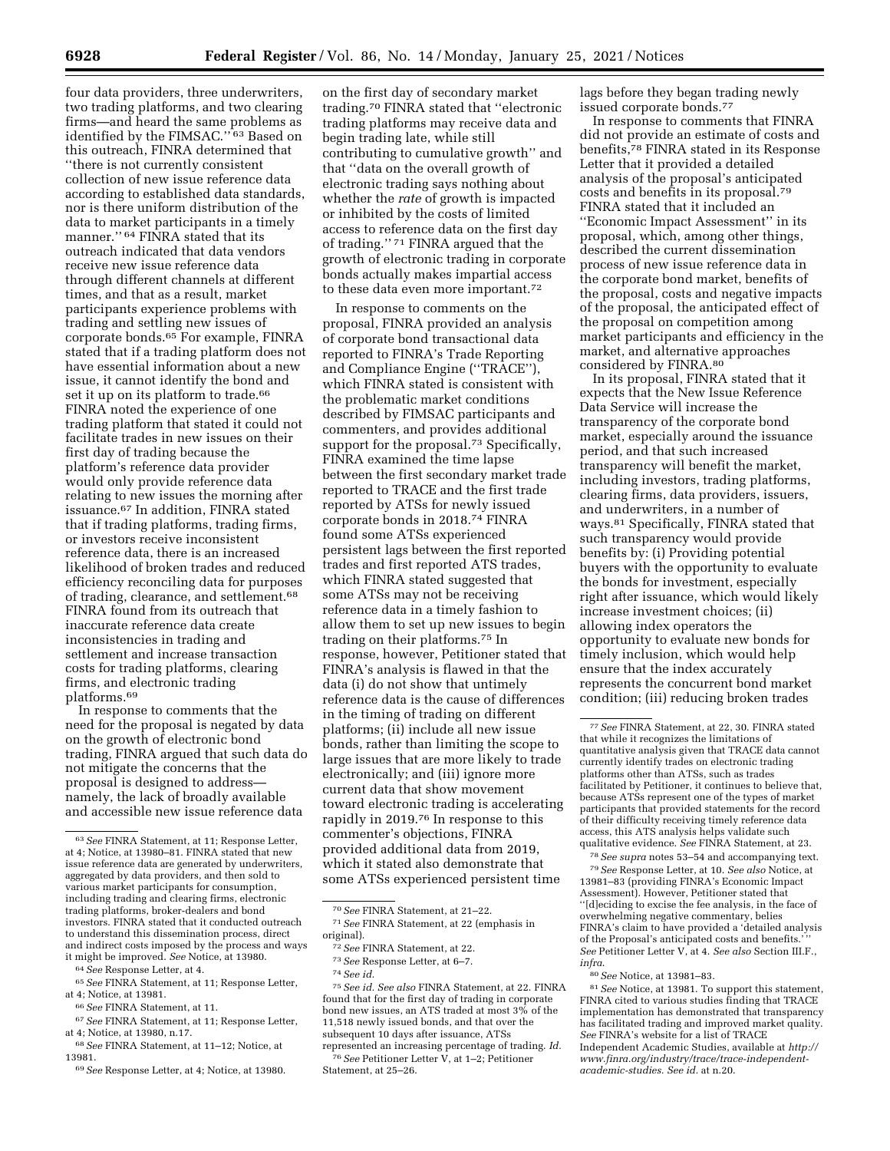four data providers, three underwriters, two trading platforms, and two clearing firms—and heard the same problems as identified by the FIMSAC."<sup>63</sup> Based on this outreach, FINRA determined that ''there is not currently consistent collection of new issue reference data according to established data standards, nor is there uniform distribution of the data to market participants in a timely manner." <sup>64</sup> FINRA stated that its outreach indicated that data vendors receive new issue reference data through different channels at different times, and that as a result, market participants experience problems with trading and settling new issues of corporate bonds.65 For example, FINRA stated that if a trading platform does not have essential information about a new issue, it cannot identify the bond and set it up on its platform to trade.<sup>66</sup> FINRA noted the experience of one trading platform that stated it could not facilitate trades in new issues on their first day of trading because the platform's reference data provider would only provide reference data relating to new issues the morning after issuance.67 In addition, FINRA stated that if trading platforms, trading firms, or investors receive inconsistent reference data, there is an increased likelihood of broken trades and reduced efficiency reconciling data for purposes of trading, clearance, and settlement.<sup>68</sup> FINRA found from its outreach that inaccurate reference data create inconsistencies in trading and settlement and increase transaction costs for trading platforms, clearing firms, and electronic trading platforms.69

In response to comments that the need for the proposal is negated by data on the growth of electronic bond trading, FINRA argued that such data do not mitigate the concerns that the proposal is designed to address namely, the lack of broadly available and accessible new issue reference data

64*See* Response Letter, at 4.

67*See* FINRA Statement, at 11; Response Letter, at 4; Notice, at 13980, n.17.

69*See* Response Letter, at 4; Notice, at 13980.

on the first day of secondary market trading.70 FINRA stated that ''electronic trading platforms may receive data and begin trading late, while still contributing to cumulative growth'' and that ''data on the overall growth of electronic trading says nothing about whether the *rate* of growth is impacted or inhibited by the costs of limited access to reference data on the first day of trading.'' 71 FINRA argued that the growth of electronic trading in corporate bonds actually makes impartial access to these data even more important.72

In response to comments on the proposal, FINRA provided an analysis of corporate bond transactional data reported to FINRA's Trade Reporting and Compliance Engine (''TRACE''), which FINRA stated is consistent with the problematic market conditions described by FIMSAC participants and commenters, and provides additional support for the proposal.<sup>73</sup> Specifically, FINRA examined the time lapse between the first secondary market trade reported to TRACE and the first trade reported by ATSs for newly issued corporate bonds in 2018.74 FINRA found some ATSs experienced persistent lags between the first reported trades and first reported ATS trades, which FINRA stated suggested that some ATSs may not be receiving reference data in a timely fashion to allow them to set up new issues to begin trading on their platforms.75 In response, however, Petitioner stated that FINRA's analysis is flawed in that the data (i) do not show that untimely reference data is the cause of differences in the timing of trading on different platforms; (ii) include all new issue bonds, rather than limiting the scope to large issues that are more likely to trade electronically; and (iii) ignore more current data that show movement toward electronic trading is accelerating rapidly in 2019.76 In response to this commenter's objections, FINRA provided additional data from 2019, which it stated also demonstrate that some ATSs experienced persistent time

75*See id. See also* FINRA Statement, at 22. FINRA found that for the first day of trading in corporate bond new issues, an ATS traded at most 3% of the 11,518 newly issued bonds, and that over the subsequent 10 days after issuance, ATSs represented an increasing percentage of trading. *Id.* 

76*See* Petitioner Letter V, at 1–2; Petitioner Statement, at 25–26.

lags before they began trading newly issued corporate bonds.77

In response to comments that FINRA did not provide an estimate of costs and benefits,78 FINRA stated in its Response Letter that it provided a detailed analysis of the proposal's anticipated costs and benefits in its proposal.79 FINRA stated that it included an ''Economic Impact Assessment'' in its proposal, which, among other things, described the current dissemination process of new issue reference data in the corporate bond market, benefits of the proposal, costs and negative impacts of the proposal, the anticipated effect of the proposal on competition among market participants and efficiency in the market, and alternative approaches considered by FINRA.80

In its proposal, FINRA stated that it expects that the New Issue Reference Data Service will increase the transparency of the corporate bond market, especially around the issuance period, and that such increased transparency will benefit the market, including investors, trading platforms, clearing firms, data providers, issuers, and underwriters, in a number of ways.81 Specifically, FINRA stated that such transparency would provide benefits by: (i) Providing potential buyers with the opportunity to evaluate the bonds for investment, especially right after issuance, which would likely increase investment choices; (ii) allowing index operators the opportunity to evaluate new bonds for timely inclusion, which would help ensure that the index accurately represents the concurrent bond market condition; (iii) reducing broken trades

78*See supra* notes 53–54 and accompanying text. 79*See* Response Letter, at 10. *See also* Notice, at 13981–83 (providing FINRA's Economic Impact Assessment). However, Petitioner stated that ''[d]eciding to excise the fee analysis, in the face of overwhelming negative commentary, belies FINRA's claim to have provided a 'detailed analysis of the Proposal's anticipated costs and benefits. *See* Petitioner Letter V, at 4. *See also* Section III.F., *infra*.

80*See* Notice, at 13981–83.

81*See* Notice, at 13981. To support this statement, FINRA cited to various studies finding that TRACE implementation has demonstrated that transparency has facilitated trading and improved market quality. *See* FINRA's website for a list of TRACE Independent Academic Studies, available at *[http://](http://www.finra.org/industry/trace/trace-independent-academic-studies)  [www.finra.org/industry/trace/trace-independent](http://www.finra.org/industry/trace/trace-independent-academic-studies)[academic-studies.](http://www.finra.org/industry/trace/trace-independent-academic-studies) See id.* at n.20.

<sup>63</sup>*See* FINRA Statement, at 11; Response Letter, at 4; Notice, at 13980–81. FINRA stated that new issue reference data are generated by underwriters, aggregated by data providers, and then sold to various market participants for consumption, including trading and clearing firms, electronic trading platforms, broker-dealers and bond investors. FINRA stated that it conducted outreach to understand this dissemination process, direct and indirect costs imposed by the process and ways it might be improved. *See* Notice, at 13980.

<sup>65</sup>*See* FINRA Statement, at 11; Response Letter, at 4; Notice, at 13981.

<sup>66</sup>*See* FINRA Statement, at 11.

<sup>68</sup>*See* FINRA Statement, at 11–12; Notice, at 13981.

<sup>70</sup>*See* FINRA Statement, at 21–22.

<sup>71</sup>*See* FINRA Statement, at 22 (emphasis in original).

<sup>72</sup>*See* FINRA Statement, at 22.

<sup>73</sup>*See* Response Letter, at 6–7.

<sup>74</sup>*See id.* 

<sup>77</sup>*See* FINRA Statement, at 22, 30. FINRA stated that while it recognizes the limitations of quantitative analysis given that TRACE data cannot currently identify trades on electronic trading platforms other than ATSs, such as trades facilitated by Petitioner, it continues to believe that, because ATSs represent one of the types of market participants that provided statements for the record of their difficulty receiving timely reference data access, this ATS analysis helps validate such qualitative evidence. *See* FINRA Statement, at 23.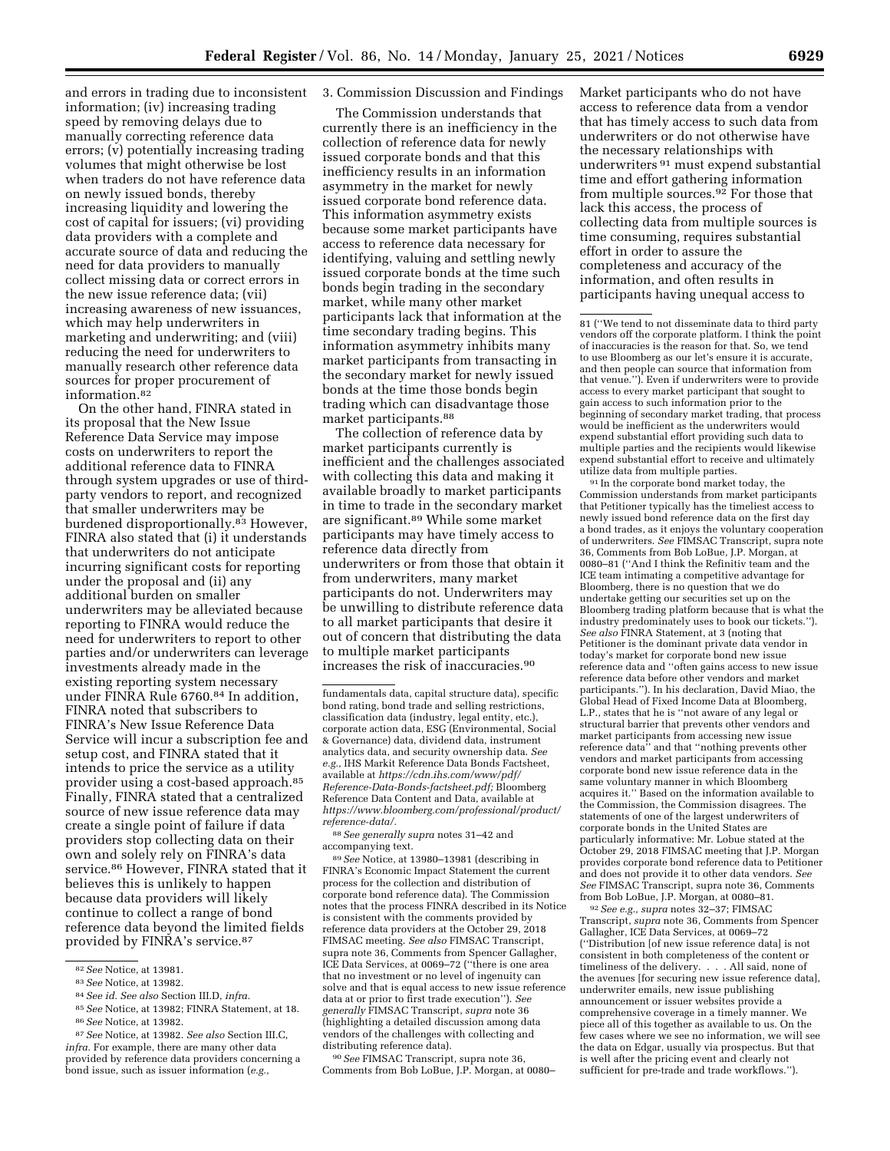and errors in trading due to inconsistent information; (iv) increasing trading speed by removing delays due to manually correcting reference data errors; (v) potentially increasing trading volumes that might otherwise be lost when traders do not have reference data on newly issued bonds, thereby increasing liquidity and lowering the cost of capital for issuers; (vi) providing data providers with a complete and accurate source of data and reducing the need for data providers to manually collect missing data or correct errors in the new issue reference data; (vii) increasing awareness of new issuances, which may help underwriters in marketing and underwriting; and (viii) reducing the need for underwriters to manually research other reference data sources for proper procurement of information.82

On the other hand, FINRA stated in its proposal that the New Issue Reference Data Service may impose costs on underwriters to report the additional reference data to FINRA through system upgrades or use of thirdparty vendors to report, and recognized that smaller underwriters may be burdened disproportionally.83 However, FINRA also stated that (i) it understands that underwriters do not anticipate incurring significant costs for reporting under the proposal and (ii) any additional burden on smaller underwriters may be alleviated because reporting to FINRA would reduce the need for underwriters to report to other parties and/or underwriters can leverage investments already made in the existing reporting system necessary under FINRA Rule 6760.84 In addition, FINRA noted that subscribers to FINRA's New Issue Reference Data Service will incur a subscription fee and setup cost, and FINRA stated that it intends to price the service as a utility provider using a cost-based approach.85 Finally, FINRA stated that a centralized source of new issue reference data may create a single point of failure if data providers stop collecting data on their own and solely rely on FINRA's data service.<sup>86</sup> However, FINRA stated that it believes this is unlikely to happen because data providers will likely continue to collect a range of bond reference data beyond the limited fields provided by FINRA's service.87

84*See id. See also* Section III.D, *infra.* 

## 3. Commission Discussion and Findings

The Commission understands that currently there is an inefficiency in the collection of reference data for newly issued corporate bonds and that this inefficiency results in an information asymmetry in the market for newly issued corporate bond reference data. This information asymmetry exists because some market participants have access to reference data necessary for identifying, valuing and settling newly issued corporate bonds at the time such bonds begin trading in the secondary market, while many other market participants lack that information at the time secondary trading begins. This information asymmetry inhibits many market participants from transacting in the secondary market for newly issued bonds at the time those bonds begin trading which can disadvantage those market participants.88

The collection of reference data by market participants currently is inefficient and the challenges associated with collecting this data and making it available broadly to market participants in time to trade in the secondary market are significant.89 While some market participants may have timely access to reference data directly from underwriters or from those that obtain it from underwriters, many market participants do not. Underwriters may be unwilling to distribute reference data to all market participants that desire it out of concern that distributing the data to multiple market participants increases the risk of inaccuracies.90

88*See generally supra* notes 31–42 and accompanying text.

89*See* Notice, at 13980–13981 (describing in FINRA's Economic Impact Statement the current process for the collection and distribution of corporate bond reference data). The Commission notes that the process FINRA described in its Notice is consistent with the comments provided by reference data providers at the October 29, 2018 FIMSAC meeting. *See also* FIMSAC Transcript, supra note 36, Comments from Spencer Gallagher, ICE Data Services, at 0069–72 (''there is one area that no investment or no level of ingenuity can solve and that is equal access to new issue reference data at or prior to first trade execution''). *See generally* FIMSAC Transcript, *supra* note 36 (highlighting a detailed discussion among data vendors of the challenges with collecting and distributing reference data).

90*See* FIMSAC Transcript, supra note 36, Comments from Bob LoBue, J.P. Morgan, at 0080– Market participants who do not have access to reference data from a vendor that has timely access to such data from underwriters or do not otherwise have the necessary relationships with underwriters 91 must expend substantial time and effort gathering information from multiple sources.92 For those that lack this access, the process of collecting data from multiple sources is time consuming, requires substantial effort in order to assure the completeness and accuracy of the information, and often results in participants having unequal access to

81 (''We tend to not disseminate data to third party vendors off the corporate platform. I think the point of inaccuracies is the reason for that. So, we tend to use Bloomberg as our let's ensure it is accurate, and then people can source that information from that venue.''). Even if underwriters were to provide access to every market participant that sought to gain access to such information prior to the beginning of secondary market trading, that process would be inefficient as the underwriters would expend substantial effort providing such data to multiple parties and the recipients would likewise expend substantial effort to receive and ultimately utilize data from multiple parties.

91 In the corporate bond market today, the Commission understands from market participants that Petitioner typically has the timeliest access to newly issued bond reference data on the first day a bond trades, as it enjoys the voluntary cooperation of underwriters. *See* FIMSAC Transcript, supra note 36, Comments from Bob LoBue, J.P. Morgan, at 0080–81 (''And I think the Refinitiv team and the ICE team intimating a competitive advantage for Bloomberg, there is no question that we do undertake getting our securities set up on the Bloomberg trading platform because that is what the industry predominately uses to book our tickets.''). *See also* FINRA Statement, at 3 (noting that Petitioner is the dominant private data vendor in today's market for corporate bond new issue reference data and ''often gains access to new issue reference data before other vendors and market participants.''). In his declaration, David Miao, the Global Head of Fixed Income Data at Bloomberg, L.P., states that he is ''not aware of any legal or structural barrier that prevents other vendors and market participants from accessing new issue reference data'' and that ''nothing prevents other vendors and market participants from accessing corporate bond new issue reference data in the same voluntary manner in which Bloomberg acquires it.'' Based on the information available to the Commission, the Commission disagrees. The statements of one of the largest underwriters of corporate bonds in the United States are particularly informative: Mr. Lobue stated at the October 29, 2018 FIMSAC meeting that J.P. Morgan provides corporate bond reference data to Petitioner and does not provide it to other data vendors. *See See* FIMSAC Transcript, supra note 36, Comments

<sup>92</sup> See e.g., supra notes 32–37; FIMSAC Transcript, *supra* note 36, Comments from Spencer Gallagher, ICE Data Services, at 0069–72 (''Distribution [of new issue reference data] is not consistent in both completeness of the content or timeliness of the delivery. . . . All said, none of the avenues [for securing new issue reference data], underwriter emails, new issue publishing announcement or issuer websites provide a comprehensive coverage in a timely manner. We piece all of this together as available to us. On the few cases where we see no information, we will see the data on Edgar, usually via prospectus. But that is well after the pricing event and clearly not sufficient for pre-trade and trade workflows.'').

<sup>82</sup>*See* Notice, at 13981.

<sup>83</sup>*See* Notice, at 13982.

<sup>85</sup>*See* Notice, at 13982; FINRA Statement, at 18. 86*See* Notice, at 13982.

<sup>87</sup>*See* Notice, at 13982. *See also* Section III.C, *infra.* For example, there are many other data provided by reference data providers concerning a bond issue, such as issuer information (*e.g.,* 

fundamentals data, capital structure data), specific bond rating, bond trade and selling restrictions, classification data (industry, legal entity, etc.), corporate action data, ESG (Environmental, Social & Governance) data, dividend data, instrument analytics data, and security ownership data. *See e.g.,* IHS Markit Reference Data Bonds Factsheet, available at *[https://cdn.ihs.com/www/pdf/](https://cdn.ihs.com/www/pdf/Reference-Data-Bonds-factsheet.pdf) [Reference-Data-Bonds-factsheet.pdf;](https://cdn.ihs.com/www/pdf/Reference-Data-Bonds-factsheet.pdf)* Bloomberg Reference Data Content and Data, available at *[https://www.bloomberg.com/professional/product/](https://www.bloomberg.com/professional/product/reference-data/)  [reference-data/.](https://www.bloomberg.com/professional/product/reference-data/)*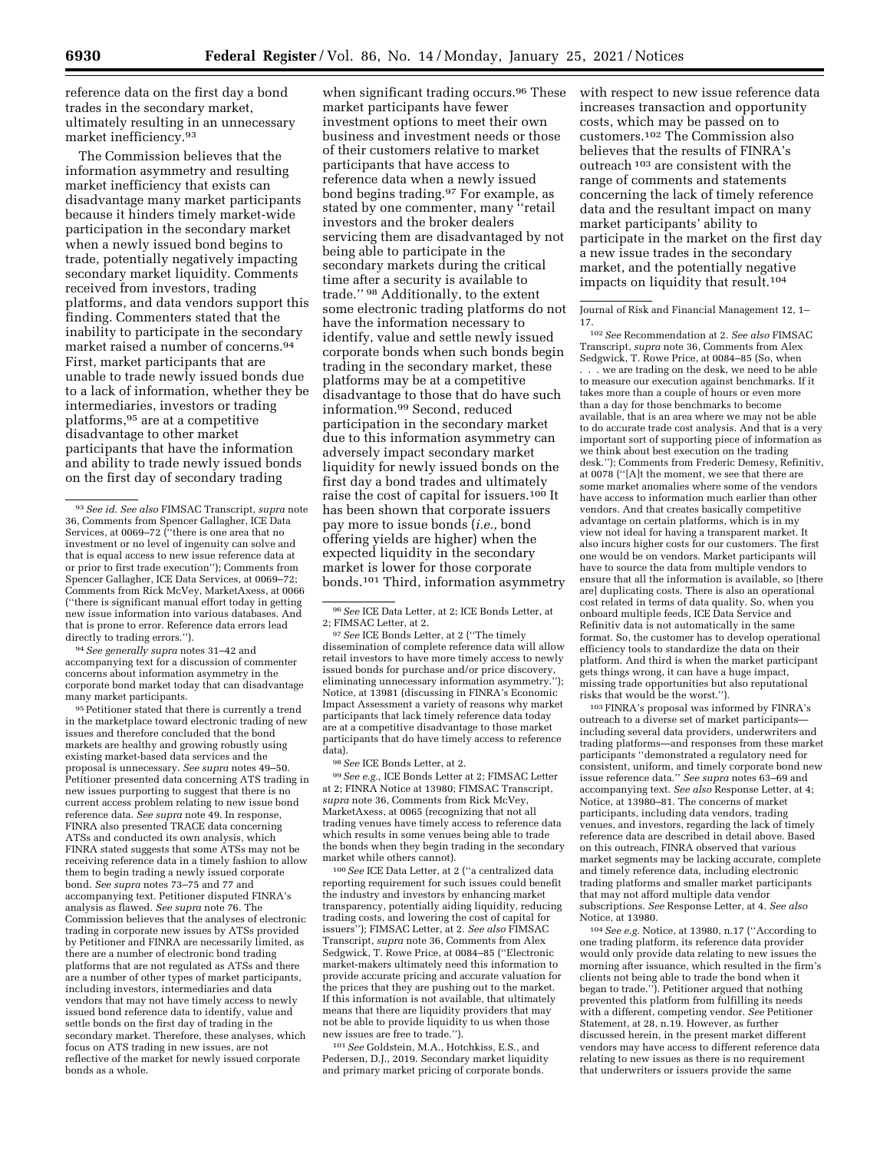reference data on the first day a bond trades in the secondary market, ultimately resulting in an unnecessary market inefficiency.93

The Commission believes that the information asymmetry and resulting market inefficiency that exists can disadvantage many market participants because it hinders timely market-wide participation in the secondary market when a newly issued bond begins to trade, potentially negatively impacting secondary market liquidity. Comments received from investors, trading platforms, and data vendors support this finding. Commenters stated that the inability to participate in the secondary market raised a number of concerns.94 First, market participants that are unable to trade newly issued bonds due to a lack of information, whether they be intermediaries, investors or trading platforms,95 are at a competitive disadvantage to other market participants that have the information and ability to trade newly issued bonds on the first day of secondary trading

94*See generally supra* notes 31–42 and accompanying text for a discussion of commenter concerns about information asymmetry in the corporate bond market today that can disadvantage many market participants.

95 Petitioner stated that there is currently a trend in the marketplace toward electronic trading of new issues and therefore concluded that the bond markets are healthy and growing robustly using existing market-based data services and the proposal is unnecessary. *See supra* notes 49–50. Petitioner presented data concerning ATS trading in new issues purporting to suggest that there is no current access problem relating to new issue bond reference data. *See supra* note 49. In response, FINRA also presented TRACE data concerning ATSs and conducted its own analysis, which FINRA stated suggests that some ATSs may not be receiving reference data in a timely fashion to allow them to begin trading a newly issued corporate bond. *See supra* notes 73–75 and 77 and accompanying text. Petitioner disputed FINRA's analysis as flawed. *See supra* note 76. The Commission believes that the analyses of electronic trading in corporate new issues by ATSs provided by Petitioner and FINRA are necessarily limited, as there are a number of electronic bond trading platforms that are not regulated as ATSs and there are a number of other types of market participants, including investors, intermediaries and data vendors that may not have timely access to newly issued bond reference data to identify, value and settle bonds on the first day of trading in the secondary market. Therefore, these analyses, which focus on ATS trading in new issues, are not reflective of the market for newly issued corporate bonds as a whole.

when significant trading occurs.<sup>96</sup> These market participants have fewer investment options to meet their own business and investment needs or those of their customers relative to market participants that have access to reference data when a newly issued bond begins trading.97 For example, as stated by one commenter, many ''retail investors and the broker dealers servicing them are disadvantaged by not being able to participate in the secondary markets during the critical time after a security is available to trade.'' 98 Additionally, to the extent some electronic trading platforms do not have the information necessary to identify, value and settle newly issued corporate bonds when such bonds begin trading in the secondary market, these platforms may be at a competitive disadvantage to those that do have such information.99 Second, reduced participation in the secondary market due to this information asymmetry can adversely impact secondary market liquidity for newly issued bonds on the first day a bond trades and ultimately raise the cost of capital for issuers.100 It has been shown that corporate issuers pay more to issue bonds (*i.e.,* bond offering yields are higher) when the expected liquidity in the secondary market is lower for those corporate bonds.101 Third, information asymmetry

96*See* ICE Data Letter, at 2; ICE Bonds Letter, at 2; FIMSAC Letter, at 2.

97*See* ICE Bonds Letter, at 2 (''The timely dissemination of complete reference data will allow retail investors to have more timely access to newly issued bonds for purchase and/or price discovery, eliminating unnecessary information asymmetry.''); Notice, at 13981 (discussing in FINRA's Economic Impact Assessment a variety of reasons why market participants that lack timely reference data today are at a competitive disadvantage to those market participants that do have timely access to reference data).

98*See* ICE Bonds Letter, at 2.

99*See e.g.,* ICE Bonds Letter at 2; FIMSAC Letter at 2; FINRA Notice at 13980; FIMSAC Transcript, *supra* note 36, Comments from Rick McVey, MarketAxess, at 0065 (recognizing that not all trading venues have timely access to reference data which results in some venues being able to trade the bonds when they begin trading in the secondary market while others cannot).

100*See* ICE Data Letter, at 2 (''a centralized data reporting requirement for such issues could benefit the industry and investors by enhancing market transparency, potentially aiding liquidity, reducing trading costs, and lowering the cost of capital for issuers''); FIMSAC Letter, at 2. *See also* FIMSAC Transcript, *supra* note 36, Comments from Alex Sedgwick, T. Rowe Price, at 0084–85 (''Electronic market-makers ultimately need this information to provide accurate pricing and accurate valuation for the prices that they are pushing out to the market. If this information is not available, that ultimately means that there are liquidity providers that may not be able to provide liquidity to us when those new issues are free to trade.'').

101*See* Goldstein, M.A., Hotchkiss, E.S., and Pedersen, D.J., 2019. Secondary market liquidity and primary market pricing of corporate bonds.

with respect to new issue reference data increases transaction and opportunity costs, which may be passed on to customers.102 The Commission also believes that the results of FINRA's outreach 103 are consistent with the range of comments and statements concerning the lack of timely reference data and the resultant impact on many market participants' ability to participate in the market on the first day a new issue trades in the secondary market, and the potentially negative impacts on liquidity that result.104

Journal of Risk and Financial Management 12, 1– 17.

102*See* Recommendation at 2. *See also* FIMSAC Transcript, *supra* note 36, Comments from Alex Sedgwick, T. Rowe Price, at 0084–85 (So, when . . . we are trading on the desk, we need to be able to measure our execution against benchmarks. If it takes more than a couple of hours or even more than a day for those benchmarks to become available, that is an area where we may not be able to do accurate trade cost analysis. And that is a very important sort of supporting piece of information as we think about best execution on the trading desk.''); Comments from Frederic Demesy, Refinitiv, at 0078 (''[A]t the moment, we see that there are some market anomalies where some of the vendors have access to information much earlier than other vendors. And that creates basically competitive advantage on certain platforms, which is in my view not ideal for having a transparent market. It also incurs higher costs for our customers. The first one would be on vendors. Market participants will have to source the data from multiple vendors to ensure that all the information is available, so [there are] duplicating costs. There is also an operational cost related in terms of data quality. So, when you onboard multiple feeds, ICE Data Service and Refinitiv data is not automatically in the same format. So, the customer has to develop operational efficiency tools to standardize the data on their platform. And third is when the market participant gets things wrong, it can have a huge impact, missing trade opportunities but also reputational

risks that would be the worst.''). 103FINRA's proposal was informed by FINRA's outreach to a diverse set of market participants including several data providers, underwriters and trading platforms—and responses from these market participants ''demonstrated a regulatory need for consistent, uniform, and timely corporate bond new issue reference data.'' *See supra* notes 63–69 and accompanying text. *See also* Response Letter, at 4; Notice, at 13980–81. The concerns of market participants, including data vendors, trading venues, and investors, regarding the lack of timely reference data are described in detail above. Based on this outreach, FINRA observed that various market segments may be lacking accurate, complete and timely reference data, including electronic trading platforms and smaller market participants that may not afford multiple data vendor subscriptions. *See* Response Letter, at 4. *See also*  Notice, at 13980.

104*See e.g.* Notice, at 13980, n.17 (''According to one trading platform, its reference data provider would only provide data relating to new issues the morning after issuance, which resulted in the firm's clients not being able to trade the bond when it began to trade.''). Petitioner argued that nothing prevented this platform from fulfilling its needs with a different, competing vendor. *See* Petitioner Statement, at 28, n.19. However, as further discussed herein, in the present market different vendors may have access to different reference data relating to new issues as there is no requirement that underwriters or issuers provide the same

<sup>93</sup>*See id. See also* FIMSAC Transcript, *supra* note 36, Comments from Spencer Gallagher, ICE Data Services, at 0069–72 (''there is one area that no investment or no level of ingenuity can solve and that is equal access to new issue reference data at or prior to first trade execution''); Comments from Spencer Gallagher, ICE Data Services, at 0069–72; Comments from Rick McVey, MarketAxess, at 0066 (''there is significant manual effort today in getting new issue information into various databases. And that is prone to error. Reference data errors lead directly to trading errors.'').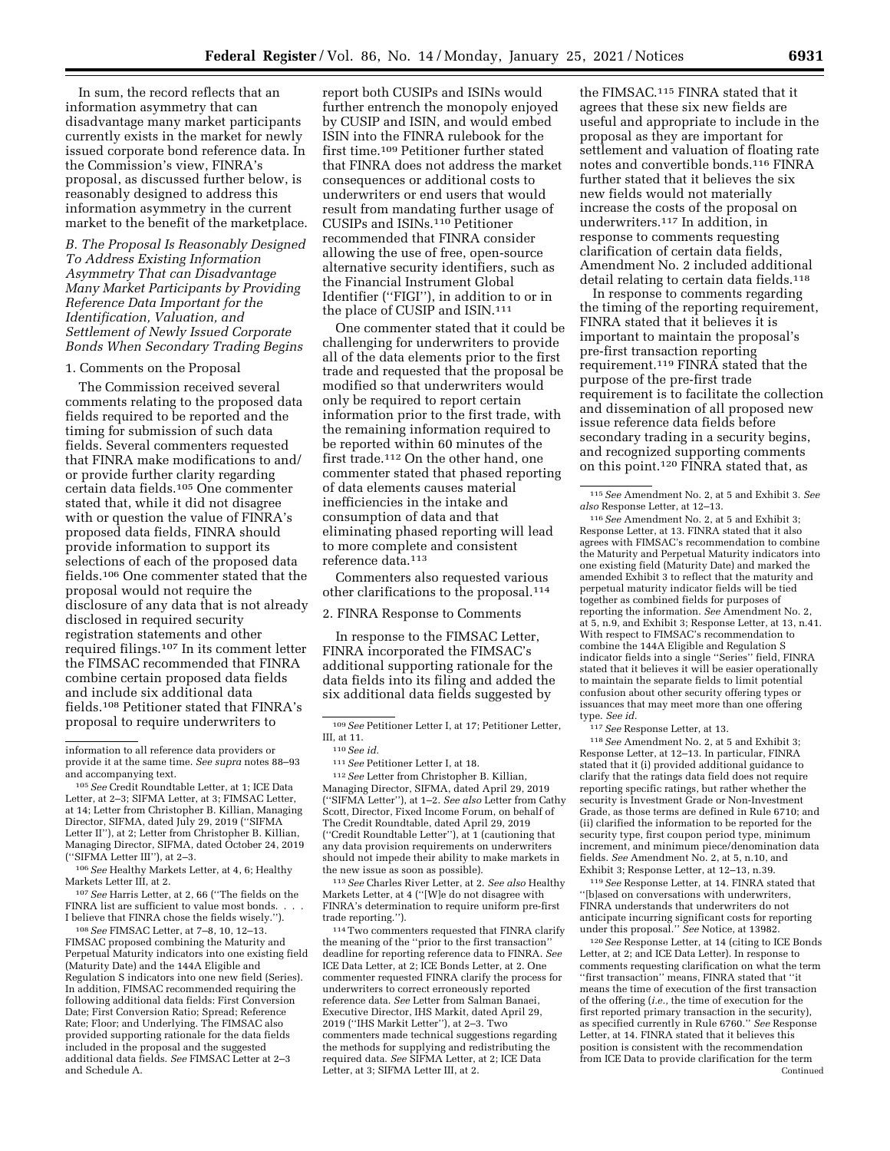In sum, the record reflects that an information asymmetry that can disadvantage many market participants currently exists in the market for newly issued corporate bond reference data. In the Commission's view, FINRA's proposal, as discussed further below, is reasonably designed to address this information asymmetry in the current market to the benefit of the marketplace.

*B. The Proposal Is Reasonably Designed To Address Existing Information Asymmetry That can Disadvantage Many Market Participants by Providing Reference Data Important for the Identification, Valuation, and Settlement of Newly Issued Corporate Bonds When Secondary Trading Begins* 

### 1. Comments on the Proposal

The Commission received several comments relating to the proposed data fields required to be reported and the timing for submission of such data fields. Several commenters requested that FINRA make modifications to and/ or provide further clarity regarding certain data fields.105 One commenter stated that, while it did not disagree with or question the value of FINRA's proposed data fields, FINRA should provide information to support its selections of each of the proposed data fields.106 One commenter stated that the proposal would not require the disclosure of any data that is not already disclosed in required security registration statements and other required filings.107 In its comment letter the FIMSAC recommended that FINRA combine certain proposed data fields and include six additional data fields.108 Petitioner stated that FINRA's proposal to require underwriters to

106*See* Healthy Markets Letter, at 4, 6; Healthy Markets Letter III, at 2.

107*See* Harris Letter, at 2, 66 (''The fields on the FINRA list are sufficient to value most bonds. I believe that FINRA chose the fields wisely.'').

108*See* FIMSAC Letter, at 7–8, 10, 12–13. FIMSAC proposed combining the Maturity and Perpetual Maturity indicators into one existing field (Maturity Date) and the 144A Eligible and Regulation S indicators into one new field (Series). In addition, FIMSAC recommended requiring the following additional data fields: First Conversion Date; First Conversion Ratio; Spread; Reference Rate; Floor; and Underlying. The FIMSAC also provided supporting rationale for the data fields included in the proposal and the suggested additional data fields. *See* FIMSAC Letter at 2–3 and Schedule A.

report both CUSIPs and ISINs would further entrench the monopoly enjoyed by CUSIP and ISIN, and would embed ISIN into the FINRA rulebook for the first time.109 Petitioner further stated that FINRA does not address the market consequences or additional costs to underwriters or end users that would result from mandating further usage of CUSIPs and ISINs.110 Petitioner recommended that FINRA consider allowing the use of free, open-source alternative security identifiers, such as the Financial Instrument Global Identifier (''FIGI''), in addition to or in the place of CUSIP and ISIN.<sup>111</sup>

One commenter stated that it could be challenging for underwriters to provide all of the data elements prior to the first trade and requested that the proposal be modified so that underwriters would only be required to report certain information prior to the first trade, with the remaining information required to be reported within 60 minutes of the first trade.112 On the other hand, one commenter stated that phased reporting of data elements causes material inefficiencies in the intake and consumption of data and that eliminating phased reporting will lead to more complete and consistent reference data.<sup>113</sup>

Commenters also requested various other clarifications to the proposal.114

2. FINRA Response to Comments

In response to the FIMSAC Letter, FINRA incorporated the FIMSAC's additional supporting rationale for the data fields into its filing and added the six additional data fields suggested by

112*See* Letter from Christopher B. Killian, Managing Director, SIFMA, dated April 29, 2019 (''SIFMA Letter''), at 1–2. *See also* Letter from Cathy Scott, Director, Fixed Income Forum, on behalf of The Credit Roundtable, dated April 29, 2019 (''Credit Roundtable Letter''), at 1 (cautioning that any data provision requirements on underwriters should not impede their ability to make markets in the new issue as soon as possible).

113*See* Charles River Letter, at 2. *See also* Healthy Markets Letter, at 4 (''[W]e do not disagree with FINRA's determination to require uniform pre-first trade reporting.'').

114Two commenters requested that FINRA clarify the meaning of the ''prior to the first transaction'' deadline for reporting reference data to FINRA. *See*  ICE Data Letter, at 2; ICE Bonds Letter, at 2. One commenter requested FINRA clarify the process for underwriters to correct erroneously reported reference data. *See* Letter from Salman Banaei, Executive Director, IHS Markit, dated April 29, 2019 (''IHS Markit Letter''), at 2–3. Two commenters made technical suggestions regarding the methods for supplying and redistributing the required data. *See* SIFMA Letter, at 2; ICE Data Letter, at 3; SIFMA Letter III, at 2.

the FIMSAC.115 FINRA stated that it agrees that these six new fields are useful and appropriate to include in the proposal as they are important for settlement and valuation of floating rate notes and convertible bonds.116 FINRA further stated that it believes the six new fields would not materially increase the costs of the proposal on underwriters.117 In addition, in response to comments requesting clarification of certain data fields, Amendment No. 2 included additional detail relating to certain data fields.<sup>118</sup>

In response to comments regarding the timing of the reporting requirement, FINRA stated that it believes it is important to maintain the proposal's pre-first transaction reporting requirement.119 FINRA stated that the purpose of the pre-first trade requirement is to facilitate the collection and dissemination of all proposed new issue reference data fields before secondary trading in a security begins, and recognized supporting comments on this point.120 FINRA stated that, as

116*See* Amendment No. 2, at 5 and Exhibit 3; Response Letter, at 13. FINRA stated that it also agrees with FIMSAC's recommendation to combine the Maturity and Perpetual Maturity indicators into one existing field (Maturity Date) and marked the amended Exhibit 3 to reflect that the maturity and perpetual maturity indicator fields will be tied together as combined fields for purposes of reporting the information. *See* Amendment No. 2, at 5, n.9, and Exhibit 3; Response Letter, at 13, n.41. With respect to FIMSAC's recommendation to combine the 144A Eligible and Regulation S indicator fields into a single ''Series'' field, FINRA stated that it believes it will be easier operationally to maintain the separate fields to limit potential confusion about other security offering types or issuances that may meet more than one offering type. *See id.* 

117*See* Response Letter, at 13.

118*See* Amendment No. 2, at 5 and Exhibit 3; Response Letter, at 12–13. In particular, FINRA stated that it (i) provided additional guidance to clarify that the ratings data field does not require reporting specific ratings, but rather whether the security is Investment Grade or Non-Investment Grade, as those terms are defined in Rule 6710; and (ii) clarified the information to be reported for the security type, first coupon period type, minimum increment, and minimum piece/denomination data fields. *See* Amendment No. 2, at 5, n.10, and Exhibit 3; Response Letter, at 12–13, n.39.

119*See* Response Letter, at 14. FINRA stated that ''[b]ased on conversations with underwriters, FINRA understands that underwriters do not anticipate incurring significant costs for reporting under this proposal.'' *See* Notice, at 13982.

120*See* Response Letter, at 14 (citing to ICE Bonds Letter, at 2; and ICE Data Letter). In response to comments requesting clarification on what the term ''first transaction'' means, FINRA stated that ''it means the time of execution of the first transaction of the offering (*i.e.,* the time of execution for the first reported primary transaction in the security), as specified currently in Rule 6760.'' *See* Response Letter, at 14. FINRA stated that it believes this position is consistent with the recommendation from ICE Data to provide clarification for the term Continued

information to all reference data providers or provide it at the same time. *See supra* notes 88–93 and accompanying text.

<sup>105</sup>*See* Credit Roundtable Letter, at 1; ICE Data Letter, at 2–3; SIFMA Letter, at 3; FIMSAC Letter, at 14; Letter from Christopher B. Killian, Managing Director, SIFMA, dated July 29, 2019 ("SIFMA Letter II''), at 2; Letter from Christopher B. Killian, Managing Director, SIFMA, dated October 24, 2019 (''SIFMA Letter III''), at 2–3.

<sup>109</sup>*See* Petitioner Letter I, at 17; Petitioner Letter, III, at 11.

<sup>110</sup>*See id.* 

<sup>111</sup>*See* Petitioner Letter I, at 18.

<sup>115</sup>*See* Amendment No. 2, at 5 and Exhibit 3. *See also* Response Letter, at 12–13.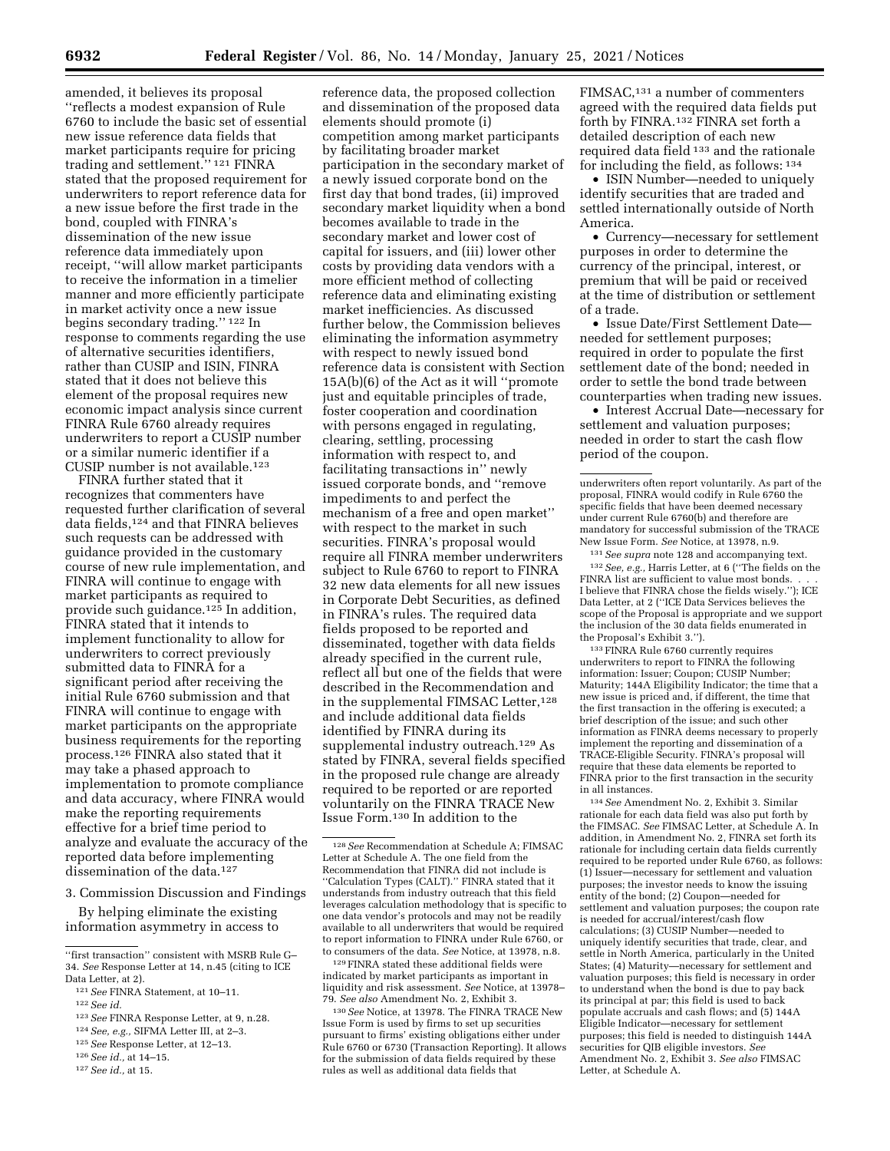amended, it believes its proposal ''reflects a modest expansion of Rule 6760 to include the basic set of essential new issue reference data fields that market participants require for pricing trading and settlement.'' 121 FINRA stated that the proposed requirement for underwriters to report reference data for a new issue before the first trade in the bond, coupled with FINRA's dissemination of the new issue reference data immediately upon receipt, ''will allow market participants to receive the information in a timelier manner and more efficiently participate in market activity once a new issue begins secondary trading.'' 122 In response to comments regarding the use of alternative securities identifiers, rather than CUSIP and ISIN, FINRA stated that it does not believe this element of the proposal requires new economic impact analysis since current FINRA Rule 6760 already requires underwriters to report a CUSIP number or a similar numeric identifier if a CUSIP number is not available.123

FINRA further stated that it recognizes that commenters have requested further clarification of several data fields,124 and that FINRA believes such requests can be addressed with guidance provided in the customary course of new rule implementation, and FINRA will continue to engage with market participants as required to provide such guidance.125 In addition, FINRA stated that it intends to implement functionality to allow for underwriters to correct previously submitted data to FINRA for a significant period after receiving the initial Rule 6760 submission and that FINRA will continue to engage with market participants on the appropriate business requirements for the reporting process.126 FINRA also stated that it may take a phased approach to implementation to promote compliance and data accuracy, where FINRA would make the reporting requirements effective for a brief time period to analyze and evaluate the accuracy of the reported data before implementing dissemination of the data.<sup>127</sup>

- 3. Commission Discussion and Findings
- By helping eliminate the existing information asymmetry in access to

- 123*See* FINRA Response Letter, at 9, n.28.
- 124*See, e.g.,* SIFMA Letter III, at 2–3.

127*See id.,* at 15.

reference data, the proposed collection and dissemination of the proposed data elements should promote (i) competition among market participants by facilitating broader market participation in the secondary market of a newly issued corporate bond on the first day that bond trades, (ii) improved secondary market liquidity when a bond becomes available to trade in the secondary market and lower cost of capital for issuers, and (iii) lower other costs by providing data vendors with a more efficient method of collecting reference data and eliminating existing market inefficiencies. As discussed further below, the Commission believes eliminating the information asymmetry with respect to newly issued bond reference data is consistent with Section 15A(b)(6) of the Act as it will ''promote just and equitable principles of trade, foster cooperation and coordination with persons engaged in regulating, clearing, settling, processing information with respect to, and facilitating transactions in'' newly issued corporate bonds, and ''remove impediments to and perfect the mechanism of a free and open market'' with respect to the market in such securities. FINRA's proposal would require all FINRA member underwriters subject to Rule 6760 to report to FINRA 32 new data elements for all new issues in Corporate Debt Securities, as defined in FINRA's rules. The required data fields proposed to be reported and disseminated, together with data fields already specified in the current rule, reflect all but one of the fields that were described in the Recommendation and in the supplemental FIMSAC Letter,<sup>128</sup> and include additional data fields identified by FINRA during its supplemental industry outreach.<sup>129</sup> As stated by FINRA, several fields specified in the proposed rule change are already required to be reported or are reported voluntarily on the FINRA TRACE New Issue Form.130 In addition to the

129FINRA stated these additional fields were indicated by market participants as important in liquidity and risk assessment. *See* Notice, at 13978– 79. *See also* Amendment No. 2, Exhibit 3.

130*See* Notice, at 13978. The FINRA TRACE New Issue Form is used by firms to set up securities pursuant to firms' existing obligations either under Rule 6760 or 6730 (Transaction Reporting). It allows for the submission of data fields required by these rules as well as additional data fields that

FIMSAC,131 a number of commenters agreed with the required data fields put forth by FINRA.132 FINRA set forth a detailed description of each new required data field 133 and the rationale for including the field, as follows: 134

• ISIN Number—needed to uniquely identify securities that are traded and settled internationally outside of North America.

• Currency—necessary for settlement purposes in order to determine the currency of the principal, interest, or premium that will be paid or received at the time of distribution or settlement of a trade.

• Issue Date/First Settlement Date needed for settlement purposes; required in order to populate the first settlement date of the bond; needed in order to settle the bond trade between counterparties when trading new issues.

• Interest Accrual Date—necessary for settlement and valuation purposes; needed in order to start the cash flow period of the coupon.

underwriters often report voluntarily. As part of the proposal, FINRA would codify in Rule 6760 the specific fields that have been deemed necessary under current Rule 6760(b) and therefore are mandatory for successful submission of the TRACE New Issue Form. *See* Notice, at 13978, n.9.

131*See supra* note 128 and accompanying text. 132*See, e.g.,* Harris Letter, at 6 (''The fields on the FINRA list are sufficient to value most bonds. I believe that FINRA chose the fields wisely.''); ICE Data Letter, at 2 (''ICE Data Services believes the scope of the Proposal is appropriate and we support the inclusion of the 30 data fields enumerated in the Proposal's Exhibit 3.'').

133FINRA Rule 6760 currently requires underwriters to report to FINRA the following information: Issuer; Coupon; CUSIP Number; Maturity; 144A Eligibility Indicator; the time that a new issue is priced and, if different, the time that the first transaction in the offering is executed; a brief description of the issue; and such other information as FINRA deems necessary to properly implement the reporting and dissemination of a TRACE-Eligible Security. FINRA's proposal will require that these data elements be reported to FINRA prior to the first transaction in the security in all instances.

134*See* Amendment No. 2, Exhibit 3. Similar rationale for each data field was also put forth by the FIMSAC. *See* FIMSAC Letter, at Schedule A. In addition, in Amendment No. 2, FINRA set forth its rationale for including certain data fields currently required to be reported under Rule 6760, as follows: (1) Issuer—necessary for settlement and valuation purposes; the investor needs to know the issuing entity of the bond; (2) Coupon—needed for settlement and valuation purposes; the coupon rate is needed for accrual/interest/cash flow calculations; (3) CUSIP Number—needed to uniquely identify securities that trade, clear, and settle in North America, particularly in the United States; (4) Maturity—necessary for settlement and valuation purposes; this field is necessary in order to understand when the bond is due to pay back its principal at par; this field is used to back populate accruals and cash flows; and (5) 144A Eligible Indicator—necessary for settlement purposes; this field is needed to distinguish 144A securities for QIB eligible investors. *See*  Amendment No. 2, Exhibit 3. *See also* FIMSAC Letter, at Schedule A.

<sup>&#</sup>x27;'first transaction'' consistent with MSRB Rule G– 34. *See* Response Letter at 14, n.45 (citing to ICE Data Letter, at 2).

<sup>121</sup>*See* FINRA Statement, at 10–11.

<sup>122</sup>*See id.* 

<sup>125</sup>*See* Response Letter, at 12–13.

<sup>126</sup>*See id.,* at 14–15.

<sup>128</sup>*See* Recommendation at Schedule A; FIMSAC Letter at Schedule A. The one field from the Recommendation that FINRA did not include is ''Calculation Types (CALT).'' FINRA stated that it understands from industry outreach that this field leverages calculation methodology that is specific to one data vendor's protocols and may not be readily available to all underwriters that would be required to report information to FINRA under Rule 6760, or to consumers of the data. *See* Notice, at 13978, n.8.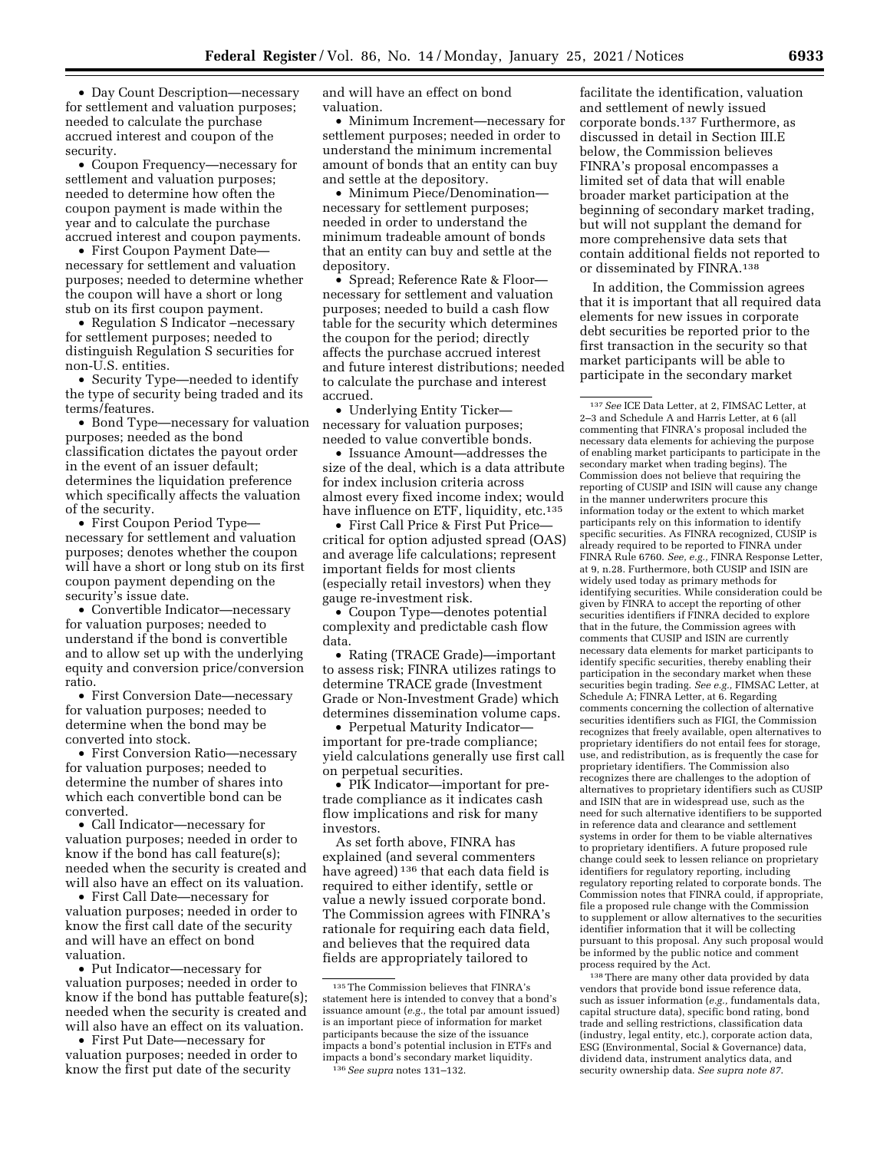• Day Count Description—necessary for settlement and valuation purposes; needed to calculate the purchase accrued interest and coupon of the security.

• Coupon Frequency—necessary for settlement and valuation purposes; needed to determine how often the coupon payment is made within the year and to calculate the purchase accrued interest and coupon payments.

• First Coupon Payment Date necessary for settlement and valuation purposes; needed to determine whether the coupon will have a short or long stub on its first coupon payment.

• Regulation S Indicator –necessary for settlement purposes; needed to distinguish Regulation S securities for non-U.S. entities.

• Security Type—needed to identify the type of security being traded and its terms/features.

• Bond Type—necessary for valuation purposes; needed as the bond classification dictates the payout order in the event of an issuer default; determines the liquidation preference which specifically affects the valuation of the security.

• First Coupon Period Type necessary for settlement and valuation purposes; denotes whether the coupon will have a short or long stub on its first coupon payment depending on the security's issue date.

• Convertible Indicator—necessary for valuation purposes; needed to understand if the bond is convertible and to allow set up with the underlying equity and conversion price/conversion ratio.

• First Conversion Date—necessary for valuation purposes; needed to determine when the bond may be converted into stock.

• First Conversion Ratio—necessary for valuation purposes; needed to determine the number of shares into which each convertible bond can be converted.

• Call Indicator—necessary for valuation purposes; needed in order to know if the bond has call feature(s); needed when the security is created and will also have an effect on its valuation.

• First Call Date—necessary for valuation purposes; needed in order to know the first call date of the security and will have an effect on bond valuation.

• Put Indicator—necessary for valuation purposes; needed in order to know if the bond has puttable feature(s); needed when the security is created and will also have an effect on its valuation.

• First Put Date—necessary for valuation purposes; needed in order to know the first put date of the security

and will have an effect on bond valuation.

• Minimum Increment—necessary for settlement purposes; needed in order to understand the minimum incremental amount of bonds that an entity can buy and settle at the depository.

• Minimum Piece/Denomination necessary for settlement purposes; needed in order to understand the minimum tradeable amount of bonds that an entity can buy and settle at the depository.

• Spread; Reference Rate & Floor necessary for settlement and valuation purposes; needed to build a cash flow table for the security which determines the coupon for the period; directly affects the purchase accrued interest and future interest distributions; needed to calculate the purchase and interest accrued.

• Underlying Entity Ticker necessary for valuation purposes; needed to value convertible bonds.

• Issuance Amount—addresses the size of the deal, which is a data attribute for index inclusion criteria across almost every fixed income index; would have influence on ETF, liquidity, etc.<sup>135</sup>

• First Call Price & First Put Price critical for option adjusted spread (OAS) and average life calculations; represent important fields for most clients (especially retail investors) when they gauge re-investment risk.

• Coupon Type—denotes potential complexity and predictable cash flow data.

• Rating (TRACE Grade)—important to assess risk; FINRA utilizes ratings to determine TRACE grade (Investment Grade or Non-Investment Grade) which determines dissemination volume caps.

• Perpetual Maturity Indicator important for pre-trade compliance; yield calculations generally use first call on perpetual securities.

• PIK Indicator—important for pretrade compliance as it indicates cash flow implications and risk for many investors.

As set forth above, FINRA has explained (and several commenters have agreed) 136 that each data field is required to either identify, settle or value a newly issued corporate bond. The Commission agrees with FINRA's rationale for requiring each data field, and believes that the required data fields are appropriately tailored to

facilitate the identification, valuation and settlement of newly issued corporate bonds.137 Furthermore, as discussed in detail in Section III.E below, the Commission believes FINRA's proposal encompasses a limited set of data that will enable broader market participation at the beginning of secondary market trading, but will not supplant the demand for more comprehensive data sets that contain additional fields not reported to or disseminated by FINRA.138

In addition, the Commission agrees that it is important that all required data elements for new issues in corporate debt securities be reported prior to the first transaction in the security so that market participants will be able to participate in the secondary market

137*See* ICE Data Letter, at 2, FIMSAC Letter, at 2–3 and Schedule A and Harris Letter, at 6 (all commenting that FINRA's proposal included the necessary data elements for achieving the purpose of enabling market participants to participate in the secondary market when trading begins). The Commission does not believe that requiring the reporting of CUSIP and ISIN will cause any change in the manner underwriters procure this information today or the extent to which market participants rely on this information to identify specific securities. As FINRA recognized, CUSIP is already required to be reported to FINRA under FINRA Rule 6760. *See, e.g.,* FINRA Response Letter, at 9, n.28. Furthermore, both CUSIP and ISIN are widely used today as primary methods for identifying securities. While consideration could be given by FINRA to accept the reporting of other securities identifiers if FINRA decided to explore that in the future, the Commission agrees with comments that CUSIP and ISIN are currently necessary data elements for market participants to identify specific securities, thereby enabling their participation in the secondary market when these securities begin trading. *See e.g.,* FIMSAC Letter, at Schedule A; FINRA Letter, at 6. Regarding comments concerning the collection of alternative securities identifiers such as FIGI, the Commission recognizes that freely available, open alternatives to proprietary identifiers do not entail fees for storage, use, and redistribution, as is frequently the case for proprietary identifiers. The Commission also recognizes there are challenges to the adoption of alternatives to proprietary identifiers such as CUSIP and ISIN that are in widespread use, such as the need for such alternative identifiers to be supported in reference data and clearance and settlement systems in order for them to be viable alternatives to proprietary identifiers. A future proposed rule change could seek to lessen reliance on proprietary identifiers for regulatory reporting, including regulatory reporting related to corporate bonds. The Commission notes that FINRA could, if appropriate, file a proposed rule change with the Commission to supplement or allow alternatives to the securities identifier information that it will be collecting pursuant to this proposal. Any such proposal would be informed by the public notice and comment process required by the Act.

138There are many other data provided by data vendors that provide bond issue reference data, such as issuer information (*e.g.,* fundamentals data, capital structure data), specific bond rating, bond trade and selling restrictions, classification data (industry, legal entity, etc.), corporate action data, ESG (Environmental, Social & Governance) data, dividend data, instrument analytics data, and security ownership data. *See supra note 87*.

<sup>135</sup>The Commission believes that FINRA's statement here is intended to convey that a bond's issuance amount (*e.g.,* the total par amount issued) is an important piece of information for market participants because the size of the issuance impacts a bond's potential inclusion in ETFs and impacts a bond's secondary market liquidity. 136*See supra* notes 131–132.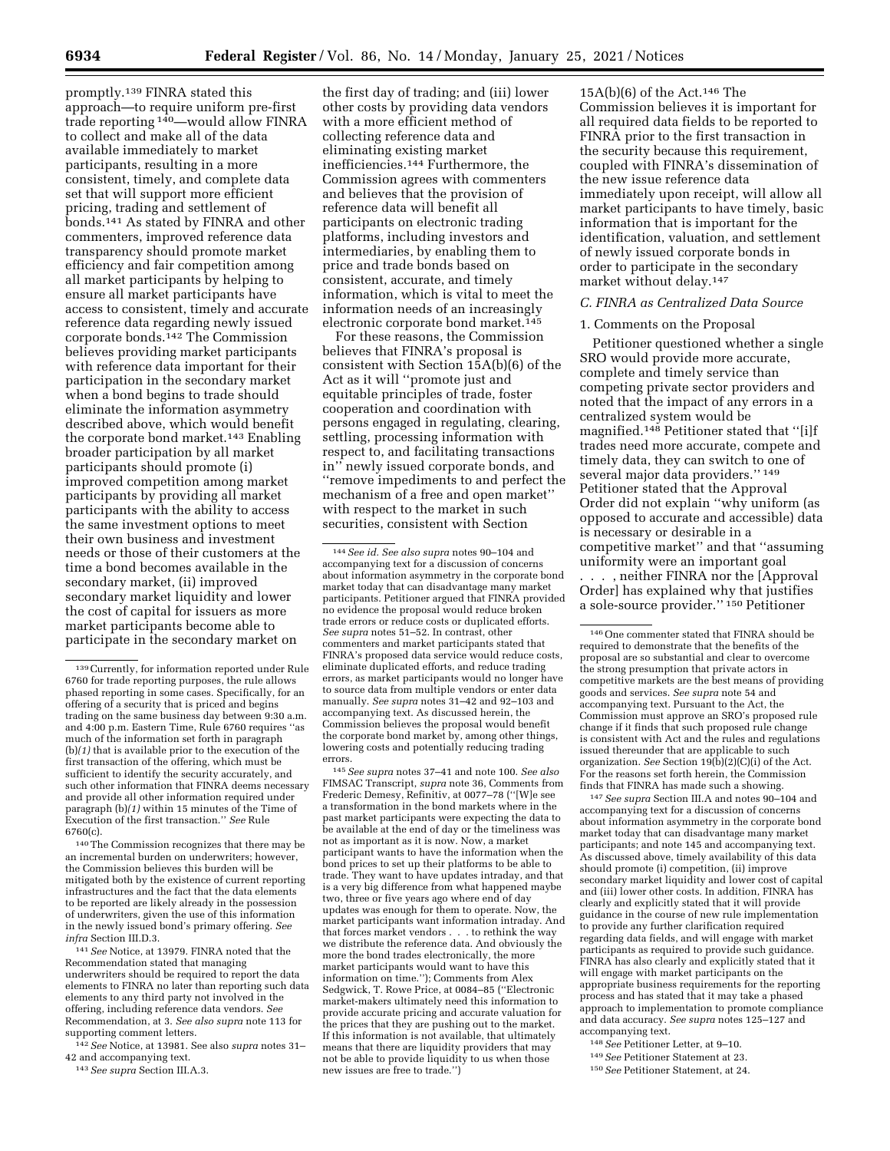promptly.139 FINRA stated this approach—to require uniform pre-first trade reporting 140—would allow FINRA to collect and make all of the data available immediately to market participants, resulting in a more consistent, timely, and complete data set that will support more efficient pricing, trading and settlement of bonds.141 As stated by FINRA and other commenters, improved reference data transparency should promote market efficiency and fair competition among all market participants by helping to ensure all market participants have access to consistent, timely and accurate reference data regarding newly issued corporate bonds.142 The Commission believes providing market participants with reference data important for their participation in the secondary market when a bond begins to trade should eliminate the information asymmetry described above, which would benefit the corporate bond market.<sup>143</sup> Enabling broader participation by all market participants should promote (i) improved competition among market participants by providing all market participants with the ability to access the same investment options to meet their own business and investment needs or those of their customers at the time a bond becomes available in the secondary market, (ii) improved secondary market liquidity and lower the cost of capital for issuers as more market participants become able to participate in the secondary market on

140The Commission recognizes that there may be an incremental burden on underwriters; however, the Commission believes this burden will be mitigated both by the existence of current reporting infrastructures and the fact that the data elements to be reported are likely already in the possession of underwriters, given the use of this information in the newly issued bond's primary offering. *See infra* Section III.D.3.

141*See* Notice, at 13979. FINRA noted that the Recommendation stated that managing underwriters should be required to report the data elements to FINRA no later than reporting such data elements to any third party not involved in the offering, including reference data vendors. *See*  Recommendation, at 3. *See also supra* note 113 for supporting comment letters.

142*See* Notice, at 13981. See also *supra* notes 31– 42 and accompanying text.

143*See supra* Section III.A.3.

the first day of trading; and (iii) lower other costs by providing data vendors with a more efficient method of collecting reference data and eliminating existing market inefficiencies.144 Furthermore, the Commission agrees with commenters and believes that the provision of reference data will benefit all participants on electronic trading platforms, including investors and intermediaries, by enabling them to price and trade bonds based on consistent, accurate, and timely information, which is vital to meet the information needs of an increasingly electronic corporate bond market.145

For these reasons, the Commission believes that FINRA's proposal is consistent with Section 15A(b)(6) of the Act as it will ''promote just and equitable principles of trade, foster cooperation and coordination with persons engaged in regulating, clearing, settling, processing information with respect to, and facilitating transactions in'' newly issued corporate bonds, and ''remove impediments to and perfect the mechanism of a free and open market'' with respect to the market in such securities, consistent with Section

145*See supra* notes 37–41 and note 100. *See also*  FIMSAC Transcript, *supra* note 36, Comments from Frederic Demesy, Refinitiv, at 0077–78 (''[W]e see a transformation in the bond markets where in the past market participants were expecting the data to be available at the end of day or the timeliness was not as important as it is now. Now, a market participant wants to have the information when the bond prices to set up their platforms to be able to trade. They want to have updates intraday, and that is a very big difference from what happened maybe two, three or five years ago where end of day updates was enough for them to operate. Now, the market participants want information intraday. And that forces market vendors . . . to rethink the way we distribute the reference data. And obviously the more the bond trades electronically, the more market participants would want to have this information on time.''); Comments from Alex Sedgwick, T. Rowe Price, at 0084–85 (''Electronic market-makers ultimately need this information to provide accurate pricing and accurate valuation for the prices that they are pushing out to the market. If this information is not available, that ultimately means that there are liquidity providers that may not be able to provide liquidity to us when those new issues are free to trade.'')

 $15A(b)(6)$  of the Act.<sup>146</sup> The Commission believes it is important for all required data fields to be reported to FINRA prior to the first transaction in the security because this requirement, coupled with FINRA's dissemination of the new issue reference data immediately upon receipt, will allow all market participants to have timely, basic information that is important for the identification, valuation, and settlement of newly issued corporate bonds in order to participate in the secondary market without delay.147

#### *C. FINRA as Centralized Data Source*

### 1. Comments on the Proposal

Petitioner questioned whether a single SRO would provide more accurate, complete and timely service than competing private sector providers and noted that the impact of any errors in a centralized system would be magnified.148 Petitioner stated that ''[i]f trades need more accurate, compete and timely data, they can switch to one of several major data providers.'' 149 Petitioner stated that the Approval Order did not explain ''why uniform (as opposed to accurate and accessible) data is necessary or desirable in a competitive market'' and that ''assuming uniformity were an important goal

. . . , neither FINRA nor the [Approval Order] has explained why that justifies a sole-source provider.'' 150 Petitioner

147*See supra* Section III.A and notes 90–104 and accompanying text for a discussion of concerns about information asymmetry in the corporate bond market today that can disadvantage many market participants; and note 145 and accompanying text. As discussed above, timely availability of this data should promote (i) competition, (ii) improve secondary market liquidity and lower cost of capital and (iii) lower other costs. In addition, FINRA has clearly and explicitly stated that it will provide guidance in the course of new rule implementation to provide any further clarification required regarding data fields, and will engage with market participants as required to provide such guidance. FINRA has also clearly and explicitly stated that it will engage with market participants on the appropriate business requirements for the reporting process and has stated that it may take a phased approach to implementation to promote compliance and data accuracy. *See supra* notes 125–127 and accompanying text.

148*See* Petitioner Letter, at 9–10.

150*See* Petitioner Statement, at 24.

<sup>139</sup>Currently, for information reported under Rule 6760 for trade reporting purposes, the rule allows phased reporting in some cases. Specifically, for an offering of a security that is priced and begins trading on the same business day between 9:30 a.m. and 4:00 p.m. Eastern Time, Rule 6760 requires ''as much of the information set forth in paragraph (b)*(1)* that is available prior to the execution of the first transaction of the offering, which must be sufficient to identify the security accurately, and such other information that FINRA deems necessary and provide all other information required under paragraph (b)*(1)* within 15 minutes of the Time of Execution of the first transaction.'' *See* Rule 6760(c).

<sup>144</sup>*See id. See also supra* notes 90–104 and accompanying text for a discussion of concerns about information asymmetry in the corporate bond market today that can disadvantage many market participants. Petitioner argued that FINRA provided no evidence the proposal would reduce broken trade errors or reduce costs or duplicated efforts. *See supra* notes 51–52. In contrast, other commenters and market participants stated that FINRA's proposed data service would reduce costs, eliminate duplicated efforts, and reduce trading errors, as market participants would no longer have to source data from multiple vendors or enter data manually. *See supra* notes 31–42 and 92–103 and accompanying text. As discussed herein, the Commission believes the proposal would benefit the corporate bond market by, among other things, lowering costs and potentially reducing trading errors.

<sup>146</sup>One commenter stated that FINRA should be required to demonstrate that the benefits of the proposal are so substantial and clear to overcome the strong presumption that private actors in competitive markets are the best means of providing goods and services. *See supra* note 54 and accompanying text. Pursuant to the Act, the Commission must approve an SRO's proposed rule change if it finds that such proposed rule change is consistent with Act and the rules and regulations issued thereunder that are applicable to such organization. *See* Section 19(b)(2)(C)(i) of the Act. For the reasons set forth herein, the Commission finds that FINRA has made such a showing.

<sup>149</sup>*See* Petitioner Statement at 23.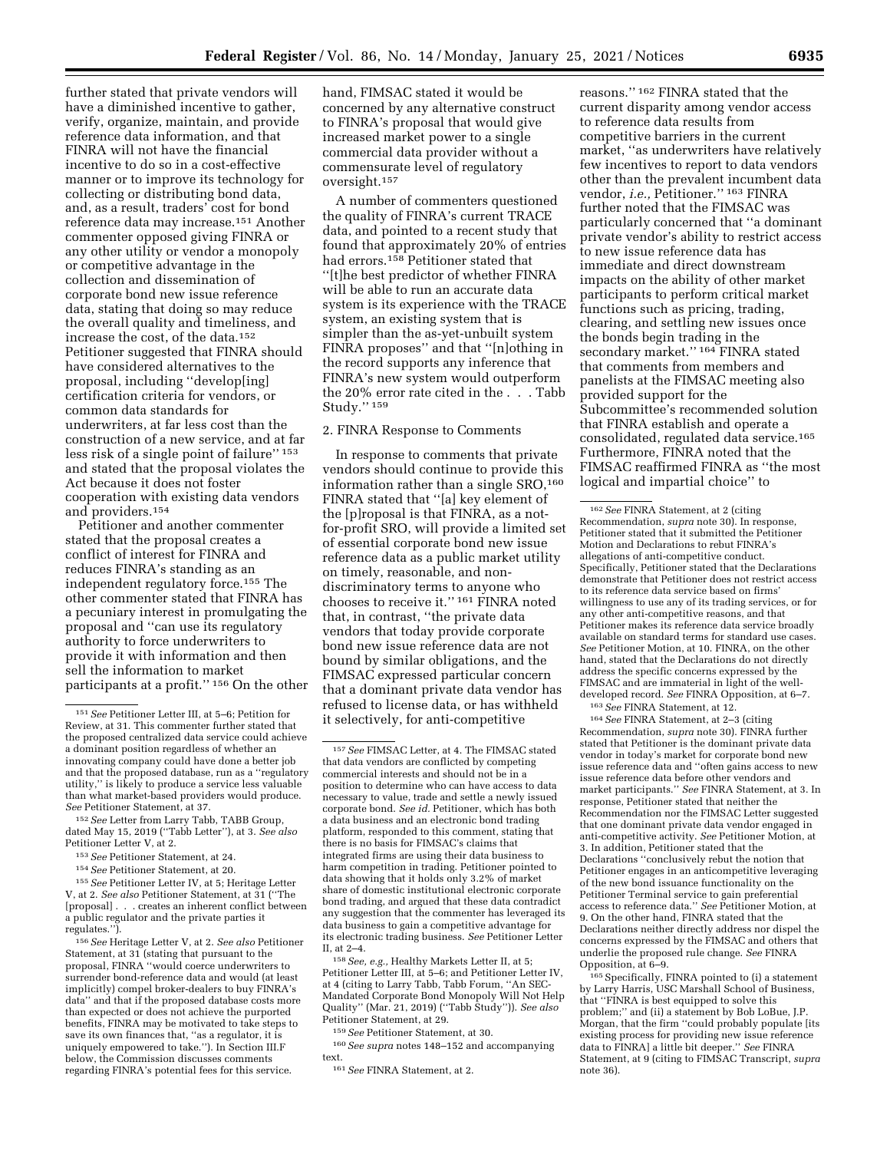further stated that private vendors will have a diminished incentive to gather, verify, organize, maintain, and provide reference data information, and that FINRA will not have the financial incentive to do so in a cost-effective manner or to improve its technology for collecting or distributing bond data, and, as a result, traders' cost for bond reference data may increase.151 Another commenter opposed giving FINRA or any other utility or vendor a monopoly or competitive advantage in the collection and dissemination of corporate bond new issue reference data, stating that doing so may reduce the overall quality and timeliness, and increase the cost, of the data.152 Petitioner suggested that FINRA should have considered alternatives to the proposal, including ''develop[ing] certification criteria for vendors, or common data standards for underwriters, at far less cost than the construction of a new service, and at far less risk of a single point of failure'' 153 and stated that the proposal violates the Act because it does not foster cooperation with existing data vendors and providers.154

Petitioner and another commenter stated that the proposal creates a conflict of interest for FINRA and reduces FINRA's standing as an independent regulatory force.155 The other commenter stated that FINRA has a pecuniary interest in promulgating the proposal and ''can use its regulatory authority to force underwriters to provide it with information and then sell the information to market participants at a profit.'' 156 On the other

156*See* Heritage Letter V, at 2. *See also* Petitioner Statement, at 31 (stating that pursuant to the proposal, FINRA ''would coerce underwriters to surrender bond-reference data and would (at least implicitly) compel broker-dealers to buy FINRA's data'' and that if the proposed database costs more than expected or does not achieve the purported benefits, FINRA may be motivated to take steps to save its own finances that, ''as a regulator, it is uniquely empowered to take.''). In Section III.F below, the Commission discusses comments regarding FINRA's potential fees for this service.

hand, FIMSAC stated it would be concerned by any alternative construct to FINRA's proposal that would give increased market power to a single commercial data provider without a commensurate level of regulatory oversight.157

A number of commenters questioned the quality of FINRA's current TRACE data, and pointed to a recent study that found that approximately 20% of entries had errors.158 Petitioner stated that ''[t]he best predictor of whether FINRA will be able to run an accurate data system is its experience with the TRACE system, an existing system that is simpler than the as-yet-unbuilt system FINRA proposes'' and that ''[n]othing in the record supports any inference that FINRA's new system would outperform the 20% error rate cited in the . . . Tabb Study.'' 159

### 2. FINRA Response to Comments

In response to comments that private vendors should continue to provide this information rather than a single SRO,<sup>160</sup> FINRA stated that ''[a] key element of the [p]roposal is that FINRA, as a notfor-profit SRO, will provide a limited set of essential corporate bond new issue reference data as a public market utility on timely, reasonable, and nondiscriminatory terms to anyone who chooses to receive it.'' 161 FINRA noted that, in contrast, ''the private data vendors that today provide corporate bond new issue reference data are not bound by similar obligations, and the FIMSAC expressed particular concern that a dominant private data vendor has refused to license data, or has withheld it selectively, for anti-competitive

158*See, e.g.,* Healthy Markets Letter II, at 5; Petitioner Letter III, at 5–6; and Petitioner Letter IV, at 4 (citing to Larry Tabb, Tabb Forum, ''An SEC-Mandated Corporate Bond Monopoly Will Not Help Quality'' (Mar. 21, 2019) (''Tabb Study'')). *See also*  Petitioner Statement, at 29.

159*See* Petitioner Statement, at 30.

160*See supra* notes 148–152 and accompanying text.

161*See* FINRA Statement, at 2.

reasons.'' 162 FINRA stated that the current disparity among vendor access to reference data results from competitive barriers in the current market, ''as underwriters have relatively few incentives to report to data vendors other than the prevalent incumbent data vendor, *i.e.,* Petitioner.'' 163 FINRA further noted that the FIMSAC was particularly concerned that ''a dominant private vendor's ability to restrict access to new issue reference data has immediate and direct downstream impacts on the ability of other market participants to perform critical market functions such as pricing, trading, clearing, and settling new issues once the bonds begin trading in the secondary market.'' 164 FINRA stated that comments from members and panelists at the FIMSAC meeting also provided support for the Subcommittee's recommended solution that FINRA establish and operate a consolidated, regulated data service.165 Furthermore, FINRA noted that the FIMSAC reaffirmed FINRA as ''the most logical and impartial choice'' to

163*See* FINRA Statement, at 12.

164*See* FINRA Statement, at 2–3 (citing Recommendation, *supra* note 30). FINRA further stated that Petitioner is the dominant private data vendor in today's market for corporate bond new issue reference data and ''often gains access to new issue reference data before other vendors and market participants.'' *See* FINRA Statement, at 3. In response, Petitioner stated that neither the Recommendation nor the FIMSAC Letter suggested that one dominant private data vendor engaged in anti-competitive activity. *See* Petitioner Motion, at 3. In addition, Petitioner stated that the Declarations ''conclusively rebut the notion that Petitioner engages in an anticompetitive leveraging of the new bond issuance functionality on the Petitioner Terminal service to gain preferential access to reference data.'' *See* Petitioner Motion, at 9. On the other hand, FINRA stated that the Declarations neither directly address nor dispel the concerns expressed by the FIMSAC and others that underlie the proposed rule change. *See* FINRA Opposition, at 6–9.

165Specifically, FINRA pointed to (i) a statement by Larry Harris, USC Marshall School of Business, that ''FINRA is best equipped to solve this problem;'' and (ii) a statement by Bob LoBue, J.P. Morgan, that the firm ''could probably populate [its existing process for providing new issue reference data to FINRA] a little bit deeper.'' *See* FINRA Statement, at 9 (citing to FIMSAC Transcript, *supra*  note 36).

<sup>151</sup>*See* Petitioner Letter III, at 5–6; Petition for Review, at 31. This commenter further stated that the proposed centralized data service could achieve a dominant position regardless of whether an innovating company could have done a better job and that the proposed database, run as a ''regulatory utility,'' is likely to produce a service less valuable than what market-based providers would produce. *See* Petitioner Statement, at 37.

<sup>152</sup>*See* Letter from Larry Tabb, TABB Group, dated May 15, 2019 (''Tabb Letter''), at 3. *See also*  Petitioner Letter V, at 2.

<sup>153</sup>*See* Petitioner Statement, at 24.

<sup>154</sup>*See* Petitioner Statement, at 20.

<sup>155</sup>*See* Petitioner Letter IV, at 5; Heritage Letter V, at 2. *See also* Petitioner Statement, at 31 (''The [proposal] . . . creates an inherent conflict between a public regulator and the private parties it regulates.'').

<sup>157</sup>*See* FIMSAC Letter, at 4. The FIMSAC stated that data vendors are conflicted by competing commercial interests and should not be in a position to determine who can have access to data necessary to value, trade and settle a newly issued corporate bond. *See id.* Petitioner, which has both a data business and an electronic bond trading platform, responded to this comment, stating that there is no basis for FIMSAC's claims that integrated firms are using their data business to harm competition in trading. Petitioner pointed to data showing that it holds only 3.2% of market share of domestic institutional electronic corporate bond trading, and argued that these data contradict any suggestion that the commenter has leveraged its data business to gain a competitive advantage for its electronic trading business. *See* Petitioner Letter II, at 2–4.

<sup>162</sup>*See* FINRA Statement, at 2 (citing Recommendation, *supra* note 30). In response, Petitioner stated that it submitted the Petitioner Motion and Declarations to rebut FINRA's allegations of anti-competitive conduct. Specifically, Petitioner stated that the Declarations demonstrate that Petitioner does not restrict access to its reference data service based on firms' willingness to use any of its trading services, or for any other anti-competitive reasons, and that Petitioner makes its reference data service broadly available on standard terms for standard use cases. *See* Petitioner Motion, at 10. FINRA, on the other hand, stated that the Declarations do not directly address the specific concerns expressed by the FIMSAC and are immaterial in light of the welldeveloped record. *See* FINRA Opposition, at 6–7.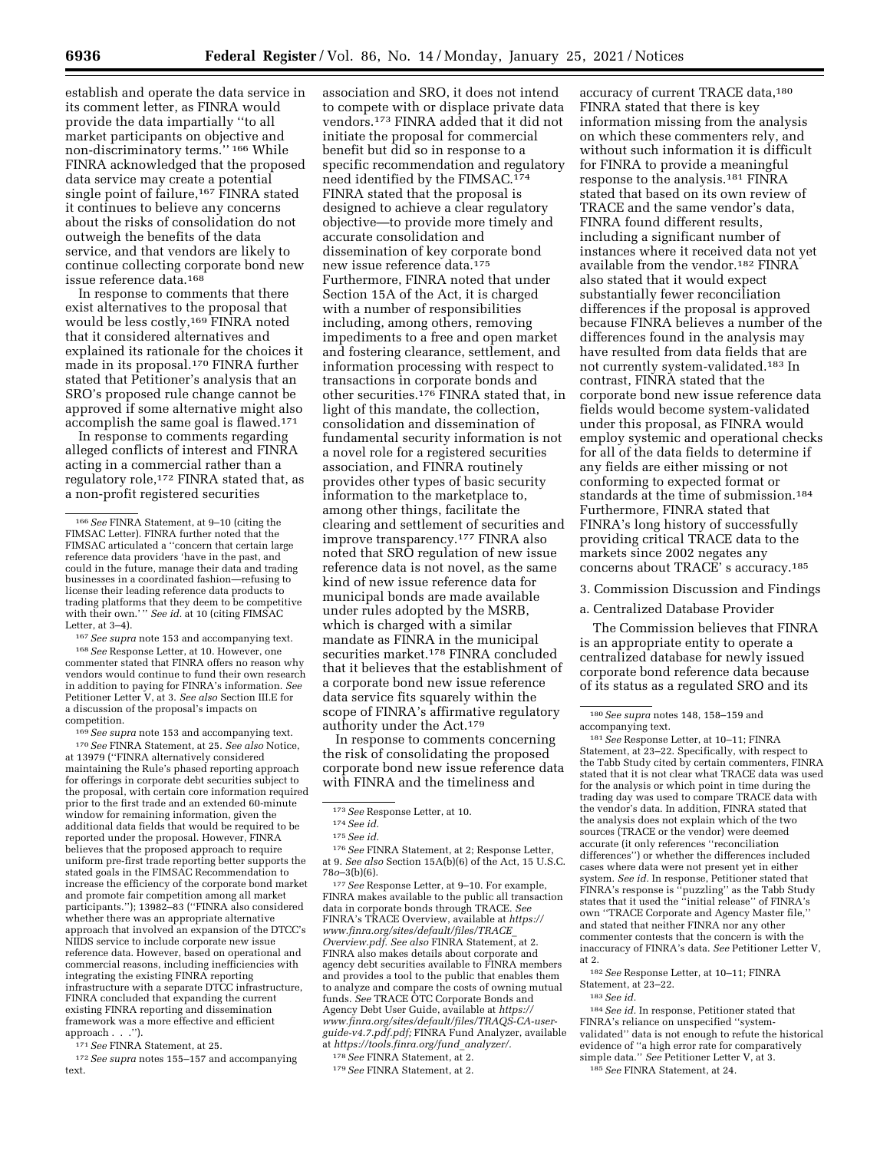establish and operate the data service in its comment letter, as FINRA would provide the data impartially ''to all market participants on objective and non-discriminatory terms.'' 166 While FINRA acknowledged that the proposed data service may create a potential single point of failure,<sup>167</sup> FINRA stated it continues to believe any concerns about the risks of consolidation do not outweigh the benefits of the data service, and that vendors are likely to continue collecting corporate bond new issue reference data.168

In response to comments that there exist alternatives to the proposal that would be less costly,169 FINRA noted that it considered alternatives and explained its rationale for the choices it made in its proposal.170 FINRA further stated that Petitioner's analysis that an SRO's proposed rule change cannot be approved if some alternative might also accomplish the same goal is flawed.171

In response to comments regarding alleged conflicts of interest and FINRA acting in a commercial rather than a regulatory role,<sup>172</sup> FINRA stated that, as a non-profit registered securities

167*See supra* note 153 and accompanying text.

168*See* Response Letter, at 10. However, one commenter stated that FINRA offers no reason why vendors would continue to fund their own research in addition to paying for FINRA's information. *See*  Petitioner Letter V, at 3. *See also* Section III.E for a discussion of the proposal's impacts on competition.

169*See supra* note 153 and accompanying text. 170*See* FINRA Statement, at 25. *See also* Notice, at 13979 (''FINRA alternatively considered maintaining the Rule's phased reporting approach for offerings in corporate debt securities subject to the proposal, with certain core information required prior to the first trade and an extended 60-minute window for remaining information, given the additional data fields that would be required to be reported under the proposal. However, FINRA believes that the proposed approach to require uniform pre-first trade reporting better supports the stated goals in the FIMSAC Recommendation to increase the efficiency of the corporate bond market and promote fair competition among all market participants.''); 13982–83 (''FINRA also considered whether there was an appropriate alternative approach that involved an expansion of the DTCC's NIIDS service to include corporate new issue reference data. However, based on operational and commercial reasons, including inefficiencies with integrating the existing FINRA reporting infrastructure with a separate DTCC infrastructure, FINRA concluded that expanding the current existing FINRA reporting and dissemination framework was a more effective and efficient approach . . .'').

171*See* FINRA Statement, at 25.

172*See supra* notes 155–157 and accompanying text.

association and SRO, it does not intend to compete with or displace private data vendors.173 FINRA added that it did not initiate the proposal for commercial benefit but did so in response to a specific recommendation and regulatory need identified by the FIMSAC.174 FINRA stated that the proposal is designed to achieve a clear regulatory objective—to provide more timely and accurate consolidation and dissemination of key corporate bond new issue reference data.175 Furthermore, FINRA noted that under Section 15A of the Act, it is charged with a number of responsibilities including, among others, removing impediments to a free and open market and fostering clearance, settlement, and information processing with respect to transactions in corporate bonds and other securities.176 FINRA stated that, in light of this mandate, the collection, consolidation and dissemination of fundamental security information is not a novel role for a registered securities association, and FINRA routinely provides other types of basic security information to the marketplace to, among other things, facilitate the clearing and settlement of securities and improve transparency.177 FINRA also noted that SRO regulation of new issue reference data is not novel, as the same kind of new issue reference data for municipal bonds are made available under rules adopted by the MSRB, which is charged with a similar mandate as FINRA in the municipal securities market.178 FINRA concluded that it believes that the establishment of a corporate bond new issue reference data service fits squarely within the scope of FINRA's affirmative regulatory authority under the Act.179

In response to comments concerning the risk of consolidating the proposed corporate bond new issue reference data with FINRA and the timeliness and

176*See* FINRA Statement, at 2; Response Letter, at 9. *See also* Section 15A(b)(6) of the Act, 15 U.S.C. 78*o*–3(b)(6).

177*See* Response Letter, at 9–10. For example, FINRA makes available to the public all transaction data in corporate bonds through TRACE. *See*  FINRA's TRACE Overview, available at *[https://](https://www.finra.org/sites/default/files/TRACE_Overview.pdf) [www.finra.org/sites/default/files/TRACE](https://www.finra.org/sites/default/files/TRACE_Overview.pdf)*\_ *[Overview.pdf.](https://www.finra.org/sites/default/files/TRACE_Overview.pdf) See also* FINRA Statement, at 2. FINRA also makes details about corporate and agency debt securities available to FINRA members and provides a tool to the public that enables them to analyze and compare the costs of owning mutual funds. *See* TRACE OTC Corporate Bonds and Agency Debt User Guide, available at *[https://](https://www.finra.org/sites/default/files/TRAQS-CA-user-guide-v4.7.pdf.pdf) [www.finra.org/sites/default/files/TRAQS-CA-user](https://www.finra.org/sites/default/files/TRAQS-CA-user-guide-v4.7.pdf.pdf)[guide-v4.7.pdf.pdf;](https://www.finra.org/sites/default/files/TRAQS-CA-user-guide-v4.7.pdf.pdf)* FINRA Fund Analyzer, available at *[https://tools.finra.org/fund](https://tools.finra.org/fund_analyzer/)*\_*analyzer/.* 

178*See* FINRA Statement, at 2.

accuracy of current TRACE data,180 FINRA stated that there is key information missing from the analysis on which these commenters rely, and without such information it is difficult for FINRA to provide a meaningful response to the analysis.181 FINRA stated that based on its own review of TRACE and the same vendor's data, FINRA found different results, including a significant number of instances where it received data not yet available from the vendor.182 FINRA also stated that it would expect substantially fewer reconciliation differences if the proposal is approved because FINRA believes a number of the differences found in the analysis may have resulted from data fields that are not currently system-validated.183 In contrast, FINRA stated that the corporate bond new issue reference data fields would become system-validated under this proposal, as FINRA would employ systemic and operational checks for all of the data fields to determine if any fields are either missing or not conforming to expected format or standards at the time of submission.184 Furthermore, FINRA stated that FINRA's long history of successfully providing critical TRACE data to the markets since 2002 negates any concerns about TRACE' s accuracy.185

3. Commission Discussion and Findings

a. Centralized Database Provider

The Commission believes that FINRA is an appropriate entity to operate a centralized database for newly issued corporate bond reference data because of its status as a regulated SRO and its

181*See* Response Letter, at 10–11; FINRA Statement, at 23–22. Specifically, with respect to the Tabb Study cited by certain commenters, FINRA stated that it is not clear what TRACE data was used for the analysis or which point in time during the trading day was used to compare TRACE data with the vendor's data. In addition, FINRA stated that the analysis does not explain which of the two sources (TRACE or the vendor) were deemed accurate (it only references ''reconciliation differences'') or whether the differences included cases where data were not present yet in either system. *See id.* In response, Petitioner stated that FINRA's response is ''puzzling'' as the Tabb Study states that it used the ''initial release'' of FINRA's own ''TRACE Corporate and Agency Master file,'' and stated that neither FINRA nor any other commenter contests that the concern is with the inaccuracy of FINRA's data. *See* Petitioner Letter V, at 2.

182*See* Response Letter, at 10–11; FINRA Statement, at 23–22.

184*See id.* In response, Petitioner stated that FINRA's reliance on unspecified ''systemvalidated'' data is not enough to refute the historical evidence of ''a high error rate for comparatively simple data.'' *See* Petitioner Letter V, at 3. 185*See* FINRA Statement, at 24.

<sup>166</sup>*See* FINRA Statement, at 9–10 (citing the FIMSAC Letter). FINRA further noted that the FIMSAC articulated a ''concern that certain large reference data providers 'have in the past, and could in the future, manage their data and trading businesses in a coordinated fashion—refusing to license their leading reference data products to trading platforms that they deem to be competitive with their own.'" *See id.* at 10 (citing FIMSAC Letter, at 3–4).

<sup>173</sup>*See* Response Letter, at 10. 174*See id.* 

<sup>175</sup>*See id.* 

<sup>179</sup>*See* FINRA Statement, at 2.

<sup>180</sup>*See supra* notes 148, 158–159 and accompanying text.

<sup>183</sup>*See id.*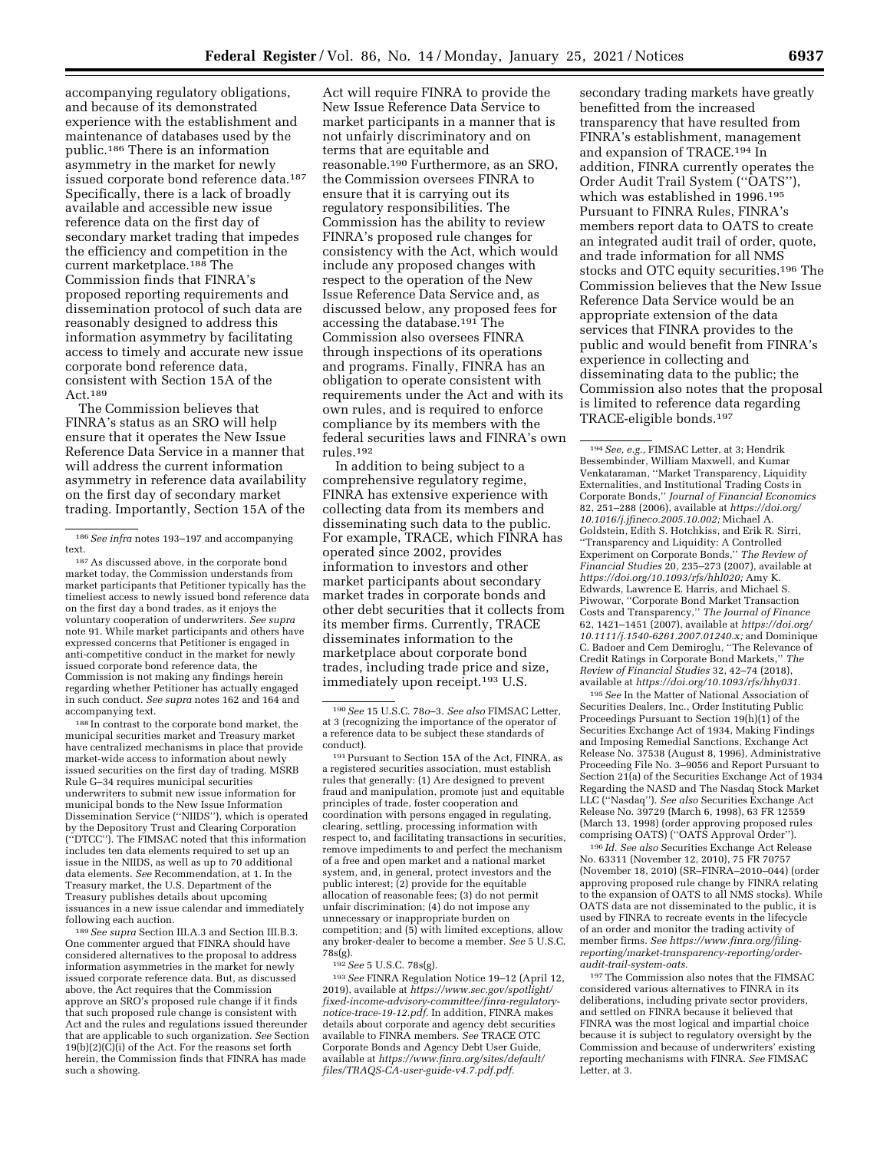accompanying regulatory obligations, and because of its demonstrated experience with the establishment and maintenance of databases used by the public.186 There is an information asymmetry in the market for newly issued corporate bond reference data.187 Specifically, there is a lack of broadly available and accessible new issue reference data on the first day of secondary market trading that impedes the efficiency and competition in the current marketplace.188 The Commission finds that FINRA's proposed reporting requirements and dissemination protocol of such data are reasonably designed to address this information asymmetry by facilitating access to timely and accurate new issue corporate bond reference data, consistent with Section 15A of the Act.189

The Commission believes that FINRA's status as an SRO will help ensure that it operates the New Issue Reference Data Service in a manner that will address the current information asymmetry in reference data availability on the first day of secondary market trading. Importantly, Section 15A of the

 $^{\rm 187}\, \rm As$  discussed above, in the corporate bond market today, the Commission understands from market participants that Petitioner typically has the timeliest access to newly issued bond reference data on the first day a bond trades, as it enjoys the voluntary cooperation of underwriters. *See supra*  note 91. While market participants and others have expressed concerns that Petitioner is engaged in anti-competitive conduct in the market for newly issued corporate bond reference data, the Commission is not making any findings herein regarding whether Petitioner has actually engaged in such conduct. *See supra* notes 162 and 164 and accompanying text.

188 In contrast to the corporate bond market, the municipal securities market and Treasury market have centralized mechanisms in place that provide market-wide access to information about newly issued securities on the first day of trading. MSRB Rule G–34 requires municipal securities underwriters to submit new issue information for municipal bonds to the New Issue Information Dissemination Service (''NIIDS''), which is operated by the Depository Trust and Clearing Corporation (''DTCC''). The FIMSAC noted that this information includes ten data elements required to set up an issue in the NIIDS, as well as up to 70 additional data elements. *See* Recommendation, at 1. In the Treasury market, the U.S. Department of the Treasury publishes details about upcoming issuances in a new issue calendar and immediately following each auction.

189*See supra* Section III.A.3 and Section III.B.3. One commenter argued that FINRA should have considered alternatives to the proposal to address information asymmetries in the market for newly issued corporate reference data. But, as discussed above, the Act requires that the Commission approve an SRO's proposed rule change if it finds that such proposed rule change is consistent with Act and the rules and regulations issued thereunder that are applicable to such organization. *See* Section  $19(b)(2)(\dot{C})(i)$  of the Act. For the reasons set forth herein, the Commission finds that FINRA has made such a showing.

Act will require FINRA to provide the New Issue Reference Data Service to market participants in a manner that is not unfairly discriminatory and on terms that are equitable and reasonable.190 Furthermore, as an SRO, the Commission oversees FINRA to ensure that it is carrying out its regulatory responsibilities. The Commission has the ability to review FINRA's proposed rule changes for consistency with the Act, which would include any proposed changes with respect to the operation of the New Issue Reference Data Service and, as discussed below, any proposed fees for accessing the database.191 The Commission also oversees FINRA through inspections of its operations and programs. Finally, FINRA has an obligation to operate consistent with requirements under the Act and with its own rules, and is required to enforce compliance by its members with the federal securities laws and FINRA's own rules.192

In addition to being subject to a comprehensive regulatory regime, FINRA has extensive experience with collecting data from its members and disseminating such data to the public. For example, TRACE, which FINRA has operated since 2002, provides information to investors and other market participants about secondary market trades in corporate bonds and other debt securities that it collects from its member firms. Currently, TRACE disseminates information to the marketplace about corporate bond trades, including trade price and size, immediately upon receipt.193 U.S.

<sup>191</sup> Pursuant to Section 15A of the Act, FINRA, as a registered securities association, must establish rules that generally: (1) Are designed to prevent fraud and manipulation, promote just and equitable principles of trade, foster cooperation and coordination with persons engaged in regulating, clearing, settling, processing information with respect to, and facilitating transactions in securities, remove impediments to and perfect the mechanism of a free and open market and a national market system, and, in general, protect investors and the public interest; (2) provide for the equitable allocation of reasonable fees; (3) do not permit unfair discrimination; (4) do not impose any unnecessary or inappropriate burden on competition; and  $(\bar{5})$  with limited exceptions, allow any broker-dealer to become a member. *See* 5 U.S.C. 78s(g).

192*See* 5 U.S.C. 78s(g).

193*See* FINRA Regulation Notice 19–12 (April 12, 2019), available at *[https://www.sec.gov/spotlight/](https://www.sec.gov/spotlight/fixed-income-advisory-committee/finra-regulatory-notice-trace-19-12.pdf)  [fixed-income-advisory-committee/finra-regulatory](https://www.sec.gov/spotlight/fixed-income-advisory-committee/finra-regulatory-notice-trace-19-12.pdf)[notice-trace-19-12.pdf.](https://www.sec.gov/spotlight/fixed-income-advisory-committee/finra-regulatory-notice-trace-19-12.pdf)* In addition, FINRA makes details about corporate and agency debt securities available to FINRA members. *See* TRACE OTC Corporate Bonds and Agency Debt User Guide, available at *[https://www.finra.org/sites/default/](https://www.finra.org/sites/default/files/TRAQS-CA-user-guide-v4.7.pdf.pdf)  [files/TRAQS-CA-user-guide-v4.7.pdf.pdf.](https://www.finra.org/sites/default/files/TRAQS-CA-user-guide-v4.7.pdf.pdf)* 

secondary trading markets have greatly benefitted from the increased transparency that have resulted from FINRA's establishment, management and expansion of TRACE.194 In addition, FINRA currently operates the Order Audit Trail System (''OATS''), which was established in 1996.195 Pursuant to FINRA Rules, FINRA's members report data to OATS to create an integrated audit trail of order, quote, and trade information for all NMS stocks and OTC equity securities.196 The Commission believes that the New Issue Reference Data Service would be an appropriate extension of the data services that FINRA provides to the public and would benefit from FINRA's experience in collecting and disseminating data to the public; the Commission also notes that the proposal is limited to reference data regarding TRACE-eligible bonds.197

194*See, e.g.,* FIMSAC Letter, at 3; Hendrik Bessembinder, William Maxwell, and Kumar Venkataraman, ''Market Transparency, Liquidity Externalities, and Institutional Trading Costs in Corporate Bonds,'' *Journal of Financial Economics*  82, 251–288 (2006), available at *[https://doi.org/](https://doi.org/10.1016/j.jfineco.2005.10.002) [10.1016/j.jfineco.2005.10.002;](https://doi.org/10.1016/j.jfineco.2005.10.002)* Michael A. Goldstein, Edith S. Hotchkiss, and Erik R. Sirri, ''Transparency and Liquidity: A Controlled Experiment on Corporate Bonds,'' *The Review of Financial Studies* 20, 235–273 (2007), available at *[https://doi.org/10.1093/rfs/hhl020;](https://doi.org/10.1093/rfs/hhl020)* Amy K. Edwards, Lawrence E. Harris, and Michael S. Piwowar, ''Corporate Bond Market Transaction Costs and Transparency,'' *The Journal of Finance*  62, 1421–1451 (2007), available at *[https://doi.org/](https://doi.org/10.1111/j.1540-6261.2007.01240.x) [10.1111/j.1540-6261.2007.01240.x;](https://doi.org/10.1111/j.1540-6261.2007.01240.x)* and Dominique C. Badoer and Cem Demiroglu, ''The Relevance of Credit Ratings in Corporate Bond Markets,'' *The Review of Financial Studies* 32, 42–74 (2018), available at *[https://doi.org/10.1093/rfs/hhy031.](https://doi.org/10.1093/rfs/hhy031)* 

195*See* In the Matter of National Association of Securities Dealers, Inc., Order Instituting Public Proceedings Pursuant to Section 19(h)(1) of the Securities Exchange Act of 1934, Making Findings and Imposing Remedial Sanctions, Exchange Act Release No. 37538 (August 8, 1996), Administrative Proceeding File No. 3–9056 and Report Pursuant to Section 21(a) of the Securities Exchange Act of 1934 Regarding the NASD and The Nasdaq Stock Market LLC (''Nasdaq''). *See also* Securities Exchange Act Release No. 39729 (March 6, 1998), 63 FR 12559 (March 13, 1998) (order approving proposed rules comprising OATS) (''OATS Approval Order'').

196 *Id. See also* Securities Exchange Act Release No. 63311 (November 12, 2010), 75 FR 70757 (November 18, 2010) (SR–FINRA–2010–044) (order approving proposed rule change by FINRA relating to the expansion of OATS to all NMS stocks). While OATS data are not disseminated to the public, it is used by FINRA to recreate events in the lifecycle of an order and monitor the trading activity of member firms. *See [https://www.finra.org/filing](https://www.finra.org/filing-reporting/market-transparency-reporting/order-audit-trail-system-oats)[reporting/market-transparency-reporting/order](https://www.finra.org/filing-reporting/market-transparency-reporting/order-audit-trail-system-oats)[audit-trail-system-oats.](https://www.finra.org/filing-reporting/market-transparency-reporting/order-audit-trail-system-oats)* 

197The Commission also notes that the FIMSAC considered various alternatives to FINRA in its deliberations, including private sector providers, and settled on FINRA because it believed that FINRA was the most logical and impartial choice because it is subject to regulatory oversight by the Commission and because of underwriters' existing reporting mechanisms with FINRA. *See* FIMSAC Letter, at 3.

<sup>186</sup>*See infra* notes 193–197 and accompanying

<sup>190</sup>*See* 15 U.S.C. 78*o*–3. *See also* FIMSAC Letter, at 3 (recognizing the importance of the operator of a reference data to be subject these standards of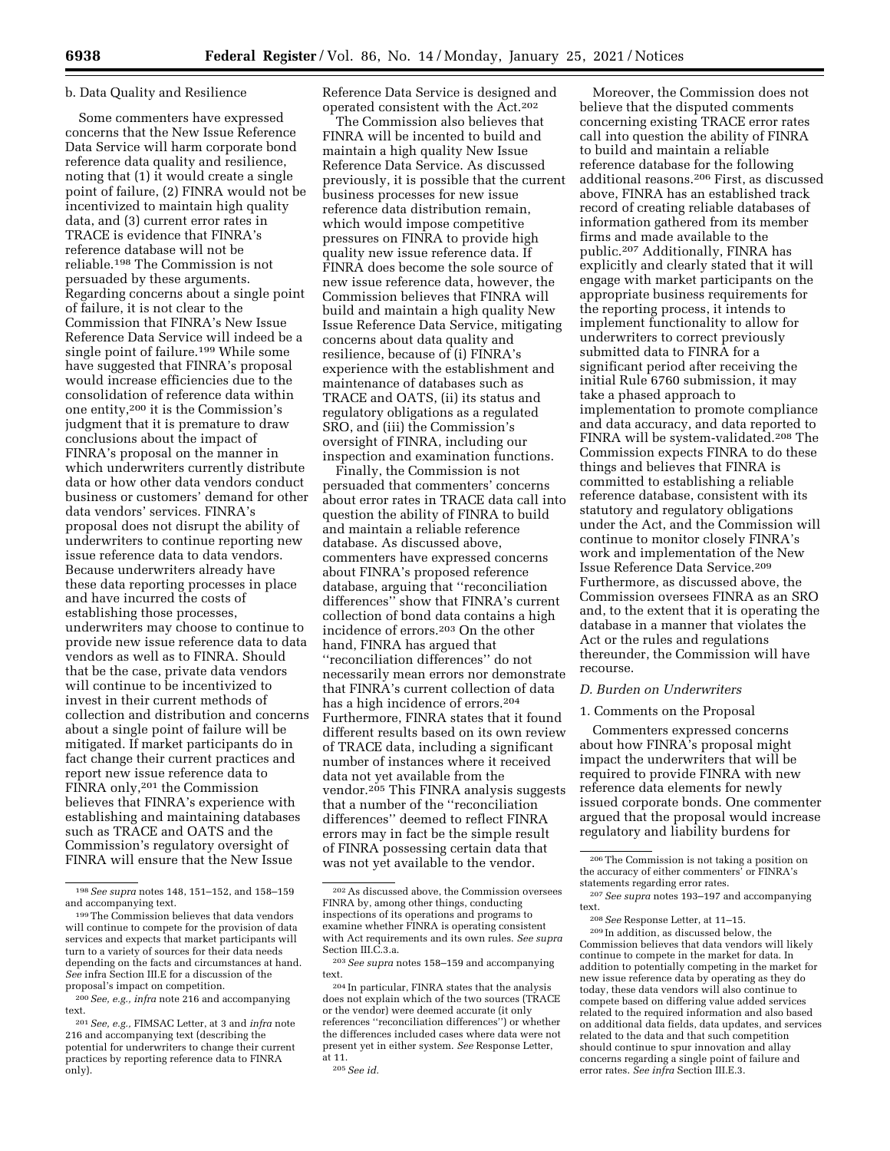### b. Data Quality and Resilience

Some commenters have expressed concerns that the New Issue Reference Data Service will harm corporate bond reference data quality and resilience, noting that (1) it would create a single point of failure, (2) FINRA would not be incentivized to maintain high quality data, and (3) current error rates in TRACE is evidence that FINRA's reference database will not be reliable.198 The Commission is not persuaded by these arguments. Regarding concerns about a single point of failure, it is not clear to the Commission that FINRA's New Issue Reference Data Service will indeed be a single point of failure.<sup>199</sup> While some have suggested that FINRA's proposal would increase efficiencies due to the consolidation of reference data within one entity,200 it is the Commission's judgment that it is premature to draw conclusions about the impact of FINRA's proposal on the manner in which underwriters currently distribute data or how other data vendors conduct business or customers' demand for other data vendors' services. FINRA's proposal does not disrupt the ability of underwriters to continue reporting new issue reference data to data vendors. Because underwriters already have these data reporting processes in place and have incurred the costs of establishing those processes, underwriters may choose to continue to provide new issue reference data to data vendors as well as to FINRA. Should that be the case, private data vendors will continue to be incentivized to invest in their current methods of collection and distribution and concerns about a single point of failure will be mitigated. If market participants do in fact change their current practices and report new issue reference data to FINRA only,201 the Commission believes that FINRA's experience with establishing and maintaining databases such as TRACE and OATS and the Commission's regulatory oversight of FINRA will ensure that the New Issue

Reference Data Service is designed and operated consistent with the Act.202

The Commission also believes that FINRA will be incented to build and maintain a high quality New Issue Reference Data Service. As discussed previously, it is possible that the current business processes for new issue reference data distribution remain, which would impose competitive pressures on FINRA to provide high quality new issue reference data. If FINRA does become the sole source of new issue reference data, however, the Commission believes that FINRA will build and maintain a high quality New Issue Reference Data Service, mitigating concerns about data quality and resilience, because of (i) FINRA's experience with the establishment and maintenance of databases such as TRACE and OATS, (ii) its status and regulatory obligations as a regulated SRO, and (iii) the Commission's oversight of FINRA, including our inspection and examination functions.

Finally, the Commission is not persuaded that commenters' concerns about error rates in TRACE data call into question the ability of FINRA to build and maintain a reliable reference database. As discussed above, commenters have expressed concerns about FINRA's proposed reference database, arguing that ''reconciliation differences'' show that FINRA's current collection of bond data contains a high incidence of errors.203 On the other hand, FINRA has argued that ''reconciliation differences'' do not necessarily mean errors nor demonstrate that FINRA's current collection of data has a high incidence of errors.204 Furthermore, FINRA states that it found different results based on its own review of TRACE data, including a significant number of instances where it received data not yet available from the vendor.<sup>205</sup> This FINRA analysis suggests that a number of the ''reconciliation differences'' deemed to reflect FINRA errors may in fact be the simple result of FINRA possessing certain data that was not yet available to the vendor.

Moreover, the Commission does not believe that the disputed comments concerning existing TRACE error rates call into question the ability of FINRA to build and maintain a reliable reference database for the following additional reasons.206 First, as discussed above, FINRA has an established track record of creating reliable databases of information gathered from its member firms and made available to the public.207 Additionally, FINRA has explicitly and clearly stated that it will engage with market participants on the appropriate business requirements for the reporting process, it intends to implement functionality to allow for underwriters to correct previously submitted data to FINRA for a significant period after receiving the initial Rule 6760 submission, it may take a phased approach to implementation to promote compliance and data accuracy, and data reported to FINRA will be system-validated.208 The Commission expects FINRA to do these things and believes that FINRA is committed to establishing a reliable reference database, consistent with its statutory and regulatory obligations under the Act, and the Commission will continue to monitor closely FINRA's work and implementation of the New Issue Reference Data Service.209 Furthermore, as discussed above, the Commission oversees FINRA as an SRO and, to the extent that it is operating the database in a manner that violates the Act or the rules and regulations thereunder, the Commission will have recourse.

#### *D. Burden on Underwriters*

### 1. Comments on the Proposal

Commenters expressed concerns about how FINRA's proposal might impact the underwriters that will be required to provide FINRA with new reference data elements for newly issued corporate bonds. One commenter argued that the proposal would increase regulatory and liability burdens for

<sup>198</sup>*See supra* notes 148, 151–152, and 158–159 and accompanying text.

<sup>199</sup>The Commission believes that data vendors will continue to compete for the provision of data services and expects that market participants will turn to a variety of sources for their data needs depending on the facts and circumstances at hand. *See* infra Section III.E for a discussion of the proposal's impact on competition.

<sup>200</sup>*See, e.g., infra* note 216 and accompanying text.

<sup>201</sup>*See, e.g.,* FIMSAC Letter, at 3 and *infra* note 216 and accompanying text (describing the potential for underwriters to change their current practices by reporting reference data to FINRA only).

<sup>202</sup>As discussed above, the Commission oversees FINRA by, among other things, conducting inspections of its operations and programs to examine whether FINRA is operating consistent with Act requirements and its own rules. *See supra*  Section III.C.3.a.

<sup>203</sup>*See supra* notes 158–159 and accompanying text.

<sup>204</sup> In particular, FINRA states that the analysis does not explain which of the two sources (TRACE or the vendor) were deemed accurate (it only references ''reconciliation differences'') or whether the differences included cases where data were not present yet in either system. *See* Response Letter, at 11.

<sup>205</sup>*See id.* 

<sup>206</sup>The Commission is not taking a position on the accuracy of either commenters<sup>7</sup> or FINRA's<br>statements regarding error rates.

<sup>&</sup>lt;sup>207</sup> See supra notes 193-197 and accompanying text. 208*See* Response Letter, at 11–15. 209 In addition, as discussed below, the

Commission believes that data vendors will likely continue to compete in the market for data. In addition to potentially competing in the market for new issue reference data by operating as they do today, these data vendors will also continue to compete based on differing value added services related to the required information and also based on additional data fields, data updates, and services related to the data and that such competition should continue to spur innovation and allay concerns regarding a single point of failure and error rates. *See infra* Section III.E.3.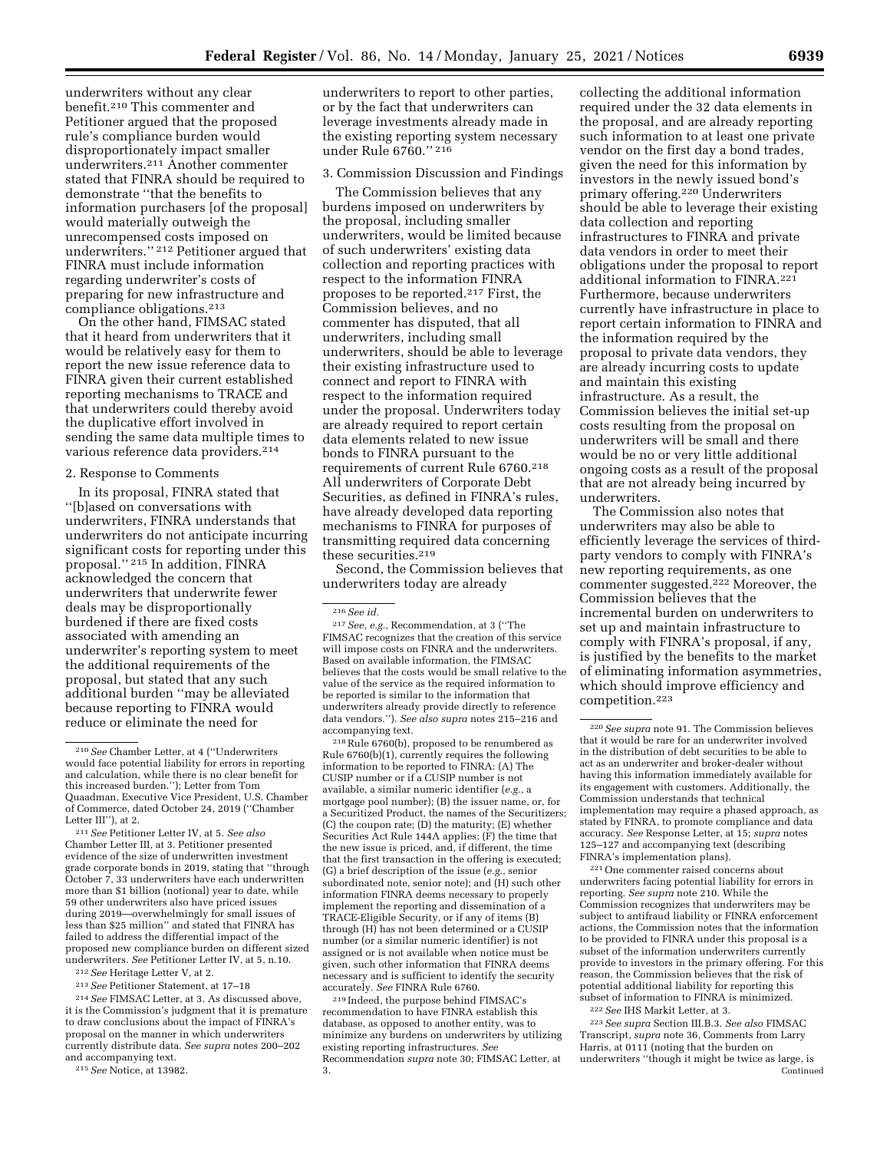underwriters without any clear benefit.210 This commenter and Petitioner argued that the proposed rule's compliance burden would disproportionately impact smaller underwriters.211 Another commenter stated that FINRA should be required to demonstrate ''that the benefits to information purchasers [of the proposal] would materially outweigh the unrecompensed costs imposed on underwriters.'' 212 Petitioner argued that FINRA must include information regarding underwriter's costs of preparing for new infrastructure and compliance obligations.213

On the other hand, FIMSAC stated that it heard from underwriters that it would be relatively easy for them to report the new issue reference data to FINRA given their current established reporting mechanisms to TRACE and that underwriters could thereby avoid the duplicative effort involved in sending the same data multiple times to various reference data providers.214

#### 2. Response to Comments

In its proposal, FINRA stated that ''[b]ased on conversations with underwriters, FINRA understands that underwriters do not anticipate incurring significant costs for reporting under this proposal.'' 215 In addition, FINRA acknowledged the concern that underwriters that underwrite fewer deals may be disproportionally burdened if there are fixed costs associated with amending an underwriter's reporting system to meet the additional requirements of the proposal, but stated that any such additional burden ''may be alleviated because reporting to FINRA would reduce or eliminate the need for

211*See* Petitioner Letter IV, at 5. *See also*  Chamber Letter III, at 3. Petitioner presented evidence of the size of underwritten investment grade corporate bonds in 2019, stating that ''through October 7, 33 underwriters have each underwritten more than \$1 billion (notional) year to date, while 59 other underwriters also have priced issues during 2019—overwhelmingly for small issues of less than \$25 million'' and stated that FINRA has failed to address the differential impact of the proposed new compliance burden on different sized underwriters. *See* Petitioner Letter IV, at 5, n.10.

- 212*See* Heritage Letter V, at 2.
- 213*See* Petitioner Statement, at 17–18

214*See* FIMSAC Letter, at 3. As discussed above, it is the Commission's judgment that it is premature to draw conclusions about the impact of FINRA's proposal on the manner in which underwriters currently distribute data. *See supra* notes 200–202 and accompanying text.

215*See* Notice, at 13982.

underwriters to report to other parties, or by the fact that underwriters can leverage investments already made in the existing reporting system necessary under Rule 6760.'' 216

## 3. Commission Discussion and Findings

The Commission believes that any burdens imposed on underwriters by the proposal, including smaller underwriters, would be limited because of such underwriters' existing data collection and reporting practices with respect to the information FINRA proposes to be reported.217 First, the Commission believes, and no commenter has disputed, that all underwriters, including small underwriters, should be able to leverage their existing infrastructure used to connect and report to FINRA with respect to the information required under the proposal. Underwriters today are already required to report certain data elements related to new issue bonds to FINRA pursuant to the requirements of current Rule 6760.218 All underwriters of Corporate Debt Securities, as defined in FINRA's rules, have already developed data reporting mechanisms to FINRA for purposes of transmitting required data concerning these securities.219

Second, the Commission believes that underwriters today are already

218Rule 6760(b), proposed to be renumbered as Rule 6760(b)(1), currently requires the following information to be reported to FINRA: (A) The CUSIP number or if a CUSIP number is not available, a similar numeric identifier (*e.g.,* a mortgage pool number); (B) the issuer name, or, for a Securitized Product, the names of the Securitizers; (C) the coupon rate; (D) the maturity; (E) whether Securities Act Rule 144A applies; (F) the time that the new issue is priced, and, if different, the time that the first transaction in the offering is executed; (G) a brief description of the issue (*e.g.,* senior subordinated note, senior note); and (H) such other information FINRA deems necessary to properly implement the reporting and dissemination of a TRACE-Eligible Security, or if any of items (B) through (H) has not been determined or a CUSIP number (or a similar numeric identifier) is not assigned or is not available when notice must be given, such other information that FINRA deems necessary and is sufficient to identify the security accurately. *See* FINRA Rule 6760.

219 Indeed, the purpose behind FIMSAC's recommendation to have FINRA establish this database, as opposed to another entity, was to minimize any burdens on underwriters by utilizing existing reporting infrastructures. *See*  Recommendation *supra* note 30; FIMSAC Letter, at 3.

collecting the additional information required under the 32 data elements in the proposal, and are already reporting such information to at least one private vendor on the first day a bond trades, given the need for this information by investors in the newly issued bond's primary offering.220 Underwriters should be able to leverage their existing data collection and reporting infrastructures to FINRA and private data vendors in order to meet their obligations under the proposal to report additional information to FINRA.221 Furthermore, because underwriters currently have infrastructure in place to report certain information to FINRA and the information required by the proposal to private data vendors, they are already incurring costs to update and maintain this existing infrastructure. As a result, the Commission believes the initial set-up costs resulting from the proposal on underwriters will be small and there would be no or very little additional ongoing costs as a result of the proposal that are not already being incurred by underwriters.

The Commission also notes that underwriters may also be able to efficiently leverage the services of thirdparty vendors to comply with FINRA's new reporting requirements, as one commenter suggested.222 Moreover, the Commission believes that the incremental burden on underwriters to set up and maintain infrastructure to comply with FINRA's proposal, if any, is justified by the benefits to the market of eliminating information asymmetries, which should improve efficiency and competition.223

221One commenter raised concerns about underwriters facing potential liability for errors in reporting. *See supra* note 210. While the Commission recognizes that underwriters may be subject to antifraud liability or FINRA enforcement actions, the Commission notes that the information to be provided to FINRA under this proposal is a subset of the information underwriters currently provide to investors in the primary offering. For this reason, the Commission believes that the risk of potential additional liability for reporting this subset of information to FINRA is minimized.

222*See* IHS Markit Letter, at 3.

223*See supra* Section III.B.3. *See also* FIMSAC Transcript, *supra* note 36, Comments from Larry Harris, at 0111 (noting that the burden on underwriters ''though it might be twice as large, is Continued

<sup>210</sup>*See* Chamber Letter, at 4 (''Underwriters would face potential liability for errors in reporting and calculation, while there is no clear benefit for this increased burden.''); Letter from Tom Quaadman, Executive Vice President, U.S. Chamber of Commerce, dated October 24, 2019 (''Chamber Letter III"), at 2.

<sup>216</sup>*See id.* 

<sup>217</sup>*See, e.g.,* Recommendation, at 3 (''The FIMSAC recognizes that the creation of this service will impose costs on FINRA and the underwriters. Based on available information, the FIMSAC believes that the costs would be small relative to the value of the service as the required information to be reported is similar to the information that underwriters already provide directly to reference data vendors.''). *See also supra* notes 215–216 and accompanying text.

<sup>220</sup>*See supra* note 91. The Commission believes that it would be rare for an underwriter involved in the distribution of debt securities to be able to act as an underwriter and broker-dealer without having this information immediately available for its engagement with customers. Additionally, the Commission understands that technical implementation may require a phased approach, as stated by FINRA, to promote compliance and data accuracy. *See* Response Letter, at 15; *supra* notes 125–127 and accompanying text (describing FINRA's implementation plans).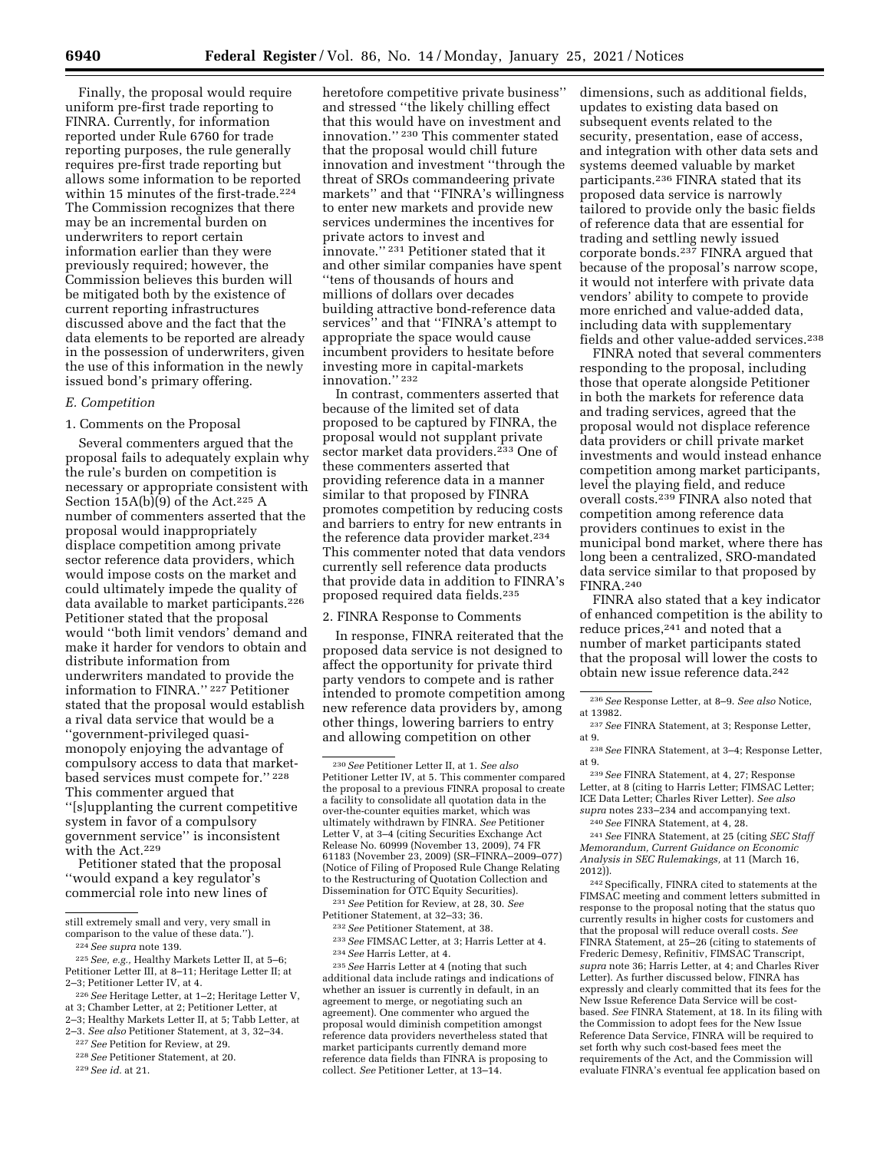Finally, the proposal would require uniform pre-first trade reporting to FINRA. Currently, for information reported under Rule 6760 for trade reporting purposes, the rule generally requires pre-first trade reporting but allows some information to be reported within 15 minutes of the first-trade.<sup>224</sup> The Commission recognizes that there may be an incremental burden on underwriters to report certain information earlier than they were previously required; however, the Commission believes this burden will be mitigated both by the existence of current reporting infrastructures discussed above and the fact that the data elements to be reported are already in the possession of underwriters, given the use of this information in the newly issued bond's primary offering.

## *E. Competition*

1. Comments on the Proposal

Several commenters argued that the proposal fails to adequately explain why the rule's burden on competition is necessary or appropriate consistent with Section  $15A(b)(9)$  of the Act.<sup>225</sup> A number of commenters asserted that the proposal would inappropriately displace competition among private sector reference data providers, which would impose costs on the market and could ultimately impede the quality of data available to market participants.226 Petitioner stated that the proposal would ''both limit vendors' demand and make it harder for vendors to obtain and distribute information from underwriters mandated to provide the information to FINRA.'' 227 Petitioner stated that the proposal would establish a rival data service that would be a ''government-privileged quasimonopoly enjoying the advantage of compulsory access to data that marketbased services must compete for.'' 228 This commenter argued that ''[s]upplanting the current competitive system in favor of a compulsory

government service'' is inconsistent with the Act.229 Petitioner stated that the proposal

''would expand a key regulator's commercial role into new lines of

229*See id.* at 21.

heretofore competitive private business'' and stressed ''the likely chilling effect that this would have on investment and innovation.'' 230 This commenter stated that the proposal would chill future innovation and investment ''through the threat of SROs commandeering private markets'' and that ''FINRA's willingness to enter new markets and provide new services undermines the incentives for private actors to invest and innovate.'' 231 Petitioner stated that it and other similar companies have spent ''tens of thousands of hours and millions of dollars over decades building attractive bond-reference data services'' and that ''FINRA's attempt to appropriate the space would cause incumbent providers to hesitate before investing more in capital-markets innovation."<sup>232</sup>

In contrast, commenters asserted that because of the limited set of data proposed to be captured by FINRA, the proposal would not supplant private sector market data providers.<sup>233</sup> One of these commenters asserted that providing reference data in a manner similar to that proposed by FINRA promotes competition by reducing costs and barriers to entry for new entrants in the reference data provider market.<sup>234</sup> This commenter noted that data vendors currently sell reference data products that provide data in addition to FINRA's proposed required data fields.235

#### 2. FINRA Response to Comments

In response, FINRA reiterated that the proposed data service is not designed to affect the opportunity for private third party vendors to compete and is rather intended to promote competition among new reference data providers by, among other things, lowering barriers to entry and allowing competition on other

231*See* Petition for Review, at 28, 30. *See*  Petitioner Statement, at 32–33; 36.

- 232*See* Petitioner Statement, at 38.
- 233*See* FIMSAC Letter, at 3; Harris Letter at 4. 234*See* Harris Letter, at 4.

235*See* Harris Letter at 4 (noting that such additional data include ratings and indications of whether an issuer is currently in default, in an agreement to merge, or negotiating such an agreement). One commenter who argued the proposal would diminish competition amongst reference data providers nevertheless stated that market participants currently demand more reference data fields than FINRA is proposing to collect. *See* Petitioner Letter, at 13–14.

dimensions, such as additional fields, updates to existing data based on subsequent events related to the security, presentation, ease of access, and integration with other data sets and systems deemed valuable by market participants.236 FINRA stated that its proposed data service is narrowly tailored to provide only the basic fields of reference data that are essential for trading and settling newly issued corporate bonds.237 FINRA argued that because of the proposal's narrow scope, it would not interfere with private data vendors' ability to compete to provide more enriched and value-added data, including data with supplementary fields and other value-added services.238

FINRA noted that several commenters responding to the proposal, including those that operate alongside Petitioner in both the markets for reference data and trading services, agreed that the proposal would not displace reference data providers or chill private market investments and would instead enhance competition among market participants, level the playing field, and reduce overall costs.239 FINRA also noted that competition among reference data providers continues to exist in the municipal bond market, where there has long been a centralized, SRO-mandated data service similar to that proposed by FINRA.240

FINRA also stated that a key indicator of enhanced competition is the ability to reduce prices,<sup>241</sup> and noted that a number of market participants stated that the proposal will lower the costs to obtain new issue reference data.242

239*See* FINRA Statement, at 4, 27; Response Letter, at 8 (citing to Harris Letter; FIMSAC Letter; ICE Data Letter; Charles River Letter). *See also supra* notes 233–234 and accompanying text.

240*See* FINRA Statement, at 4, 28.

241*See* FINRA Statement, at 25 (citing *SEC Staff Memorandum, Current Guidance on Economic Analysis in SEC Rulemakings,* at 11 (March 16, 2012)).

242Specifically, FINRA cited to statements at the FIMSAC meeting and comment letters submitted in response to the proposal noting that the status quo currently results in higher costs for customers and that the proposal will reduce overall costs. *See*  FINRA Statement, at 25–26 (citing to statements of Frederic Demesy, Refinitiv, FIMSAC Transcript, *supra* note 36; Harris Letter, at 4; and Charles River Letter). As further discussed below, FINRA has expressly and clearly committed that its fees for the New Issue Reference Data Service will be costbased. *See* FINRA Statement, at 18. In its filing with the Commission to adopt fees for the New Issue Reference Data Service, FINRA will be required to set forth why such cost-based fees meet the requirements of the Act, and the Commission will evaluate FINRA's eventual fee application based on

still extremely small and very, very small in comparison to the value of these data.'').

<sup>224</sup>*See supra* note 139.

<sup>225</sup>*See, e.g.,* Healthy Markets Letter II, at 5–6; Petitioner Letter III, at 8–11; Heritage Letter II; at 2–3; Petitioner Letter IV, at 4.

<sup>226</sup>*See* Heritage Letter, at 1–2; Heritage Letter V, at 3; Chamber Letter, at 2; Petitioner Letter, at

<sup>2–3;</sup> Healthy Markets Letter II, at 5; Tabb Letter, at

<sup>2–3.</sup> *See also* Petitioner Statement, at 3, 32–34.

<sup>227</sup>*See* Petition for Review, at 29.

<sup>228</sup>*See* Petitioner Statement, at 20.

<sup>230</sup>*See* Petitioner Letter II, at 1. *See also*  Petitioner Letter IV, at 5. This commenter compared the proposal to a previous FINRA proposal to create a facility to consolidate all quotation data in the over-the-counter equities market, which was ultimately withdrawn by FINRA. *See* Petitioner Letter V, at 3–4 (citing Securities Exchange Act Release No. 60999 (November 13, 2009), 74 FR 61183 (November 23, 2009) (SR–FINRA–2009–077) (Notice of Filing of Proposed Rule Change Relating to the Restructuring of Quotation Collection and Dissemination for OTC Equity Securities).

<sup>236</sup>*See* Response Letter, at 8–9. *See also* Notice, at 13982.

<sup>237</sup>*See* FINRA Statement, at 3; Response Letter, at 9.

<sup>238</sup>*See* FINRA Statement, at 3–4; Response Letter, at 9.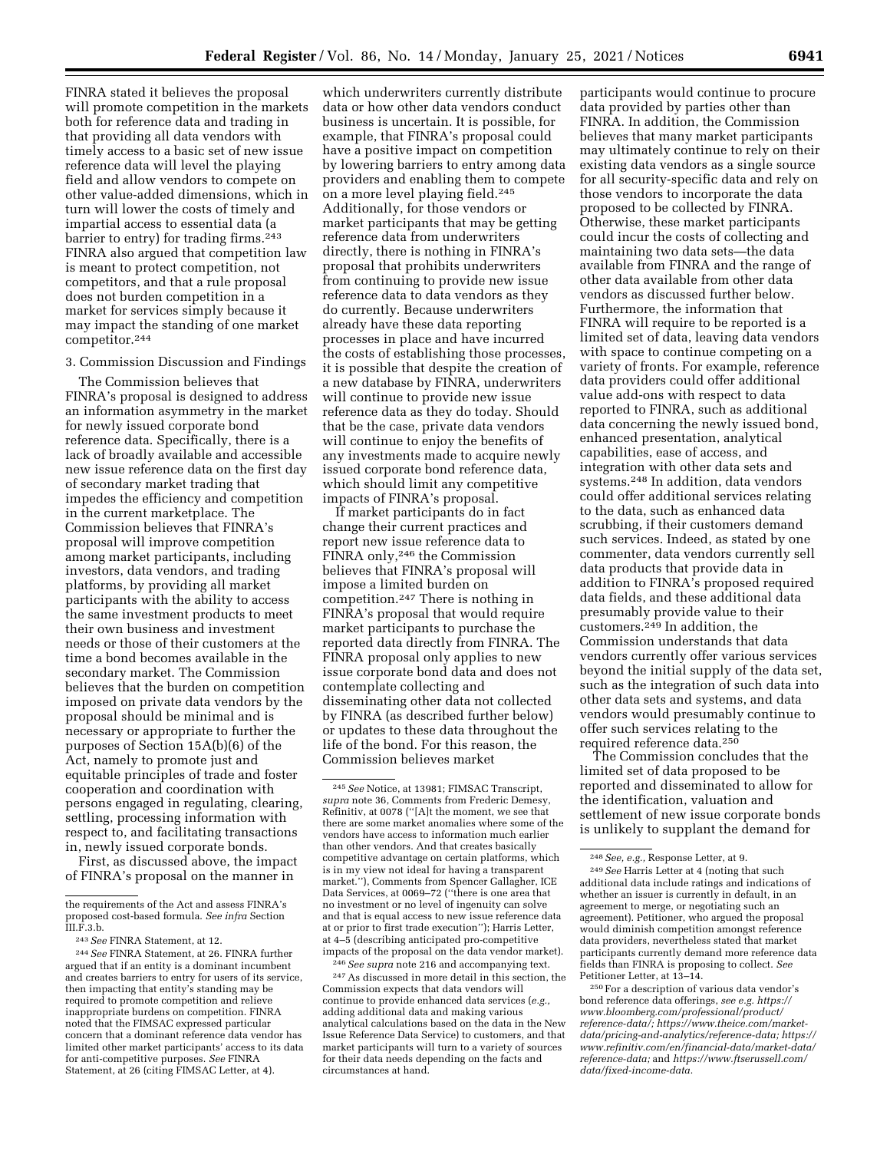FINRA stated it believes the proposal will promote competition in the markets both for reference data and trading in that providing all data vendors with timely access to a basic set of new issue reference data will level the playing field and allow vendors to compete on other value-added dimensions, which in turn will lower the costs of timely and impartial access to essential data (a barrier to entry) for trading firms.243 FINRA also argued that competition law is meant to protect competition, not competitors, and that a rule proposal does not burden competition in a market for services simply because it may impact the standing of one market competitor.244

#### 3. Commission Discussion and Findings

The Commission believes that FINRA's proposal is designed to address an information asymmetry in the market for newly issued corporate bond reference data. Specifically, there is a lack of broadly available and accessible new issue reference data on the first day of secondary market trading that impedes the efficiency and competition in the current marketplace. The Commission believes that FINRA's proposal will improve competition among market participants, including investors, data vendors, and trading platforms, by providing all market participants with the ability to access the same investment products to meet their own business and investment needs or those of their customers at the time a bond becomes available in the secondary market. The Commission believes that the burden on competition imposed on private data vendors by the proposal should be minimal and is necessary or appropriate to further the purposes of Section 15A(b)(6) of the Act, namely to promote just and equitable principles of trade and foster cooperation and coordination with persons engaged in regulating, clearing, settling, processing information with respect to, and facilitating transactions in, newly issued corporate bonds.

First, as discussed above, the impact of FINRA's proposal on the manner in

which underwriters currently distribute data or how other data vendors conduct business is uncertain. It is possible, for example, that FINRA's proposal could have a positive impact on competition by lowering barriers to entry among data providers and enabling them to compete on a more level playing field.245 Additionally, for those vendors or market participants that may be getting reference data from underwriters directly, there is nothing in FINRA's proposal that prohibits underwriters from continuing to provide new issue reference data to data vendors as they do currently. Because underwriters already have these data reporting processes in place and have incurred the costs of establishing those processes, it is possible that despite the creation of a new database by FINRA, underwriters will continue to provide new issue reference data as they do today. Should that be the case, private data vendors will continue to enjoy the benefits of any investments made to acquire newly issued corporate bond reference data, which should limit any competitive impacts of FINRA's proposal.

If market participants do in fact change their current practices and report new issue reference data to FINRA only,246 the Commission believes that FINRA's proposal will impose a limited burden on competition.247 There is nothing in FINRA's proposal that would require market participants to purchase the reported data directly from FINRA. The FINRA proposal only applies to new issue corporate bond data and does not contemplate collecting and disseminating other data not collected by FINRA (as described further below) or updates to these data throughout the life of the bond. For this reason, the Commission believes market

247As discussed in more detail in this section, the Commission expects that data vendors will continue to provide enhanced data services (*e.g.,*  adding additional data and making various analytical calculations based on the data in the New Issue Reference Data Service) to customers, and that market participants will turn to a variety of sources for their data needs depending on the facts and circumstances at hand.

participants would continue to procure data provided by parties other than FINRA. In addition, the Commission believes that many market participants may ultimately continue to rely on their existing data vendors as a single source for all security-specific data and rely on those vendors to incorporate the data proposed to be collected by FINRA. Otherwise, these market participants could incur the costs of collecting and maintaining two data sets—the data available from FINRA and the range of other data available from other data vendors as discussed further below. Furthermore, the information that FINRA will require to be reported is a limited set of data, leaving data vendors with space to continue competing on a variety of fronts. For example, reference data providers could offer additional value add-ons with respect to data reported to FINRA, such as additional data concerning the newly issued bond, enhanced presentation, analytical capabilities, ease of access, and integration with other data sets and systems.248 In addition, data vendors could offer additional services relating to the data, such as enhanced data scrubbing, if their customers demand such services. Indeed, as stated by one commenter, data vendors currently sell data products that provide data in addition to FINRA's proposed required data fields, and these additional data presumably provide value to their customers.249 In addition, the Commission understands that data vendors currently offer various services beyond the initial supply of the data set, such as the integration of such data into other data sets and systems, and data vendors would presumably continue to offer such services relating to the required reference data.250

The Commission concludes that the limited set of data proposed to be reported and disseminated to allow for the identification, valuation and settlement of new issue corporate bonds is unlikely to supplant the demand for

the requirements of the Act and assess FINRA's proposed cost-based formula. *See infra* Section III.F.3.b.

<sup>243</sup>*See* FINRA Statement, at 12.

<sup>244</sup>*See* FINRA Statement, at 26. FINRA further argued that if an entity is a dominant incumbent and creates barriers to entry for users of its service, then impacting that entity's standing may be required to promote competition and relieve inappropriate burdens on competition. FINRA noted that the FIMSAC expressed particular concern that a dominant reference data vendor has limited other market participants' access to its data for anti-competitive purposes. *See* FINRA Statement, at 26 (citing FIMSAC Letter, at 4).

<sup>245</sup>*See* Notice, at 13981; FIMSAC Transcript, *supra* note 36, Comments from Frederic Demesy, Refinitiv, at 0078 (''[A]t the moment, we see that there are some market anomalies where some of the vendors have access to information much earlier than other vendors. And that creates basically competitive advantage on certain platforms, which is in my view not ideal for having a transparent market.''), Comments from Spencer Gallagher, ICE Data Services, at 0069–72 (''there is one area that no investment or no level of ingenuity can solve and that is equal access to new issue reference data at or prior to first trade execution''); Harris Letter, at 4–5 (describing anticipated pro-competitive impacts of the proposal on the data vendor market). 246*See supra* note 216 and accompanying text.

<sup>248</sup>*See, e.g.,* Response Letter, at 9.

<sup>249</sup>*See* Harris Letter at 4 (noting that such additional data include ratings and indications of whether an issuer is currently in default, in an agreement to merge, or negotiating such an agreement). Petitioner, who argued the proposal would diminish competition amongst reference data providers, nevertheless stated that market participants currently demand more reference data fields than FINRA is proposing to collect. *See*  Petitioner Letter, at 13–14.

<sup>250</sup>For a description of various data vendor's bond reference data offerings, *see e.g. [https://](https://www.bloomberg.com/professional/product/reference-data/) [www.bloomberg.com/professional/product/](https://www.bloomberg.com/professional/product/reference-data/) [reference-data/;](https://www.bloomberg.com/professional/product/reference-data/) [https://www.theice.com/market](https://www.theice.com/market-data/pricing-and-analytics/reference-data)[data/pricing-and-analytics/reference-data;](https://www.theice.com/market-data/pricing-and-analytics/reference-data) [https://](https://www.refinitiv.com/en/financial-data/market-data/reference-data) [www.refinitiv.com/en/financial-data/market-data/](https://www.refinitiv.com/en/financial-data/market-data/reference-data) [reference-data;](https://www.refinitiv.com/en/financial-data/market-data/reference-data)* and *[https://www.ftserussell.com/](https://www.ftserussell.com/data/fixed-income-data) [data/fixed-income-data.](https://www.ftserussell.com/data/fixed-income-data)*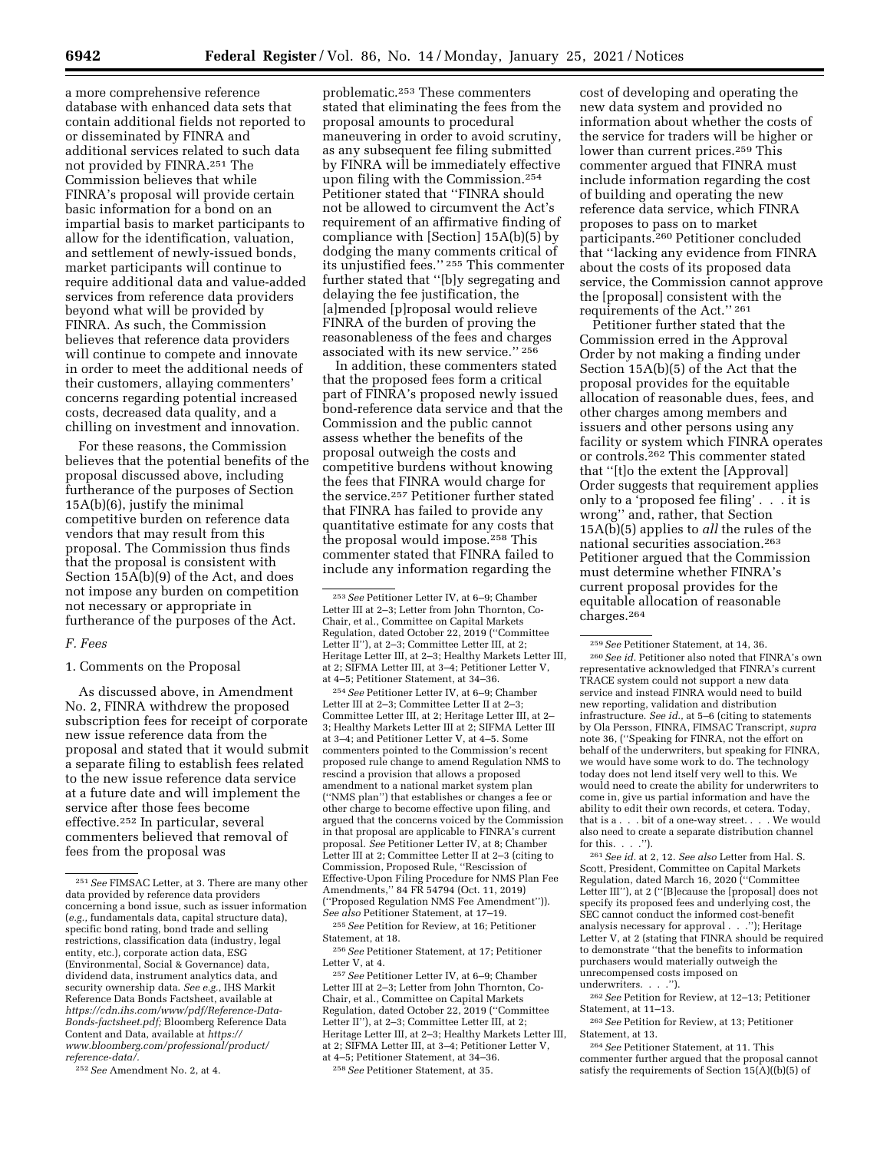a more comprehensive reference database with enhanced data sets that contain additional fields not reported to or disseminated by FINRA and additional services related to such data not provided by FINRA.251 The Commission believes that while FINRA's proposal will provide certain basic information for a bond on an impartial basis to market participants to allow for the identification, valuation, and settlement of newly-issued bonds, market participants will continue to require additional data and value-added services from reference data providers beyond what will be provided by FINRA. As such, the Commission believes that reference data providers will continue to compete and innovate in order to meet the additional needs of their customers, allaying commenters' concerns regarding potential increased costs, decreased data quality, and a chilling on investment and innovation.

For these reasons, the Commission believes that the potential benefits of the proposal discussed above, including furtherance of the purposes of Section 15A(b)(6), justify the minimal competitive burden on reference data vendors that may result from this proposal. The Commission thus finds that the proposal is consistent with Section 15A(b)(9) of the Act, and does not impose any burden on competition not necessary or appropriate in furtherance of the purposes of the Act.

#### *F. Fees*

### 1. Comments on the Proposal

As discussed above, in Amendment No. 2, FINRA withdrew the proposed subscription fees for receipt of corporate new issue reference data from the proposal and stated that it would submit a separate filing to establish fees related to the new issue reference data service at a future date and will implement the service after those fees become effective.252 In particular, several commenters believed that removal of fees from the proposal was

252*See* Amendment No. 2, at 4.

problematic.253 These commenters stated that eliminating the fees from the proposal amounts to procedural maneuvering in order to avoid scrutiny, as any subsequent fee filing submitted by FINRA will be immediately effective upon filing with the Commission.254 Petitioner stated that ''FINRA should not be allowed to circumvent the Act's requirement of an affirmative finding of compliance with [Section] 15A(b)(5) by dodging the many comments critical of its unjustified fees.'' 255 This commenter further stated that ''[b]y segregating and delaying the fee justification, the [a]mended [p]roposal would relieve FINRA of the burden of proving the reasonableness of the fees and charges associated with its new service.'' 256

In addition, these commenters stated that the proposed fees form a critical part of FINRA's proposed newly issued bond-reference data service and that the Commission and the public cannot assess whether the benefits of the proposal outweigh the costs and competitive burdens without knowing the fees that FINRA would charge for the service.257 Petitioner further stated that FINRA has failed to provide any quantitative estimate for any costs that the proposal would impose.258 This commenter stated that FINRA failed to include any information regarding the

254*See* Petitioner Letter IV, at 6–9; Chamber Letter III at 2–3; Committee Letter II at 2–3; Committee Letter III, at 2; Heritage Letter III, at 2– 3; Healthy Markets Letter III at 2; SIFMA Letter III at 3–4; and Petitioner Letter V, at 4–5. Some commenters pointed to the Commission's recent proposed rule change to amend Regulation NMS to rescind a provision that allows a proposed amendment to a national market system plan (''NMS plan'') that establishes or changes a fee or other charge to become effective upon filing, and argued that the concerns voiced by the Commission in that proposal are applicable to FINRA's current proposal. *See* Petitioner Letter IV, at 8; Chamber Letter III at 2; Committee Letter II at 2–3 (citing to Commission, Proposed Rule, ''Rescission of Effective-Upon Filing Procedure for NMS Plan Fee Amendments,'' 84 FR 54794 (Oct. 11, 2019) (''Proposed Regulation NMS Fee Amendment'')). *See also* Petitioner Statement, at 17–19.

255*See* Petition for Review, at 16; Petitioner Statement, at 18.

256*See* Petitioner Statement, at 17; Petitioner Letter V, at 4.

257*See* Petitioner Letter IV, at 6–9; Chamber Letter III at 2–3; Letter from John Thornton, Co-Chair, et al., Committee on Capital Markets Regulation, dated October 22, 2019 (''Committee Letter II''), at 2–3; Committee Letter III, at 2; Heritage Letter III, at 2–3; Healthy Markets Letter III, at 2; SIFMA Letter III, at 3–4; Petitioner Letter V, at 4–5; Petitioner Statement, at 34–36. 258*See* Petitioner Statement, at 35.

cost of developing and operating the new data system and provided no information about whether the costs of the service for traders will be higher or lower than current prices.259 This commenter argued that FINRA must include information regarding the cost of building and operating the new reference data service, which FINRA proposes to pass on to market participants.260 Petitioner concluded that ''lacking any evidence from FINRA about the costs of its proposed data service, the Commission cannot approve the [proposal] consistent with the requirements of the Act.'' 261

Petitioner further stated that the Commission erred in the Approval Order by not making a finding under Section 15A(b)(5) of the Act that the proposal provides for the equitable allocation of reasonable dues, fees, and other charges among members and issuers and other persons using any facility or system which FINRA operates or controls.262 This commenter stated that ''[t]o the extent the [Approval] Order suggests that requirement applies only to a 'proposed fee filing' . . . it is wrong'' and, rather, that Section 15A(b)(5) applies to *all* the rules of the national securities association.263 Petitioner argued that the Commission must determine whether FINRA's current proposal provides for the equitable allocation of reasonable charges.264

261*See id.* at 2, 12. *See also* Letter from Hal. S. Scott, President, Committee on Capital Markets Regulation, dated March 16, 2020 (''Committee Letter III''), at 2 (''[B]ecause the [proposal] does not specify its proposed fees and underlying cost, the SEC cannot conduct the informed cost-benefit analysis necessary for approval . . .''); Heritage Letter V, at 2 (stating that FINRA should be required to demonstrate ''that the benefits to information purchasers would materially outweigh the unrecompensed costs imposed on underwriters. . . .'').

262*See* Petition for Review, at 12–13; Petitioner Statement, at 11–13.

263*See* Petition for Review, at 13; Petitioner Statement, at 13.

264*See* Petitioner Statement, at 11. This commenter further argued that the proposal cannot satisfy the requirements of Section  $15(A)(b)(5)$  of

<sup>251</sup>*See* FIMSAC Letter, at 3. There are many other data provided by reference data providers concerning a bond issue, such as issuer information (*e.g.,* fundamentals data, capital structure data), specific bond rating, bond trade and selling restrictions, classification data (industry, legal entity, etc.), corporate action data, ESG (Environmental, Social & Governance) data, dividend data, instrument analytics data, and security ownership data. *See e.g.,* IHS Markit Reference Data Bonds Factsheet, available at *[https://cdn.ihs.com/www/pdf/Reference-Data-](https://cdn.ihs.com/www/pdf/Reference-Data-Bonds-factsheet.pdf)[Bonds-factsheet.pdf;](https://cdn.ihs.com/www/pdf/Reference-Data-Bonds-factsheet.pdf)* Bloomberg Reference Data Content and Data, available at *[https://](https://www.bloomberg.com/professional/product/reference-data/) [www.bloomberg.com/professional/product/](https://www.bloomberg.com/professional/product/reference-data/) [reference-data/.](https://www.bloomberg.com/professional/product/reference-data/)* 

<sup>253</sup>*See* Petitioner Letter IV, at 6–9; Chamber Letter III at 2–3; Letter from John Thornton, Co-Chair, et al., Committee on Capital Markets Regulation, dated October 22, 2019 (''Committee Letter II''), at 2–3; Committee Letter III, at 2; Heritage Letter III, at 2–3; Healthy Markets Letter III, at 2; SIFMA Letter III, at 3–4; Petitioner Letter V, at 4–5; Petitioner Statement, at 34–36.

<sup>259</sup>*See* Petitioner Statement, at 14, 36.

<sup>260</sup>*See id.* Petitioner also noted that FINRA's own representative acknowledged that FINRA's current TRACE system could not support a new data service and instead FINRA would need to build new reporting, validation and distribution infrastructure. *See id.,* at 5–6 (citing to statements by Ola Persson, FINRA, FIMSAC Transcript, *supra*  note 36, (''Speaking for FINRA, not the effort on behalf of the underwriters, but speaking for FINRA, we would have some work to do. The technology today does not lend itself very well to this. We would need to create the ability for underwriters to come in, give us partial information and have the ability to edit their own records, et cetera. Today, that is a . . . bit of a one-way street. . . . We would also need to create a separate distribution channel for this. . . .'').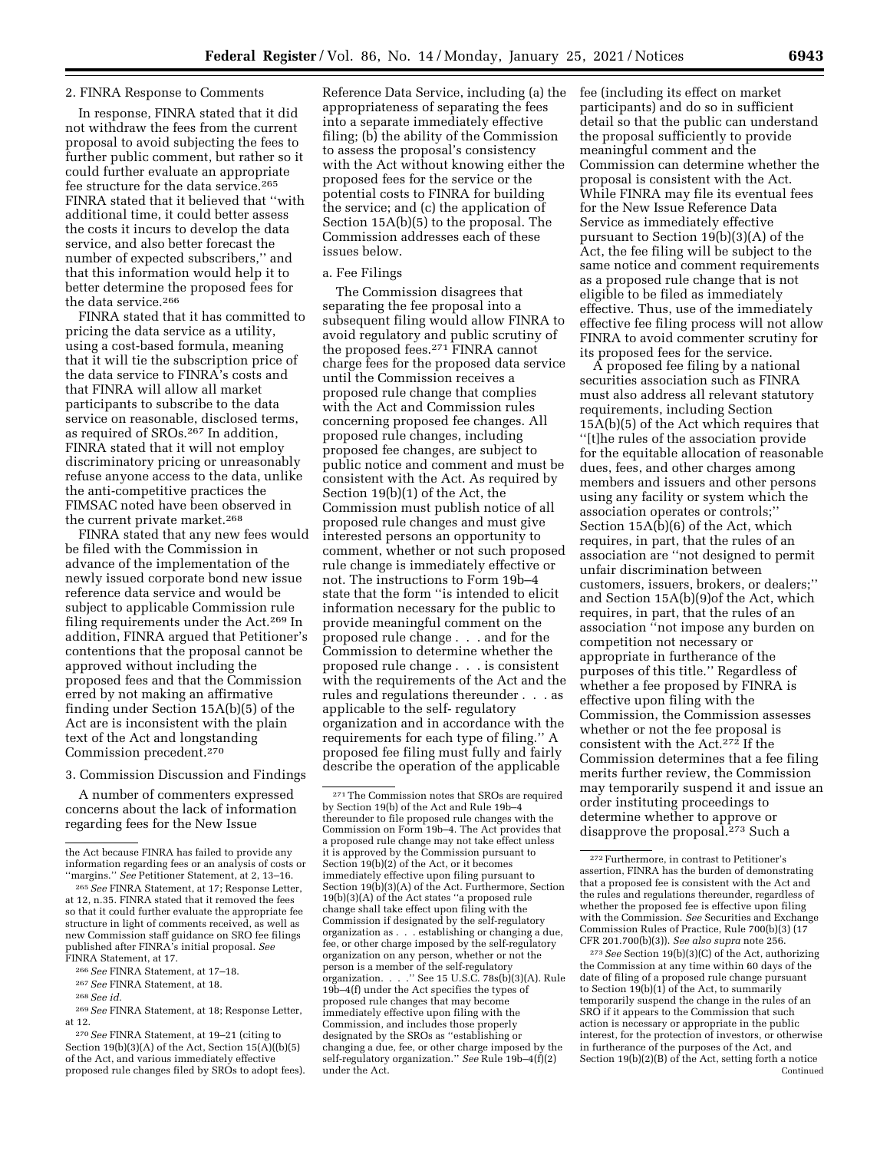### 2. FINRA Response to Comments

In response, FINRA stated that it did not withdraw the fees from the current proposal to avoid subjecting the fees to further public comment, but rather so it could further evaluate an appropriate fee structure for the data service.265 FINRA stated that it believed that ''with additional time, it could better assess the costs it incurs to develop the data service, and also better forecast the number of expected subscribers,'' and that this information would help it to better determine the proposed fees for the data service.266

FINRA stated that it has committed to pricing the data service as a utility, using a cost-based formula, meaning that it will tie the subscription price of the data service to FINRA's costs and that FINRA will allow all market participants to subscribe to the data service on reasonable, disclosed terms, as required of SROs.267 In addition, FINRA stated that it will not employ discriminatory pricing or unreasonably refuse anyone access to the data, unlike the anti-competitive practices the FIMSAC noted have been observed in the current private market.268

FINRA stated that any new fees would be filed with the Commission in advance of the implementation of the newly issued corporate bond new issue reference data service and would be subject to applicable Commission rule filing requirements under the Act.269 In addition, FINRA argued that Petitioner's contentions that the proposal cannot be approved without including the proposed fees and that the Commission erred by not making an affirmative finding under Section 15A(b)(5) of the Act are is inconsistent with the plain text of the Act and longstanding Commission precedent.270

#### 3. Commission Discussion and Findings

A number of commenters expressed concerns about the lack of information regarding fees for the New Issue

266*See* FINRA Statement, at 17–18.

Reference Data Service, including (a) the appropriateness of separating the fees into a separate immediately effective filing; (b) the ability of the Commission to assess the proposal's consistency with the Act without knowing either the proposed fees for the service or the potential costs to FINRA for building the service; and (c) the application of Section 15A(b)(5) to the proposal. The Commission addresses each of these issues below.

### a. Fee Filings

The Commission disagrees that separating the fee proposal into a subsequent filing would allow FINRA to avoid regulatory and public scrutiny of the proposed fees.271 FINRA cannot charge fees for the proposed data service until the Commission receives a proposed rule change that complies with the Act and Commission rules concerning proposed fee changes. All proposed rule changes, including proposed fee changes, are subject to public notice and comment and must be consistent with the Act. As required by Section 19(b)(1) of the Act, the Commission must publish notice of all proposed rule changes and must give interested persons an opportunity to comment, whether or not such proposed rule change is immediately effective or not. The instructions to Form 19b–4 state that the form ''is intended to elicit information necessary for the public to provide meaningful comment on the proposed rule change . . . and for the Commission to determine whether the proposed rule change . . . is consistent with the requirements of the Act and the rules and regulations thereunder . . . as applicable to the self- regulatory organization and in accordance with the requirements for each type of filing.'' A proposed fee filing must fully and fairly describe the operation of the applicable

fee (including its effect on market participants) and do so in sufficient detail so that the public can understand the proposal sufficiently to provide meaningful comment and the Commission can determine whether the proposal is consistent with the Act. While FINRA may file its eventual fees for the New Issue Reference Data Service as immediately effective pursuant to Section 19(b)(3)(A) of the Act, the fee filing will be subject to the same notice and comment requirements as a proposed rule change that is not eligible to be filed as immediately effective. Thus, use of the immediately effective fee filing process will not allow FINRA to avoid commenter scrutiny for its proposed fees for the service.

A proposed fee filing by a national securities association such as FINRA must also address all relevant statutory requirements, including Section 15A(b)(5) of the Act which requires that ''[t]he rules of the association provide for the equitable allocation of reasonable dues, fees, and other charges among members and issuers and other persons using any facility or system which the association operates or controls;'' Section  $15A(b)(6)$  of the Act, which requires, in part, that the rules of an association are ''not designed to permit unfair discrimination between customers, issuers, brokers, or dealers;'' and Section 15A(b)(9)of the Act, which requires, in part, that the rules of an association ''not impose any burden on competition not necessary or appropriate in furtherance of the purposes of this title.'' Regardless of whether a fee proposed by FINRA is effective upon filing with the Commission, the Commission assesses whether or not the fee proposal is consistent with the Act.272 If the Commission determines that a fee filing merits further review, the Commission may temporarily suspend it and issue an order instituting proceedings to determine whether to approve or disapprove the proposal.273 Such a

273*See* Section 19(b)(3)(C) of the Act, authorizing the Commission at any time within 60 days of the date of filing of a proposed rule change pursuant to Section  $19(b)(1)$  of the Act, to summarily temporarily suspend the change in the rules of an SRO if it appears to the Commission that such action is necessary or appropriate in the public interest, for the protection of investors, or otherwise in furtherance of the purposes of the Act, and Section 19(b)(2)(B) of the Act, setting forth a notice Continued

the Act because FINRA has failed to provide any information regarding fees or an analysis of costs or ''margins.'' *See* Petitioner Statement, at 2, 13–16.

<sup>265</sup>*See* FINRA Statement, at 17; Response Letter, at 12, n.35. FINRA stated that it removed the fees so that it could further evaluate the appropriate fee structure in light of comments received, as well as new Commission staff guidance on SRO fee filings published after FINRA's initial proposal. *See*  FINRA Statement, at 17.

<sup>267</sup>*See* FINRA Statement, at 18.

<sup>268</sup>*See id.* 

<sup>269</sup>*See* FINRA Statement, at 18; Response Letter, at 12.

<sup>270</sup>*See* FINRA Statement, at 19–21 (citing to Section  $19(b)(3)(A)$  of the Act, Section  $15(A)(b)(5)$ of the Act, and various immediately effective proposed rule changes filed by SROs to adopt fees).

<sup>271</sup>The Commission notes that SROs are required by Section 19(b) of the Act and Rule 19b–4 thereunder to file proposed rule changes with the Commission on Form 19b–4. The Act provides that a proposed rule change may not take effect unless it is approved by the Commission pursuant to Section 19(b)(2) of the Act, or it becomes immediately effective upon filing pursuant to Section 19(b)(3)(A) of the Act. Furthermore, Section 19(b)(3)(A) of the Act states ''a proposed rule change shall take effect upon filing with the Commission if designated by the self-regulatory organization as . . . establishing or changing a due, fee, or other charge imposed by the self-regulatory organization on any person, whether or not the person is a member of the self-regulatory organization. . . . " See 15 U.S.C. 78s(b)(3)(A). Rule 19b–4(f) under the Act specifies the types of proposed rule changes that may become immediately effective upon filing with the Commission, and includes those properly designated by the SROs as ''establishing or changing a due, fee, or other charge imposed by the self-regulatory organization.'' *See* Rule 19b–4(f)(2) under the Act.

<sup>272</sup>Furthermore, in contrast to Petitioner's assertion, FINRA has the burden of demonstrating that a proposed fee is consistent with the Act and the rules and regulations thereunder, regardless of whether the proposed fee is effective upon filing with the Commission. *See* Securities and Exchange Commission Rules of Practice, Rule 700(b)(3) (17 CFR 201.700(b)(3)). *See also supra* note 256.